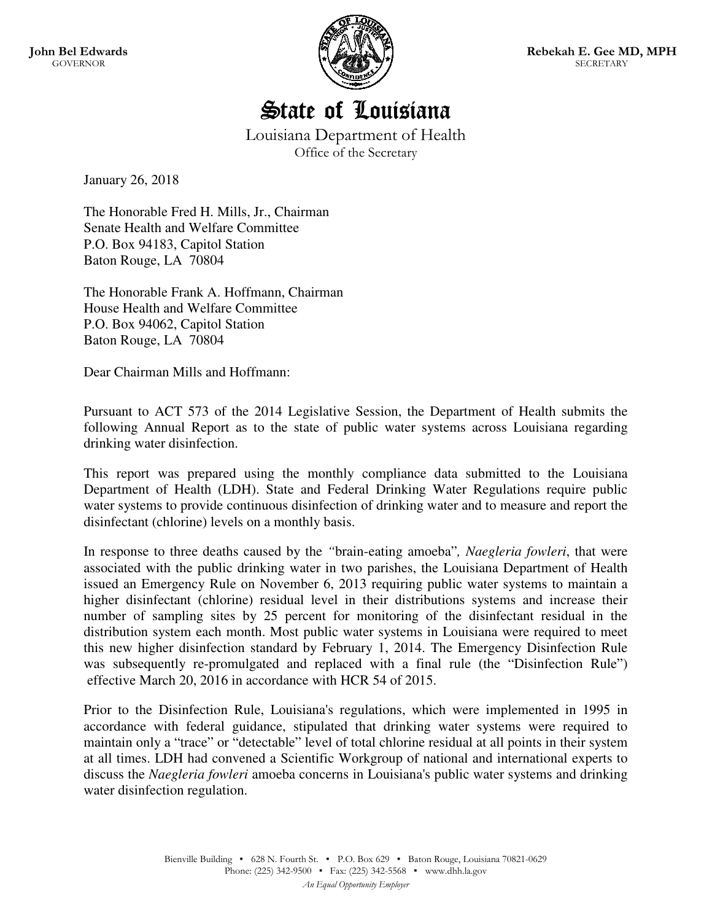



Louisiana Department of Health Office of the Secretary

January 26, 2018

The Honorable Fred H. Mills, Jr., Chairman Senate Health and Welfare Committee P.O. Box 94183, Capitol Station Baton Rouge, LA 70804

The Honorable Frank A. Hoffmann, Chairman House Health and Welfare Committee P.O. Box 94062, Capitol Station Baton Rouge, LA 70804

Dear Chairman Mills and Hoffmann:

Pursuant to ACT 573 of the 2014 Legislative Session, the Department of Health submits the following Annual Report as to the state of public water systems across Louisiana regarding drinking water disinfection.

This report was prepared using the monthly compliance data submitted to the Louisiana Department of Health (LDH). State and Federal Drinking Water Regulations require public water systems to provide continuous disinfection of drinking water and to measure and report the disinfectant (chlorine) levels on a monthly basis.

In response to three deaths caused by the *"*brain-eating amoeba"*, Naegleria fowleri*, that were associated with the public drinking water in two parishes, the Louisiana Department of Health issued an Emergency Rule on November 6, 2013 requiring public water systems to maintain a higher disinfectant (chlorine) residual level in their distributions systems and increase their number of sampling sites by 25 percent for monitoring of the disinfectant residual in the distribution system each month. Most public water systems in Louisiana were required to meet this new higher disinfection standard by February 1, 2014. The Emergency Disinfection Rule was subsequently re-promulgated and replaced with a final rule (the "Disinfection Rule") effective March 20, 2016 in accordance with HCR 54 of 2015.

Prior to the Disinfection Rule, Louisiana's regulations, which were implemented in 1995 in accordance with federal guidance, stipulated that drinking water systems were required to maintain only a "trace" or "detectable" level of total chlorine residual at all points in their system at all times. LDH had convened a Scientific Workgroup of national and international experts to discuss the *Naegleria fowleri* amoeba concerns in Louisiana's public water systems and drinking water disinfection regulation.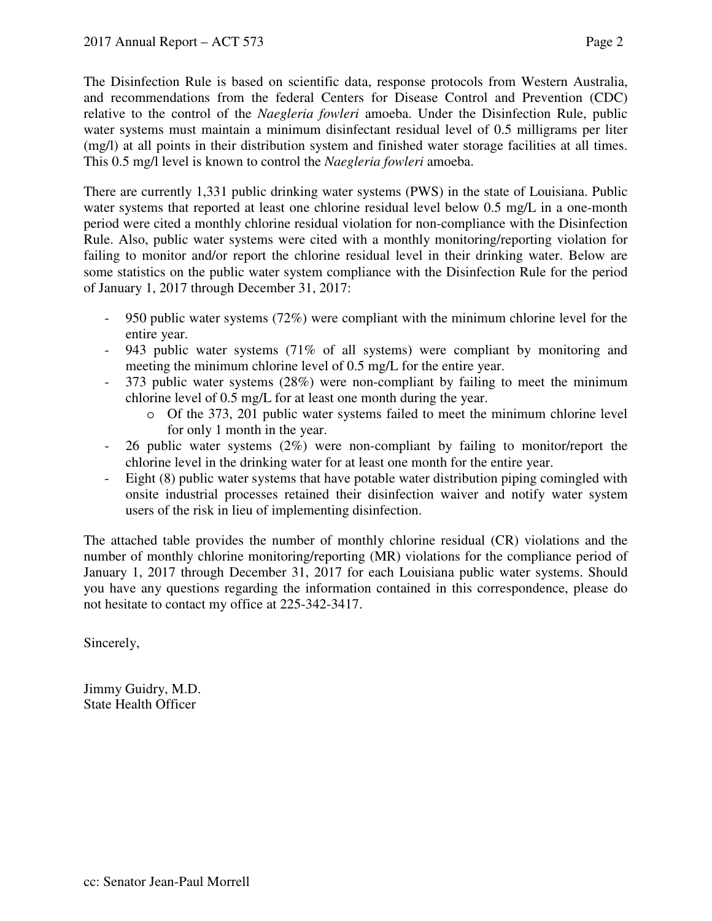The Disinfection Rule is based on scientific data, response protocols from Western Australia, and recommendations from the federal Centers for Disease Control and Prevention (CDC) relative to the control of the *Naegleria fowleri* amoeba. Under the Disinfection Rule, public water systems must maintain a minimum disinfectant residual level of 0.5 milligrams per liter (mg/l) at all points in their distribution system and finished water storage facilities at all times. This 0.5 mg/l level is known to control the *Naegleria fowleri* amoeba.

There are currently 1,331 public drinking water systems (PWS) in the state of Louisiana. Public water systems that reported at least one chlorine residual level below 0.5 mg/L in a one-month period were cited a monthly chlorine residual violation for non-compliance with the Disinfection Rule. Also, public water systems were cited with a monthly monitoring/reporting violation for failing to monitor and/or report the chlorine residual level in their drinking water. Below are some statistics on the public water system compliance with the Disinfection Rule for the period of January 1, 2017 through December 31, 2017:

- 950 public water systems (72%) were compliant with the minimum chlorine level for the entire year.
- 943 public water systems (71% of all systems) were compliant by monitoring and meeting the minimum chlorine level of 0.5 mg/L for the entire year.
- 373 public water systems (28%) were non-compliant by failing to meet the minimum chlorine level of 0.5 mg/L for at least one month during the year.
	- o Of the 373, 201 public water systems failed to meet the minimum chlorine level for only 1 month in the year.
- 26 public water systems (2%) were non-compliant by failing to monitor/report the chlorine level in the drinking water for at least one month for the entire year.
- Eight (8) public water systems that have potable water distribution piping comingled with onsite industrial processes retained their disinfection waiver and notify water system users of the risk in lieu of implementing disinfection.

The attached table provides the number of monthly chlorine residual (CR) violations and the number of monthly chlorine monitoring/reporting (MR) violations for the compliance period of January 1, 2017 through December 31, 2017 for each Louisiana public water systems. Should you have any questions regarding the information contained in this correspondence, please do not hesitate to contact my office at 225-342-3417.

Sincerely,

Jimmy Guidry, M.D. State Health Officer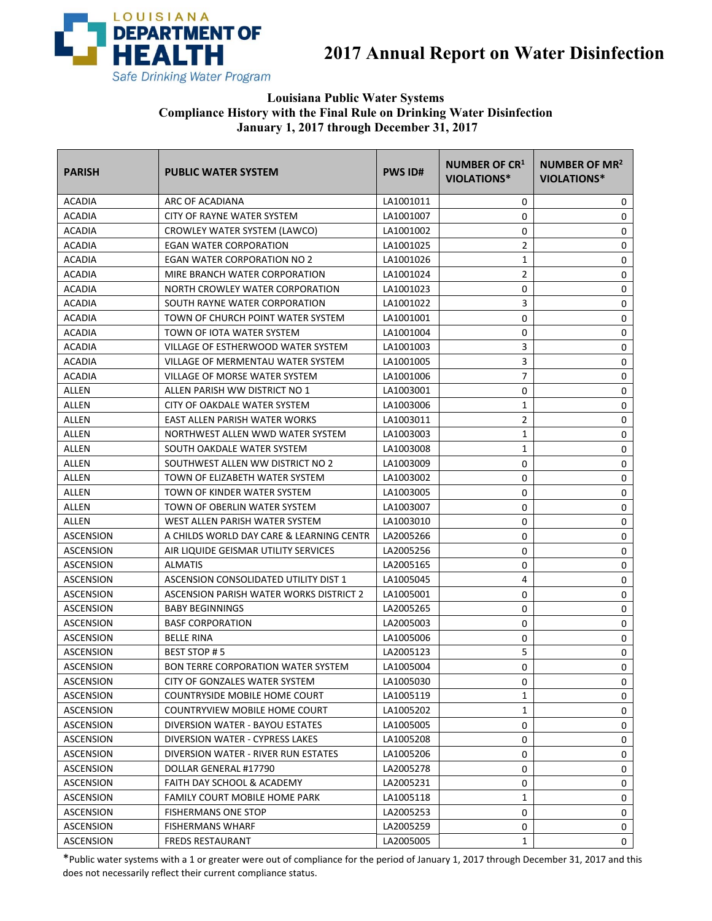

**2017 Annual Report on Water Disinfection** 

## **Louisiana Public Water Systems Compliance History with the Final Rule on Drinking Water Disinfection January 1, 2017 through December 31, 2017**

| <b>PARISH</b>    | <b>PUBLIC WATER SYSTEM</b>                | <b>PWS ID#</b> | <b>NUMBER OF CR1</b><br>VIOLATIONS* | NUMBER OF MR <sup>2</sup><br>VIOLATIONS* |
|------------------|-------------------------------------------|----------------|-------------------------------------|------------------------------------------|
| <b>ACADIA</b>    | ARC OF ACADIANA                           | LA1001011      | 0                                   | 0                                        |
| <b>ACADIA</b>    | CITY OF RAYNE WATER SYSTEM                | LA1001007      | 0                                   | 0                                        |
| <b>ACADIA</b>    | CROWLEY WATER SYSTEM (LAWCO)              | LA1001002      | 0                                   | 0                                        |
| <b>ACADIA</b>    | <b>EGAN WATER CORPORATION</b>             | LA1001025      | $\overline{2}$                      | 0                                        |
| <b>ACADIA</b>    | EGAN WATER CORPORATION NO 2               | LA1001026      | 1                                   | 0                                        |
| <b>ACADIA</b>    | MIRE BRANCH WATER CORPORATION             | LA1001024      | $\overline{2}$                      | 0                                        |
| <b>ACADIA</b>    | NORTH CROWLEY WATER CORPORATION           | LA1001023      | 0                                   | 0                                        |
| <b>ACADIA</b>    | SOUTH RAYNE WATER CORPORATION             | LA1001022      | 3                                   | 0                                        |
| <b>ACADIA</b>    | TOWN OF CHURCH POINT WATER SYSTEM         | LA1001001      | 0                                   | 0                                        |
| <b>ACADIA</b>    | TOWN OF IOTA WATER SYSTEM                 | LA1001004      | 0                                   | 0                                        |
| <b>ACADIA</b>    | VILLAGE OF ESTHERWOOD WATER SYSTEM        | LA1001003      | 3                                   | 0                                        |
| <b>ACADIA</b>    | VILLAGE OF MERMENTAU WATER SYSTEM         | LA1001005      | 3                                   | 0                                        |
| <b>ACADIA</b>    | VILLAGE OF MORSE WATER SYSTEM             | LA1001006      | $\overline{7}$                      | 0                                        |
| ALLEN            | ALLEN PARISH WW DISTRICT NO 1             | LA1003001      | 0                                   | 0                                        |
| ALLEN            | CITY OF OAKDALE WATER SYSTEM              | LA1003006      | 1                                   | 0                                        |
| <b>ALLEN</b>     | EAST ALLEN PARISH WATER WORKS             | LA1003011      | $\overline{2}$                      | 0                                        |
| ALLEN            | NORTHWEST ALLEN WWD WATER SYSTEM          | LA1003003      | 1                                   | 0                                        |
| ALLEN            | SOUTH OAKDALE WATER SYSTEM                | LA1003008      | 1                                   | 0                                        |
| ALLEN            | SOUTHWEST ALLEN WW DISTRICT NO 2          | LA1003009      | 0                                   | 0                                        |
| ALLEN            | TOWN OF ELIZABETH WATER SYSTEM            | LA1003002      | 0                                   | 0                                        |
| ALLEN            | TOWN OF KINDER WATER SYSTEM               | LA1003005      | 0                                   | 0                                        |
| <b>ALLEN</b>     | TOWN OF OBERLIN WATER SYSTEM              | LA1003007      | 0                                   | 0                                        |
| ALLEN            | WEST ALLEN PARISH WATER SYSTEM            | LA1003010      | 0                                   | 0                                        |
| ASCENSION        | A CHILDS WORLD DAY CARE & LEARNING CENTR  | LA2005266      | 0                                   | 0                                        |
| <b>ASCENSION</b> | AIR LIQUIDE GEISMAR UTILITY SERVICES      | LA2005256      | 0                                   | 0                                        |
| <b>ASCENSION</b> | <b>ALMATIS</b>                            | LA2005165      | 0                                   | 0                                        |
| ASCENSION        | ASCENSION CONSOLIDATED UTILITY DIST 1     | LA1005045      | 4                                   | 0                                        |
| <b>ASCENSION</b> | ASCENSION PARISH WATER WORKS DISTRICT 2   | LA1005001      | 0                                   | 0                                        |
| <b>ASCENSION</b> | <b>BABY BEGINNINGS</b>                    | LA2005265      | 0                                   | 0                                        |
| ASCENSION        | <b>BASF CORPORATION</b>                   | LA2005003      | 0                                   | 0                                        |
| ASCENSION        | <b>BELLE RINA</b>                         | LA1005006      | 0                                   | 0                                        |
| ASCENSION        | BEST STOP #5                              | LA2005123      | 5                                   | 0                                        |
| ASCENSION        | <b>BON TERRE CORPORATION WATER SYSTEM</b> | LA1005004      | 0                                   | 0                                        |
| ASCENSION        | CITY OF GONZALES WATER SYSTEM             | LA1005030      | 0                                   | 0                                        |
| <b>ASCENSION</b> | COUNTRYSIDE MOBILE HOME COURT             | LA1005119      | 1                                   | 0                                        |
| ASCENSION        | COUNTRYVIEW MOBILE HOME COURT             | LA1005202      | 1                                   | 0                                        |
| ASCENSION        | DIVERSION WATER - BAYOU ESTATES           | LA1005005      | 0                                   | 0                                        |
| ASCENSION        | DIVERSION WATER - CYPRESS LAKES           | LA1005208      | 0                                   | 0                                        |
| ASCENSION        | DIVERSION WATER - RIVER RUN ESTATES       | LA1005206      | 0                                   | 0                                        |
| <b>ASCENSION</b> | DOLLAR GENERAL #17790                     | LA2005278      | 0                                   | 0                                        |
| <b>ASCENSION</b> | FAITH DAY SCHOOL & ACADEMY                | LA2005231      | 0                                   | 0                                        |
| ASCENSION        | FAMILY COURT MOBILE HOME PARK             | LA1005118      | 1                                   | 0                                        |
| ASCENSION        | FISHERMANS ONE STOP                       | LA2005253      | 0                                   | 0                                        |
| <b>ASCENSION</b> | <b>FISHERMANS WHARF</b>                   | LA2005259      | 0                                   | 0                                        |
| ASCENSION        | FREDS RESTAURANT                          | LA2005005      | 1                                   | 0                                        |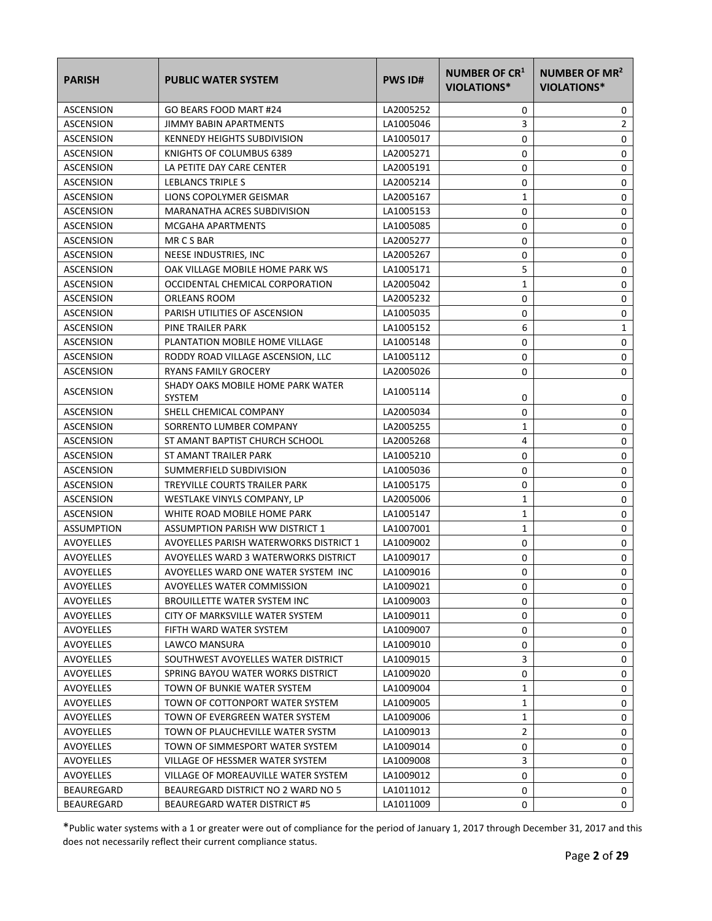| <b>PARISH</b>    | <b>PUBLIC WATER SYSTEM</b>                  | <b>PWS ID#</b> | NUMBER OF CR <sup>1</sup><br>VIOLATIONS* | NUMBER OF MR <sup>2</sup><br><b>VIOLATIONS*</b> |
|------------------|---------------------------------------------|----------------|------------------------------------------|-------------------------------------------------|
| <b>ASCENSION</b> | GO BEARS FOOD MART #24                      | LA2005252      | 0                                        | 0                                               |
| <b>ASCENSION</b> | JIMMY BABIN APARTMENTS                      | LA1005046      | 3                                        | $\overline{2}$                                  |
| ASCENSION        | <b>KENNEDY HEIGHTS SUBDIVISION</b>          | LA1005017      | 0                                        | 0                                               |
| <b>ASCENSION</b> | KNIGHTS OF COLUMBUS 6389                    | LA2005271      | 0                                        | $\mathbf 0$                                     |
| ASCENSION        | LA PETITE DAY CARE CENTER                   | LA2005191      | 0                                        | 0                                               |
| ASCENSION        | LEBLANCS TRIPLE S                           | LA2005214      | 0                                        | 0                                               |
| ASCENSION        | LIONS COPOLYMER GEISMAR                     | LA2005167      | 1                                        | 0                                               |
| ASCENSION        | MARANATHA ACRES SUBDIVISION                 | LA1005153      | 0                                        | 0                                               |
| ASCENSION        | <b>MCGAHA APARTMENTS</b>                    | LA1005085      | 0                                        | 0                                               |
| ASCENSION        | MR CS BAR                                   | LA2005277      | 0                                        | 0                                               |
| ASCENSION        | NEESE INDUSTRIES, INC                       | LA2005267      | 0                                        | 0                                               |
| ASCENSION        | OAK VILLAGE MOBILE HOME PARK WS             | LA1005171      | 5                                        | 0                                               |
| <b>ASCENSION</b> | OCCIDENTAL CHEMICAL CORPORATION             | LA2005042      | 1                                        | 0                                               |
| <b>ASCENSION</b> | ORLEANS ROOM                                | LA2005232      | 0                                        | $\mathbf 0$                                     |
| ASCENSION        | PARISH UTILITIES OF ASCENSION               | LA1005035      | 0                                        | 0                                               |
| <b>ASCENSION</b> | PINE TRAILER PARK                           | LA1005152      | 6                                        | 1                                               |
| <b>ASCENSION</b> | PLANTATION MOBILE HOME VILLAGE              | LA1005148      | 0                                        | 0                                               |
| ASCENSION        | RODDY ROAD VILLAGE ASCENSION, LLC           | LA1005112      | 0                                        | 0                                               |
| <b>ASCENSION</b> | <b>RYANS FAMILY GROCERY</b>                 | LA2005026      | 0                                        | 0                                               |
| <b>ASCENSION</b> | SHADY OAKS MOBILE HOME PARK WATER<br>SYSTEM | LA1005114      | 0                                        | 0                                               |
| <b>ASCENSION</b> | SHELL CHEMICAL COMPANY                      | LA2005034      | 0                                        | 0                                               |
| ASCENSION        | SORRENTO LUMBER COMPANY                     | LA2005255      | 1                                        | 0                                               |
| ASCENSION        | ST AMANT BAPTIST CHURCH SCHOOL              | LA2005268      | 4                                        | 0                                               |
| ASCENSION        | ST AMANT TRAILER PARK                       | LA1005210      | 0                                        | 0                                               |
| ASCENSION        | SUMMERFIELD SUBDIVISION                     | LA1005036      | 0                                        | 0                                               |
| <b>ASCENSION</b> | TREYVILLE COURTS TRAILER PARK               | LA1005175      | 0                                        | 0                                               |
| ASCENSION        | WESTLAKE VINYLS COMPANY, LP                 | LA2005006      | 1                                        | 0                                               |
| <b>ASCENSION</b> | WHITE ROAD MOBILE HOME PARK                 | LA1005147      | 1                                        | 0                                               |
| ASSUMPTION       | ASSUMPTION PARISH WW DISTRICT 1             | LA1007001      | 1                                        | 0                                               |
| <b>AVOYELLES</b> | AVOYELLES PARISH WATERWORKS DISTRICT 1      | LA1009002      | 0                                        | 0                                               |
| AVOYELLES        | AVOYELLES WARD 3 WATERWORKS DISTRICT        | LA1009017      | 0                                        | 0                                               |
| <b>AVOYELLES</b> | AVOYELLES WARD ONE WATER SYSTEM INC         | LA1009016      | 0                                        | 0                                               |
| AVOYELLES        | AVOYELLES WATER COMMISSION                  | LA1009021      | 0                                        | 0                                               |
| AVOYELLES        | BROUILLETTE WATER SYSTEM INC                | LA1009003      | 0                                        | 0                                               |
| AVOYELLES        | CITY OF MARKSVILLE WATER SYSTEM             | LA1009011      | 0                                        | 0                                               |
| <b>AVOYELLES</b> | FIFTH WARD WATER SYSTEM                     | LA1009007      | 0                                        | 0                                               |
| AVOYELLES        | LAWCO MANSURA                               | LA1009010      | 0                                        | 0                                               |
| <b>AVOYELLES</b> | SOUTHWEST AVOYELLES WATER DISTRICT          | LA1009015      | 3                                        | 0                                               |
| AVOYELLES        | SPRING BAYOU WATER WORKS DISTRICT           | LA1009020      | 0                                        | 0                                               |
| AVOYELLES        | TOWN OF BUNKIE WATER SYSTEM                 | LA1009004      | 1                                        | 0                                               |
| AVOYELLES        | TOWN OF COTTONPORT WATER SYSTEM             | LA1009005      | 1                                        | 0                                               |
| <b>AVOYELLES</b> | TOWN OF EVERGREEN WATER SYSTEM              | LA1009006      | 1                                        | 0                                               |
| AVOYELLES        | TOWN OF PLAUCHEVILLE WATER SYSTM            | LA1009013      | 2                                        | 0                                               |
| <b>AVOYELLES</b> | TOWN OF SIMMESPORT WATER SYSTEM             | LA1009014      | 0                                        | 0                                               |
| <b>AVOYELLES</b> | VILLAGE OF HESSMER WATER SYSTEM             | LA1009008      | 3                                        | 0                                               |
| AVOYELLES        | VILLAGE OF MOREAUVILLE WATER SYSTEM         | LA1009012      | 0                                        | 0                                               |
| BEAUREGARD       | BEAUREGARD DISTRICT NO 2 WARD NO 5          | LA1011012      | 0                                        | 0                                               |
| BEAUREGARD       | BEAUREGARD WATER DISTRICT #5                | LA1011009      | 0                                        | 0                                               |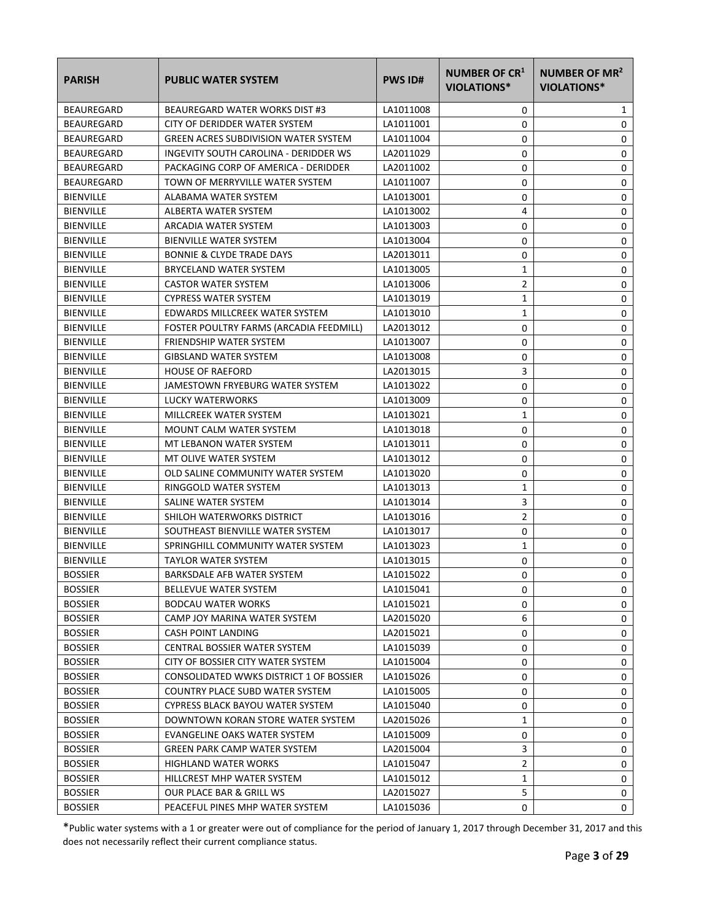| <b>PARISH</b>     | <b>PUBLIC WATER SYSTEM</b>                  | <b>PWS ID#</b> | NUMBER OF CR <sup>1</sup><br>VIOLATIONS* | NUMBER OF MR <sup>2</sup><br><b>VIOLATIONS*</b> |
|-------------------|---------------------------------------------|----------------|------------------------------------------|-------------------------------------------------|
| <b>BEAUREGARD</b> | BEAUREGARD WATER WORKS DIST #3              | LA1011008      | 0                                        | 1                                               |
| <b>BEAUREGARD</b> | CITY OF DERIDDER WATER SYSTEM               | LA1011001      | 0                                        | 0                                               |
| <b>BEAUREGARD</b> | <b>GREEN ACRES SUBDIVISION WATER SYSTEM</b> | LA1011004      | 0                                        | 0                                               |
| <b>BEAUREGARD</b> | INGEVITY SOUTH CAROLINA - DERIDDER WS       | LA2011029      | 0                                        | 0                                               |
| <b>BEAUREGARD</b> | PACKAGING CORP OF AMERICA - DERIDDER        | LA2011002      | 0                                        | 0                                               |
| <b>BEAUREGARD</b> | TOWN OF MERRYVILLE WATER SYSTEM             | LA1011007      | 0                                        | 0                                               |
| <b>BIENVILLE</b>  | ALABAMA WATER SYSTEM                        | LA1013001      | 0                                        | 0                                               |
| <b>BIENVILLE</b>  | ALBERTA WATER SYSTEM                        | LA1013002      | 4                                        | 0                                               |
| <b>BIENVILLE</b>  | ARCADIA WATER SYSTEM                        | LA1013003      | 0                                        | 0                                               |
| <b>BIENVILLE</b>  | <b>BIENVILLE WATER SYSTEM</b>               | LA1013004      | 0                                        | 0                                               |
| <b>BIENVILLE</b>  | <b>BONNIE &amp; CLYDE TRADE DAYS</b>        | LA2013011      | 0                                        | 0                                               |
| <b>BIENVILLE</b>  | BRYCELAND WATER SYSTEM                      | LA1013005      | 1                                        | 0                                               |
| <b>BIENVILLE</b>  | <b>CASTOR WATER SYSTEM</b>                  | LA1013006      | 2                                        | 0                                               |
| <b>BIENVILLE</b>  | <b>CYPRESS WATER SYSTEM</b>                 | LA1013019      | 1                                        | 0                                               |
| <b>BIENVILLE</b>  | EDWARDS MILLCREEK WATER SYSTEM              | LA1013010      | 1                                        | 0                                               |
| <b>BIENVILLE</b>  | FOSTER POULTRY FARMS (ARCADIA FEEDMILL)     | LA2013012      | 0                                        | 0                                               |
| <b>BIENVILLE</b>  | FRIENDSHIP WATER SYSTEM                     | LA1013007      | 0                                        | 0                                               |
| <b>BIENVILLE</b>  | <b>GIBSLAND WATER SYSTEM</b>                | LA1013008      | 0                                        | 0                                               |
| <b>BIENVILLE</b>  | <b>HOUSE OF RAEFORD</b>                     | LA2013015      | 3                                        | 0                                               |
| <b>BIENVILLE</b>  | JAMESTOWN FRYEBURG WATER SYSTEM             | LA1013022      | 0                                        | 0                                               |
| <b>BIENVILLE</b>  | LUCKY WATERWORKS                            | LA1013009      | 0                                        | 0                                               |
| <b>BIENVILLE</b>  | MILLCREEK WATER SYSTEM                      | LA1013021      | 1                                        | 0                                               |
| <b>BIENVILLE</b>  | <b>MOUNT CALM WATER SYSTEM</b>              | LA1013018      | 0                                        | 0                                               |
| <b>BIENVILLE</b>  | MT LEBANON WATER SYSTEM                     | LA1013011      | 0                                        | 0                                               |
| <b>BIENVILLE</b>  | MT OLIVE WATER SYSTEM                       | LA1013012      | 0                                        | 0                                               |
| <b>BIENVILLE</b>  | OLD SALINE COMMUNITY WATER SYSTEM           | LA1013020      | 0                                        | 0                                               |
| <b>BIENVILLE</b>  | RINGGOLD WATER SYSTEM                       | LA1013013      | 1                                        | 0                                               |
| <b>BIENVILLE</b>  | SALINE WATER SYSTEM                         | LA1013014      | 3                                        | 0                                               |
| <b>BIENVILLE</b>  | SHILOH WATERWORKS DISTRICT                  | LA1013016      | 2                                        | 0                                               |
| <b>BIENVILLE</b>  | SOUTHEAST BIENVILLE WATER SYSTEM            | LA1013017      | 0                                        | 0                                               |
| <b>BIENVILLE</b>  | SPRINGHILL COMMUNITY WATER SYSTEM           | LA1013023      | $\mathbf{1}$                             | 0                                               |
| <b>BIENVILLE</b>  | <b>TAYLOR WATER SYSTEM</b>                  | LA1013015      | 0                                        | 0                                               |
| <b>BOSSIER</b>    | BARKSDALE AFB WATER SYSTEM                  | LA1015022      | 0                                        | $\Omega$                                        |
| <b>BOSSIER</b>    | BELLEVUE WATER SYSTEM                       | LA1015041      | 0                                        | 0                                               |
| <b>BOSSIER</b>    | <b>BODCAU WATER WORKS</b>                   | LA1015021      | 0                                        | 0                                               |
| <b>BOSSIER</b>    | CAMP JOY MARINA WATER SYSTEM                | LA2015020      | 6                                        | 0                                               |
| <b>BOSSIER</b>    | CASH POINT LANDING                          | LA2015021      | 0                                        | 0                                               |
| <b>BOSSIER</b>    | <b>CENTRAL BOSSIER WATER SYSTEM</b>         | LA1015039      | 0                                        | 0                                               |
| <b>BOSSIER</b>    | CITY OF BOSSIER CITY WATER SYSTEM           | LA1015004      | 0                                        | 0                                               |
| <b>BOSSIER</b>    | CONSOLIDATED WWKS DISTRICT 1 OF BOSSIER     | LA1015026      | 0                                        | 0                                               |
| <b>BOSSIER</b>    | COUNTRY PLACE SUBD WATER SYSTEM             | LA1015005      | 0                                        | 0                                               |
| <b>BOSSIER</b>    | CYPRESS BLACK BAYOU WATER SYSTEM            | LA1015040      | 0                                        | 0                                               |
| <b>BOSSIER</b>    | DOWNTOWN KORAN STORE WATER SYSTEM           | LA2015026      | 1                                        | 0                                               |
| <b>BOSSIER</b>    | EVANGELINE OAKS WATER SYSTEM                | LA1015009      | 0                                        | 0                                               |
| <b>BOSSIER</b>    | <b>GREEN PARK CAMP WATER SYSTEM</b>         | LA2015004      | 3                                        | 0                                               |
| <b>BOSSIER</b>    | <b>HIGHLAND WATER WORKS</b>                 | LA1015047      | $\overline{2}$                           | 0                                               |
| <b>BOSSIER</b>    | HILLCREST MHP WATER SYSTEM                  | LA1015012      | 1                                        | 0                                               |
| <b>BOSSIER</b>    | OUR PLACE BAR & GRILL WS                    | LA2015027      | 5                                        | 0                                               |
| <b>BOSSIER</b>    | PEACEFUL PINES MHP WATER SYSTEM             | LA1015036      | 0                                        | 0                                               |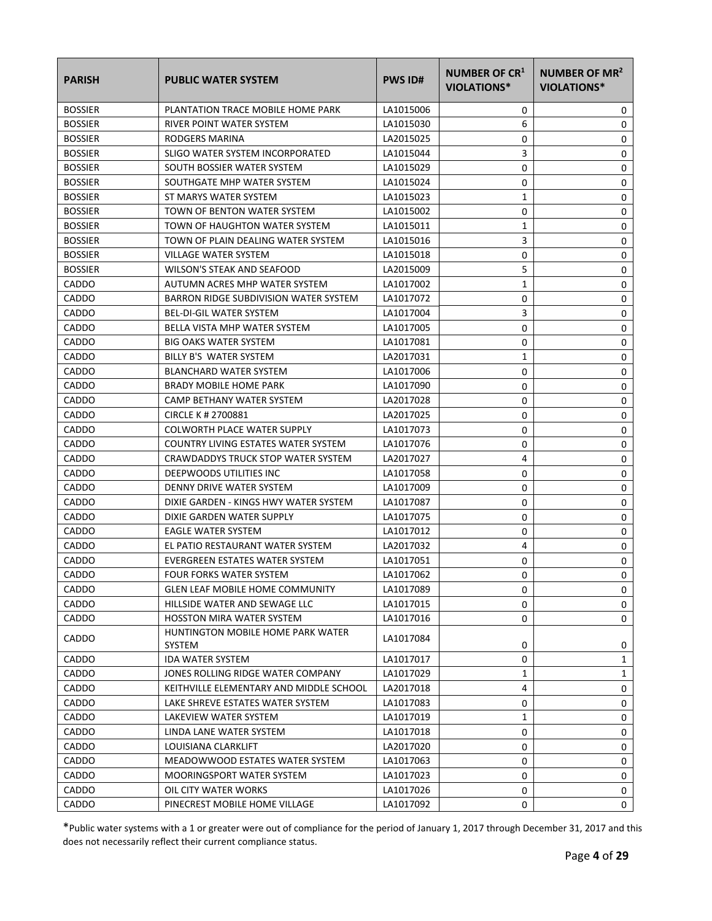| <b>PARISH</b>  | <b>PUBLIC WATER SYSTEM</b>                  | <b>PWS ID#</b> | NUMBER OF CR <sup>1</sup><br>VIOLATIONS* | NUMBER OF MR <sup>2</sup><br><b>VIOLATIONS*</b> |
|----------------|---------------------------------------------|----------------|------------------------------------------|-------------------------------------------------|
| <b>BOSSIER</b> | PLANTATION TRACE MOBILE HOME PARK           | LA1015006      | 0                                        | 0                                               |
| <b>BOSSIER</b> | RIVER POINT WATER SYSTEM                    | LA1015030      | 6                                        | 0                                               |
| <b>BOSSIER</b> | RODGERS MARINA                              | LA2015025      | 0                                        | 0                                               |
| <b>BOSSIER</b> | SLIGO WATER SYSTEM INCORPORATED             | LA1015044      | 3                                        | 0                                               |
| <b>BOSSIER</b> | SOUTH BOSSIER WATER SYSTEM                  | LA1015029      | 0                                        | 0                                               |
| <b>BOSSIER</b> | SOUTHGATE MHP WATER SYSTEM                  | LA1015024      | 0                                        | 0                                               |
| <b>BOSSIER</b> | ST MARYS WATER SYSTEM                       | LA1015023      | 1                                        | 0                                               |
| <b>BOSSIER</b> | TOWN OF BENTON WATER SYSTEM                 | LA1015002      | 0                                        | $\mathbf 0$                                     |
| <b>BOSSIER</b> | TOWN OF HAUGHTON WATER SYSTEM               | LA1015011      | $\mathbf{1}$                             | 0                                               |
| <b>BOSSIER</b> | TOWN OF PLAIN DEALING WATER SYSTEM          | LA1015016      | 3                                        | 0                                               |
| <b>BOSSIER</b> | VILLAGE WATER SYSTEM                        | LA1015018      | 0                                        | 0                                               |
| <b>BOSSIER</b> | WILSON'S STEAK AND SEAFOOD                  | LA2015009      | 5                                        | 0                                               |
| <b>CADDO</b>   | AUTUMN ACRES MHP WATER SYSTEM               | LA1017002      | 1                                        | 0                                               |
| <b>CADDO</b>   | BARRON RIDGE SUBDIVISION WATER SYSTEM       | LA1017072      | 0                                        | 0                                               |
| <b>CADDO</b>   | <b>BEL-DI-GIL WATER SYSTEM</b>              | LA1017004      | 3                                        | 0                                               |
| CADDO          | BELLA VISTA MHP WATER SYSTEM                | LA1017005      | 0                                        | 0                                               |
| CADDO          | <b>BIG OAKS WATER SYSTEM</b>                | LA1017081      | 0                                        | 0                                               |
| CADDO          | BILLY B'S WATER SYSTEM                      | LA2017031      | 1                                        | 0                                               |
| CADDO          | <b>BLANCHARD WATER SYSTEM</b>               | LA1017006      | 0                                        | 0                                               |
| <b>CADDO</b>   | <b>BRADY MOBILE HOME PARK</b>               | LA1017090      | 0                                        | $\mathbf 0$                                     |
| CADDO          | CAMP BETHANY WATER SYSTEM                   | LA2017028      | 0                                        | 0                                               |
| CADDO          | CIRCLE K # 2700881                          | LA2017025      | 0                                        | 0                                               |
| CADDO          | COLWORTH PLACE WATER SUPPLY                 | LA1017073      | 0                                        | 0                                               |
| CADDO          | COUNTRY LIVING ESTATES WATER SYSTEM         | LA1017076      | 0                                        | 0                                               |
| <b>CADDO</b>   | CRAWDADDYS TRUCK STOP WATER SYSTEM          | LA2017027      | 4                                        | 0                                               |
| CADDO          | DEEPWOODS UTILITIES INC                     | LA1017058      | 0                                        | 0                                               |
| CADDO          | DENNY DRIVE WATER SYSTEM                    | LA1017009      | 0                                        | 0                                               |
| CADDO          | DIXIE GARDEN - KINGS HWY WATER SYSTEM       | LA1017087      | 0                                        | 0                                               |
| CADDO          | DIXIE GARDEN WATER SUPPLY                   | LA1017075      | 0                                        | 0                                               |
| CADDO          | EAGLE WATER SYSTEM                          | LA1017012      | 0                                        | 0                                               |
| CADDO          | EL PATIO RESTAURANT WATER SYSTEM            | LA2017032      | 4                                        | 0                                               |
| CADDO          | EVERGREEN ESTATES WATER SYSTEM              | LA1017051      | 0                                        | $\mathbf 0$                                     |
| CADDO          | <b>FOUR FORKS WATER SYSTEM</b>              | LA1017062      | 0                                        | 0                                               |
| CADDO          | <b>GLEN LEAF MOBILE HOME COMMUNITY</b>      | LA1017089      | 0                                        | 0                                               |
| CADDO          | HILLSIDE WATER AND SEWAGE LLC               | LA1017015      | 0                                        | 0                                               |
| CADDO          | HOSSTON MIRA WATER SYSTEM                   | LA1017016      | 0                                        | 0                                               |
| CADDO          | HUNTINGTON MOBILE HOME PARK WATER<br>SYSTEM | LA1017084      | 0                                        | 0                                               |
| <b>CADDO</b>   | <b>IDA WATER SYSTEM</b>                     | LA1017017      | 0                                        | 1                                               |
| CADDO          | JONES ROLLING RIDGE WATER COMPANY           | LA1017029      | 1                                        | 1                                               |
| CADDO          | KEITHVILLE ELEMENTARY AND MIDDLE SCHOOL     | LA2017018      | 4                                        | 0                                               |
| <b>CADDO</b>   | LAKE SHREVE ESTATES WATER SYSTEM            | LA1017083      | 0                                        | 0                                               |
| CADDO          | LAKEVIEW WATER SYSTEM                       | LA1017019      | 1                                        | 0                                               |
| CADDO          | LINDA LANE WATER SYSTEM                     | LA1017018      | 0                                        | 0                                               |
| CADDO          | LOUISIANA CLARKLIFT                         | LA2017020      | 0                                        | 0                                               |
| CADDO          | MEADOWWOOD ESTATES WATER SYSTEM             | LA1017063      | 0                                        | 0                                               |
| CADDO          | MOORINGSPORT WATER SYSTEM                   | LA1017023      | 0                                        | 0                                               |
| <b>CADDO</b>   | OIL CITY WATER WORKS                        | LA1017026      | 0                                        | 0                                               |
| CADDO          | PINECREST MOBILE HOME VILLAGE               | LA1017092      | 0                                        | $\mathsf{O}$                                    |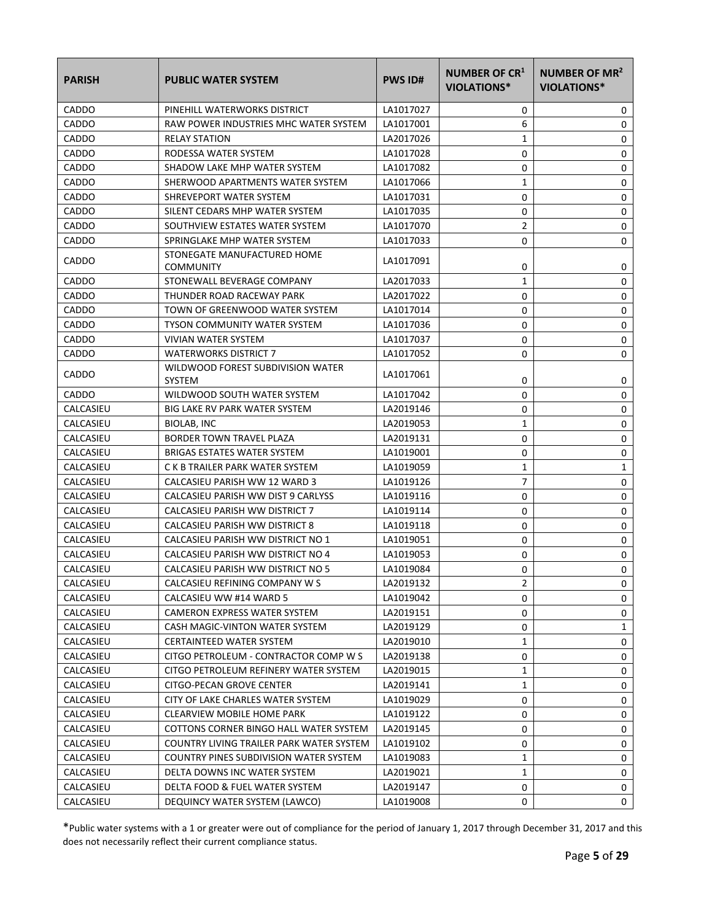| <b>PARISH</b> | <b>PUBLIC WATER SYSTEM</b>                         | <b>PWS ID#</b> | <b>NUMBER OF CR1</b><br><b>VIOLATIONS*</b> | NUMBER OF MR <sup>2</sup><br>VIOLATIONS* |
|---------------|----------------------------------------------------|----------------|--------------------------------------------|------------------------------------------|
| CADDO         | PINEHILL WATERWORKS DISTRICT                       | LA1017027      | 0                                          | 0                                        |
| CADDO         | RAW POWER INDUSTRIES MHC WATER SYSTEM              | LA1017001      | 6                                          | 0                                        |
| <b>CADDO</b>  | <b>RELAY STATION</b>                               | LA2017026      | 1                                          | 0                                        |
| CADDO         | RODESSA WATER SYSTEM                               | LA1017028      | 0                                          | 0                                        |
| CADDO         | SHADOW LAKE MHP WATER SYSTEM                       | LA1017082      | 0                                          | 0                                        |
| CADDO         | SHERWOOD APARTMENTS WATER SYSTEM                   | LA1017066      | 1                                          | 0                                        |
| CADDO         | SHREVEPORT WATER SYSTEM                            | LA1017031      | 0                                          | 0                                        |
| <b>CADDO</b>  | SILENT CEDARS MHP WATER SYSTEM                     | LA1017035      | 0                                          | 0                                        |
| CADDO         | SOUTHVIEW ESTATES WATER SYSTEM                     | LA1017070      | $\overline{2}$                             | 0                                        |
| CADDO         | SPRINGLAKE MHP WATER SYSTEM                        | LA1017033      | 0                                          | 0                                        |
| CADDO         | STONEGATE MANUFACTURED HOME<br><b>COMMUNITY</b>    | LA1017091      | 0                                          | 0                                        |
| CADDO         | STONEWALL BEVERAGE COMPANY                         | LA2017033      | 1                                          | 0                                        |
| CADDO         | THUNDER ROAD RACEWAY PARK                          | LA2017022      | 0                                          | 0                                        |
| CADDO         | TOWN OF GREENWOOD WATER SYSTEM                     | LA1017014      | 0                                          | 0                                        |
| CADDO         | <b>TYSON COMMUNITY WATER SYSTEM</b>                | LA1017036      | 0                                          | 0                                        |
| CADDO         | VIVIAN WATER SYSTEM                                | LA1017037      | 0                                          | 0                                        |
| CADDO         | <b>WATERWORKS DISTRICT 7</b>                       | LA1017052      | 0                                          | 0                                        |
| CADDO         | WILDWOOD FOREST SUBDIVISION WATER<br><b>SYSTEM</b> | LA1017061      | 0                                          | 0                                        |
| CADDO         | WILDWOOD SOUTH WATER SYSTEM                        | LA1017042      | 0                                          | 0                                        |
| CALCASIEU     | <b>BIG LAKE RV PARK WATER SYSTEM</b>               | LA2019146      | 0                                          | 0                                        |
| CALCASIEU     | BIOLAB, INC                                        | LA2019053      | 1                                          | 0                                        |
| CALCASIEU     | <b>BORDER TOWN TRAVEL PLAZA</b>                    | LA2019131      | 0                                          | 0                                        |
| CALCASIEU     | BRIGAS ESTATES WATER SYSTEM                        | LA1019001      | 0                                          | 0                                        |
| CALCASIEU     | C K B TRAILER PARK WATER SYSTEM                    | LA1019059      | 1                                          | 1                                        |
| CALCASIEU     | CALCASIEU PARISH WW 12 WARD 3                      | LA1019126      | 7                                          | 0                                        |
| CALCASIEU     | CALCASIEU PARISH WW DIST 9 CARLYSS                 | LA1019116      | 0                                          | 0                                        |
| CALCASIEU     | CALCASIEU PARISH WW DISTRICT 7                     | LA1019114      | 0                                          | 0                                        |
| CALCASIEU     | CALCASIEU PARISH WW DISTRICT 8                     | LA1019118      | 0                                          | 0                                        |
| CALCASIEU     | CALCASIEU PARISH WW DISTRICT NO 1                  | LA1019051      | 0                                          | 0                                        |
| CALCASIEU     | CALCASIEU PARISH WW DISTRICT NO 4                  | LA1019053      | 0                                          | 0                                        |
| CALCASIEU     | CALCASIEU PARISH WW DISTRICT NO 5                  | LA1019084      | 0                                          | 0                                        |
| CALCASIEU     | CALCASIEU REFINING COMPANY W S                     | LA2019132      | 2                                          | 0                                        |
| CALCASIEU     | CALCASIEU WW #14 WARD 5                            | LA1019042      | 0                                          | 0                                        |
| CALCASIEU     | CAMERON EXPRESS WATER SYSTEM                       | LA2019151      | 0                                          | 0                                        |
| CALCASIEU     | CASH MAGIC-VINTON WATER SYSTEM                     | LA2019129      | 0                                          | 1                                        |
| CALCASIEU     | <b>CERTAINTEED WATER SYSTEM</b>                    | LA2019010      | 1                                          | 0                                        |
| CALCASIEU     | CITGO PETROLEUM - CONTRACTOR COMP W S              | LA2019138      | 0                                          | 0                                        |
| CALCASIEU     | CITGO PETROLEUM REFINERY WATER SYSTEM              | LA2019015      | 1                                          | 0                                        |
| CALCASIEU     | CITGO-PECAN GROVE CENTER                           | LA2019141      | 1                                          | 0                                        |
| CALCASIEU     | CITY OF LAKE CHARLES WATER SYSTEM                  | LA1019029      | 0                                          | 0                                        |
| CALCASIEU     | CLEARVIEW MOBILE HOME PARK                         | LA1019122      | 0                                          | 0                                        |
| CALCASIEU     | COTTONS CORNER BINGO HALL WATER SYSTEM             | LA2019145      | 0                                          | 0                                        |
| CALCASIEU     | COUNTRY LIVING TRAILER PARK WATER SYSTEM           | LA1019102      | 0                                          | 0                                        |
| CALCASIEU     | COUNTRY PINES SUBDIVISION WATER SYSTEM             | LA1019083      | 1                                          | 0                                        |
| CALCASIEU     | DELTA DOWNS INC WATER SYSTEM                       | LA2019021      | 1                                          | 0                                        |
| CALCASIEU     | DELTA FOOD & FUEL WATER SYSTEM                     | LA2019147      | 0                                          | 0                                        |
| CALCASIEU     | DEQUINCY WATER SYSTEM (LAWCO)                      | LA1019008      | 0                                          | 0                                        |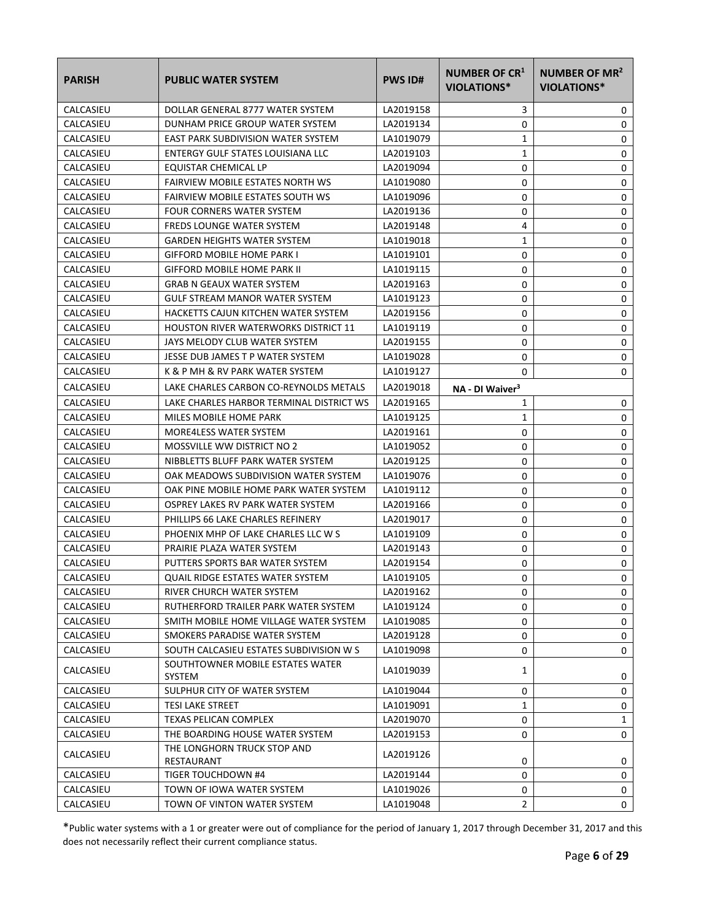| <b>PARISH</b> | <b>PUBLIC WATER SYSTEM</b>                  | <b>PWS ID#</b> | <b>NUMBER OF CR1</b><br>VIOLATIONS* | NUMBER OF MR <sup>2</sup><br><b>VIOLATIONS*</b> |
|---------------|---------------------------------------------|----------------|-------------------------------------|-------------------------------------------------|
| CALCASIEU     | DOLLAR GENERAL 8777 WATER SYSTEM            | LA2019158      | 3                                   | 0                                               |
| CALCASIEU     | DUNHAM PRICE GROUP WATER SYSTEM             | LA2019134      | 0                                   | 0                                               |
| CALCASIEU     | EAST PARK SUBDIVISION WATER SYSTEM          | LA1019079      | $\mathbf{1}$                        | 0                                               |
| CALCASIEU     | ENTERGY GULF STATES LOUISIANA LLC           | LA2019103      | 1                                   | 0                                               |
| CALCASIEU     | EQUISTAR CHEMICAL LP                        | LA2019094      | 0                                   | 0                                               |
| CALCASIEU     | <b>FAIRVIEW MOBILE ESTATES NORTH WS</b>     | LA1019080      | 0                                   | 0                                               |
| CALCASIEU     | FAIRVIEW MOBILE ESTATES SOUTH WS            | LA1019096      | 0                                   | 0                                               |
| CALCASIEU     | <b>FOUR CORNERS WATER SYSTEM</b>            | LA2019136      | 0                                   | 0                                               |
| CALCASIEU     | <b>FREDS LOUNGE WATER SYSTEM</b>            | LA2019148      | 4                                   | 0                                               |
| CALCASIEU     | <b>GARDEN HEIGHTS WATER SYSTEM</b>          | LA1019018      | 1                                   | 0                                               |
| CALCASIEU     | <b>GIFFORD MOBILE HOME PARK I</b>           | LA1019101      | 0                                   | 0                                               |
| CALCASIEU     | <b>GIFFORD MOBILE HOME PARK II</b>          | LA1019115      | 0                                   | 0                                               |
| CALCASIEU     | <b>GRAB N GEAUX WATER SYSTEM</b>            | LA2019163      | 0                                   | 0                                               |
| CALCASIEU     | <b>GULF STREAM MANOR WATER SYSTEM</b>       | LA1019123      | 0                                   | 0                                               |
| CALCASIEU     | HACKETTS CAJUN KITCHEN WATER SYSTEM         | LA2019156      | 0                                   | 0                                               |
| CALCASIEU     | <b>HOUSTON RIVER WATERWORKS DISTRICT 11</b> | LA1019119      | 0                                   | 0                                               |
| CALCASIEU     | JAYS MELODY CLUB WATER SYSTEM               | LA2019155      | 0                                   | 0                                               |
| CALCASIEU     | JESSE DUB JAMES T P WATER SYSTEM            | LA1019028      | 0                                   | 0                                               |
| CALCASIEU     | K & P MH & RV PARK WATER SYSTEM             | LA1019127      | 0                                   | 0                                               |
| CALCASIEU     | LAKE CHARLES CARBON CO-REYNOLDS METALS      | LA2019018      | NA - DI Waiver <sup>3</sup>         |                                                 |
| CALCASIEU     | LAKE CHARLES HARBOR TERMINAL DISTRICT WS    | LA2019165      | 1                                   | 0                                               |
| CALCASIEU     | MILES MOBILE HOME PARK                      | LA1019125      | 1                                   | 0                                               |
| CALCASIEU     | MORE4LESS WATER SYSTEM                      | LA2019161      | 0                                   | 0                                               |
| CALCASIEU     | MOSSVILLE WW DISTRICT NO 2                  | LA1019052      | 0                                   | 0                                               |
| CALCASIEU     | NIBBLETTS BLUFF PARK WATER SYSTEM           | LA2019125      | 0                                   | 0                                               |
| CALCASIEU     | OAK MEADOWS SUBDIVISION WATER SYSTEM        | LA1019076      | 0                                   | 0                                               |
| CALCASIEU     | OAK PINE MOBILE HOME PARK WATER SYSTEM      | LA1019112      | 0                                   | 0                                               |
| CALCASIEU     | OSPREY LAKES RV PARK WATER SYSTEM           | LA2019166      | 0                                   | 0                                               |
| CALCASIEU     | PHILLIPS 66 LAKE CHARLES REFINERY           | LA2019017      | 0                                   | 0                                               |
| CALCASIEU     | PHOENIX MHP OF LAKE CHARLES LLC W S         | LA1019109      | 0                                   | 0                                               |
| CALCASIEU     | PRAIRIE PLAZA WATER SYSTEM                  | LA2019143      | 0                                   | 0                                               |
| CALCASIEU     | PUTTERS SPORTS BAR WATER SYSTEM             | LA2019154      | 0                                   | 0                                               |
| CALCASIEU     | <b>QUAIL RIDGE ESTATES WATER SYSTEM</b>     | LA1019105      | 0                                   | 0                                               |
| CALCASIEU     | RIVER CHURCH WATER SYSTEM                   | LA2019162      | 0                                   | 0                                               |
| CALCASIEU     | RUTHERFORD TRAILER PARK WATER SYSTEM        | LA1019124      | 0                                   | 0                                               |
| CALCASIEU     | SMITH MOBILE HOME VILLAGE WATER SYSTEM      | LA1019085      | 0                                   | 0                                               |
| CALCASIEU     | SMOKERS PARADISE WATER SYSTEM               | LA2019128      | 0                                   | 0                                               |
| CALCASIEU     | SOUTH CALCASIEU ESTATES SUBDIVISION W S     | LA1019098      | 0                                   | 0                                               |
| CALCASIEU     | SOUTHTOWNER MOBILE ESTATES WATER<br>SYSTEM  | LA1019039      | 1                                   | 0                                               |
| CALCASIEU     | SULPHUR CITY OF WATER SYSTEM                | LA1019044      | 0                                   | 0                                               |
| CALCASIEU     | <b>TESI LAKE STREET</b>                     | LA1019091      | 1                                   | 0                                               |
| CALCASIEU     | TEXAS PELICAN COMPLEX                       | LA2019070      | 0                                   | $\mathbf{1}$                                    |
| CALCASIEU     | THE BOARDING HOUSE WATER SYSTEM             | LA2019153      | 0                                   | 0                                               |
| CALCASIEU     | THE LONGHORN TRUCK STOP AND<br>RESTAURANT   | LA2019126      | 0                                   | 0                                               |
| CALCASIEU     | TIGER TOUCHDOWN #4                          | LA2019144      | 0                                   | 0                                               |
| CALCASIEU     | TOWN OF IOWA WATER SYSTEM                   | LA1019026      | 0                                   | 0                                               |
| CALCASIEU     | TOWN OF VINTON WATER SYSTEM                 | LA1019048      | $\overline{2}$                      | 0                                               |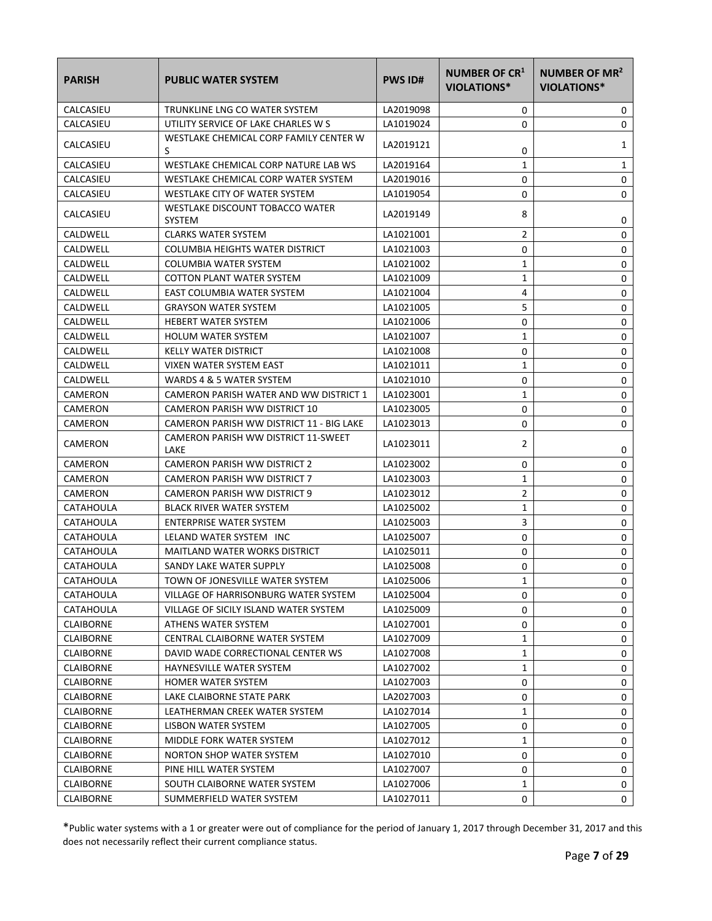| <b>PARISH</b>    | <b>PUBLIC WATER SYSTEM</b>                       | <b>PWS ID#</b> | <b>NUMBER OF CR1</b><br>VIOLATIONS* | NUMBER OF MR <sup>2</sup><br>VIOLATIONS* |
|------------------|--------------------------------------------------|----------------|-------------------------------------|------------------------------------------|
| CALCASIEU        | TRUNKLINE LNG CO WATER SYSTEM                    | LA2019098      | 0                                   | 0                                        |
| CALCASIEU        | UTILITY SERVICE OF LAKE CHARLES W S              | LA1019024      | 0                                   | 0                                        |
| CALCASIEU        | WESTLAKE CHEMICAL CORP FAMILY CENTER W<br>S      | LA2019121      | 0                                   | 1                                        |
| CALCASIEU        | WESTLAKE CHEMICAL CORP NATURE LAB WS             | LA2019164      | 1                                   | 1                                        |
| CALCASIEU        | WESTLAKE CHEMICAL CORP WATER SYSTEM              | LA2019016      | 0                                   | 0                                        |
| CALCASIEU        | WESTLAKE CITY OF WATER SYSTEM                    | LA1019054      | 0                                   | 0                                        |
| CALCASIEU        | WESTLAKE DISCOUNT TOBACCO WATER<br><b>SYSTEM</b> | LA2019149      | 8                                   | 0                                        |
| CALDWELL         | <b>CLARKS WATER SYSTEM</b>                       | LA1021001      | $\overline{2}$                      | 0                                        |
| CALDWELL         | COLUMBIA HEIGHTS WATER DISTRICT                  | LA1021003      | 0                                   | 0                                        |
| CALDWELL         | COLUMBIA WATER SYSTEM                            | LA1021002      | 1                                   | 0                                        |
| CALDWELL         | <b>COTTON PLANT WATER SYSTEM</b>                 | LA1021009      | 1                                   | 0                                        |
| CALDWELL         | EAST COLUMBIA WATER SYSTEM                       | LA1021004      | 4                                   | 0                                        |
| CALDWELL         | <b>GRAYSON WATER SYSTEM</b>                      | LA1021005      | 5                                   | 0                                        |
| CALDWELL         | <b>HEBERT WATER SYSTEM</b>                       | LA1021006      | 0                                   | 0                                        |
| CALDWELL         | <b>HOLUM WATER SYSTEM</b>                        | LA1021007      | 1                                   | 0                                        |
| CALDWELL         | <b>KELLY WATER DISTRICT</b>                      | LA1021008      | 0                                   | 0                                        |
| CALDWELL         | VIXEN WATER SYSTEM EAST                          | LA1021011      | 1                                   | 0                                        |
| CALDWELL         | WARDS 4 & 5 WATER SYSTEM                         | LA1021010      | 0                                   | 0                                        |
| CAMERON          | CAMERON PARISH WATER AND WW DISTRICT 1           | LA1023001      | $\mathbf{1}$                        | 0                                        |
| CAMERON          | CAMERON PARISH WW DISTRICT 10                    | LA1023005      | 0                                   | 0                                        |
| CAMERON          | CAMERON PARISH WW DISTRICT 11 - BIG LAKE         | LA1023013      | 0                                   | 0                                        |
| CAMERON          | CAMERON PARISH WW DISTRICT 11-SWEET<br>LAKE      | LA1023011      | 2                                   | 0                                        |
| CAMERON          | <b>CAMERON PARISH WW DISTRICT 2</b>              | LA1023002      | 0                                   | 0                                        |
| CAMERON          | CAMERON PARISH WW DISTRICT 7                     | LA1023003      | 1                                   | 0                                        |
| CAMERON          | CAMERON PARISH WW DISTRICT 9                     | LA1023012      | 2                                   | 0                                        |
| CATAHOULA        | <b>BLACK RIVER WATER SYSTEM</b>                  | LA1025002      | 1                                   | 0                                        |
| CATAHOULA        | <b>ENTERPRISE WATER SYSTEM</b>                   | LA1025003      | 3                                   | 0                                        |
| <b>CATAHOULA</b> | LELAND WATER SYSTEM INC                          | LA1025007      | 0                                   | 0                                        |
| CATAHOULA        | <b>MAITLAND WATER WORKS DISTRICT</b>             | LA1025011      | 0                                   | 0                                        |
| CATAHOULA        | SANDY LAKE WATER SUPPLY                          | LA1025008      | 0                                   | 0                                        |
| CATAHOULA        | TOWN OF JONESVILLE WATER SYSTEM                  | LA1025006      | 1                                   | 0                                        |
| CATAHOULA        | VILLAGE OF HARRISONBURG WATER SYSTEM             | LA1025004      | 0                                   | 0                                        |
| CATAHOULA        | VILLAGE OF SICILY ISLAND WATER SYSTEM            | LA1025009      | 0                                   | 0                                        |
| <b>CLAIBORNE</b> | ATHENS WATER SYSTEM                              | LA1027001      | 0                                   | 0                                        |
| <b>CLAIBORNE</b> | CENTRAL CLAIBORNE WATER SYSTEM                   | LA1027009      | 1                                   | 0                                        |
| <b>CLAIBORNE</b> | DAVID WADE CORRECTIONAL CENTER WS                | LA1027008      | 1                                   | 0                                        |
| <b>CLAIBORNE</b> | HAYNESVILLE WATER SYSTEM                         | LA1027002      | 1                                   | 0                                        |
| <b>CLAIBORNE</b> | HOMER WATER SYSTEM                               | LA1027003      | 0                                   | 0                                        |
| <b>CLAIBORNE</b> | LAKE CLAIBORNE STATE PARK                        | LA2027003      | 0                                   | 0                                        |
| <b>CLAIBORNE</b> | LEATHERMAN CREEK WATER SYSTEM                    | LA1027014      | 1                                   | 0                                        |
| <b>CLAIBORNE</b> | LISBON WATER SYSTEM                              | LA1027005      | 0                                   | 0                                        |
| <b>CLAIBORNE</b> | MIDDLE FORK WATER SYSTEM                         | LA1027012      | 1                                   | 0                                        |
| <b>CLAIBORNE</b> | NORTON SHOP WATER SYSTEM                         | LA1027010      | 0                                   | 0                                        |
| <b>CLAIBORNE</b> | PINE HILL WATER SYSTEM                           | LA1027007      | 0                                   | 0                                        |
| <b>CLAIBORNE</b> | SOUTH CLAIBORNE WATER SYSTEM                     | LA1027006      | 1                                   | 0                                        |
| <b>CLAIBORNE</b> | SUMMERFIELD WATER SYSTEM                         | LA1027011      | 0                                   | 0                                        |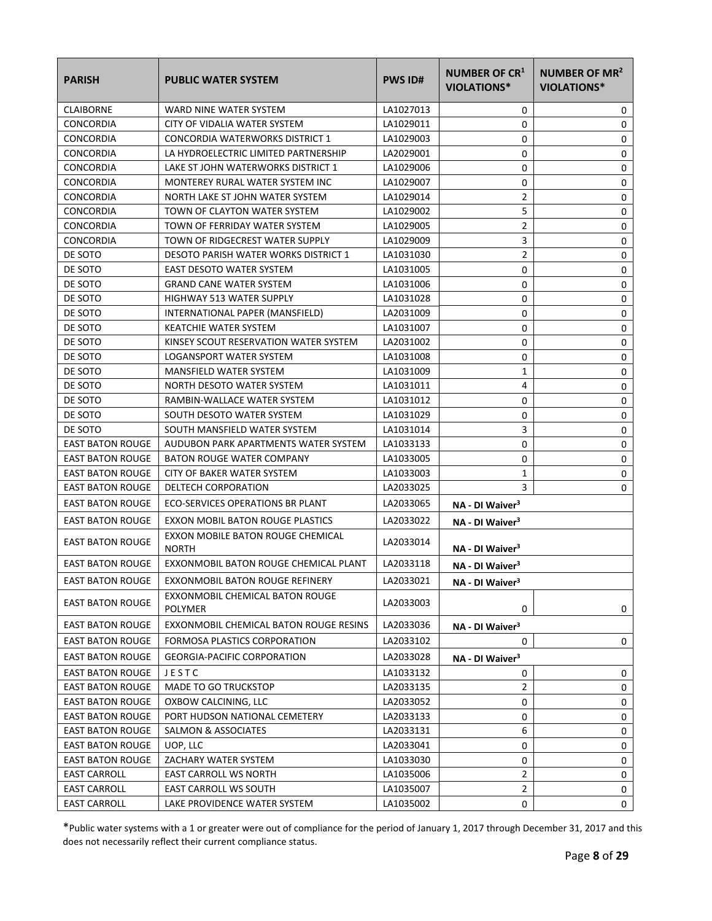| <b>PARISH</b>           | <b>PUBLIC WATER SYSTEM</b>                        | <b>PWS ID#</b> | <b>NUMBER OF CR1</b><br><b>VIOLATIONS*</b> | NUMBER OF MR <sup>2</sup><br><b>VIOLATIONS*</b> |
|-------------------------|---------------------------------------------------|----------------|--------------------------------------------|-------------------------------------------------|
| <b>CLAIBORNE</b>        | WARD NINE WATER SYSTEM                            | LA1027013      | 0                                          | 0                                               |
| CONCORDIA               | CITY OF VIDALIA WATER SYSTEM                      | LA1029011      | 0                                          | $\mathbf 0$                                     |
| CONCORDIA               | CONCORDIA WATERWORKS DISTRICT 1                   | LA1029003      | 0                                          | $\mathbf 0$                                     |
| CONCORDIA               | LA HYDROELECTRIC LIMITED PARTNERSHIP              | LA2029001      | 0                                          | 0                                               |
| CONCORDIA               | LAKE ST JOHN WATERWORKS DISTRICT 1                | LA1029006      | 0                                          | 0                                               |
| CONCORDIA               | MONTEREY RURAL WATER SYSTEM INC                   | LA1029007      | 0                                          | 0                                               |
| <b>CONCORDIA</b>        | NORTH LAKE ST JOHN WATER SYSTEM                   | LA1029014      | $\overline{2}$                             | 0                                               |
| CONCORDIA               | TOWN OF CLAYTON WATER SYSTEM                      | LA1029002      | 5                                          | 0                                               |
| CONCORDIA               | TOWN OF FERRIDAY WATER SYSTEM                     | LA1029005      | $\overline{2}$                             | 0                                               |
| CONCORDIA               | TOWN OF RIDGECREST WATER SUPPLY                   | LA1029009      | 3                                          | 0                                               |
| DE SOTO                 | <b>DESOTO PARISH WATER WORKS DISTRICT 1</b>       | LA1031030      | $\overline{2}$                             | 0                                               |
| DE SOTO                 | EAST DESOTO WATER SYSTEM                          | LA1031005      | 0                                          | 0                                               |
| DE SOTO                 | <b>GRAND CANE WATER SYSTEM</b>                    | LA1031006      | 0                                          | 0                                               |
| DE SOTO                 | <b>HIGHWAY 513 WATER SUPPLY</b>                   | LA1031028      | 0                                          | $\mathbf 0$                                     |
| DE SOTO                 | INTERNATIONAL PAPER (MANSFIELD)                   | LA2031009      | 0                                          | $\mathbf 0$                                     |
| DE SOTO                 | <b>KEATCHIE WATER SYSTEM</b>                      | LA1031007      | 0                                          | 0                                               |
| DE SOTO                 | KINSEY SCOUT RESERVATION WATER SYSTEM             | LA2031002      | 0                                          | 0                                               |
| DE SOTO                 | LOGANSPORT WATER SYSTEM                           | LA1031008      | 0                                          | 0                                               |
| DE SOTO                 | MANSFIELD WATER SYSTEM                            | LA1031009      | 1                                          | $\mathbf 0$                                     |
| DE SOTO                 | NORTH DESOTO WATER SYSTEM                         | LA1031011      | 4                                          | 0                                               |
| DE SOTO                 | RAMBIN-WALLACE WATER SYSTEM                       | LA1031012      | 0                                          | 0                                               |
| DE SOTO                 | SOUTH DESOTO WATER SYSTEM                         | LA1031029      | 0                                          | 0                                               |
| DE SOTO                 | SOUTH MANSFIELD WATER SYSTEM                      | LA1031014      | 3                                          | 0                                               |
| <b>EAST BATON ROUGE</b> | AUDUBON PARK APARTMENTS WATER SYSTEM              | LA1033133      | 0                                          | 0                                               |
| <b>EAST BATON ROUGE</b> | <b>BATON ROUGE WATER COMPANY</b>                  | LA1033005      | 0                                          | 0                                               |
| <b>EAST BATON ROUGE</b> | CITY OF BAKER WATER SYSTEM                        | LA1033003      | 1                                          | $\mathbf 0$                                     |
| <b>EAST BATON ROUGE</b> | DELTECH CORPORATION                               | LA2033025      | 3                                          | 0                                               |
| <b>EAST BATON ROUGE</b> | ECO-SERVICES OPERATIONS BR PLANT                  | LA2033065      | NA - DI Waiver <sup>3</sup>                |                                                 |
| <b>EAST BATON ROUGE</b> | EXXON MOBIL BATON ROUGE PLASTICS                  | LA2033022      | NA - DI Waiver <sup>3</sup>                |                                                 |
| <b>EAST BATON ROUGE</b> | EXXON MOBILE BATON ROUGE CHEMICAL<br><b>NORTH</b> | LA2033014      | NA - DI Waiver <sup>3</sup>                |                                                 |
| <b>EAST BATON ROUGE</b> | EXXONMOBIL BATON ROUGE CHEMICAL PLANT             | LA2033118      | NA - DI Waiver <sup>3</sup>                |                                                 |
| <b>EAST BATON ROUGE</b> | EXXONMOBIL BATON ROUGE REFINERY                   | LA2033021      | NA - DI Waiver <sup>3</sup>                |                                                 |
| <b>EAST BATON ROUGE</b> | EXXONMOBIL CHEMICAL BATON ROUGE<br>POLYMER        | LA2033003      | 0                                          | 0                                               |
| <b>EAST BATON ROUGE</b> | EXXONMOBIL CHEMICAL BATON ROUGE RESINS            | LA2033036      | NA - DI Waiver <sup>3</sup>                |                                                 |
| <b>EAST BATON ROUGE</b> | FORMOSA PLASTICS CORPORATION                      | LA2033102      | 0                                          | 0                                               |
| <b>EAST BATON ROUGE</b> | <b>GEORGIA-PACIFIC CORPORATION</b>                | LA2033028      | NA - DI Waiver <sup>3</sup>                |                                                 |
| <b>EAST BATON ROUGE</b> | JESTC                                             | LA1033132      | 0                                          | 0                                               |
| <b>EAST BATON ROUGE</b> | MADE TO GO TRUCKSTOP                              | LA2033135      | 2                                          | 0                                               |
| <b>EAST BATON ROUGE</b> | OXBOW CALCINING, LLC                              | LA2033052      | 0                                          | 0                                               |
| <b>EAST BATON ROUGE</b> | PORT HUDSON NATIONAL CEMETERY                     | LA2033133      | 0                                          | 0                                               |
| <b>EAST BATON ROUGE</b> | SALMON & ASSOCIATES                               | LA2033131      | 6                                          | 0                                               |
| <b>EAST BATON ROUGE</b> | UOP, LLC                                          | LA2033041      | 0                                          | 0                                               |
| <b>EAST BATON ROUGE</b> | ZACHARY WATER SYSTEM                              | LA1033030      | 0                                          | 0                                               |
| <b>EAST CARROLL</b>     | EAST CARROLL WS NORTH                             | LA1035006      | 2                                          | 0                                               |
| <b>EAST CARROLL</b>     | EAST CARROLL WS SOUTH                             | LA1035007      | $\overline{2}$                             | 0                                               |
| <b>EAST CARROLL</b>     | LAKE PROVIDENCE WATER SYSTEM                      | LA1035002      | 0                                          | 0                                               |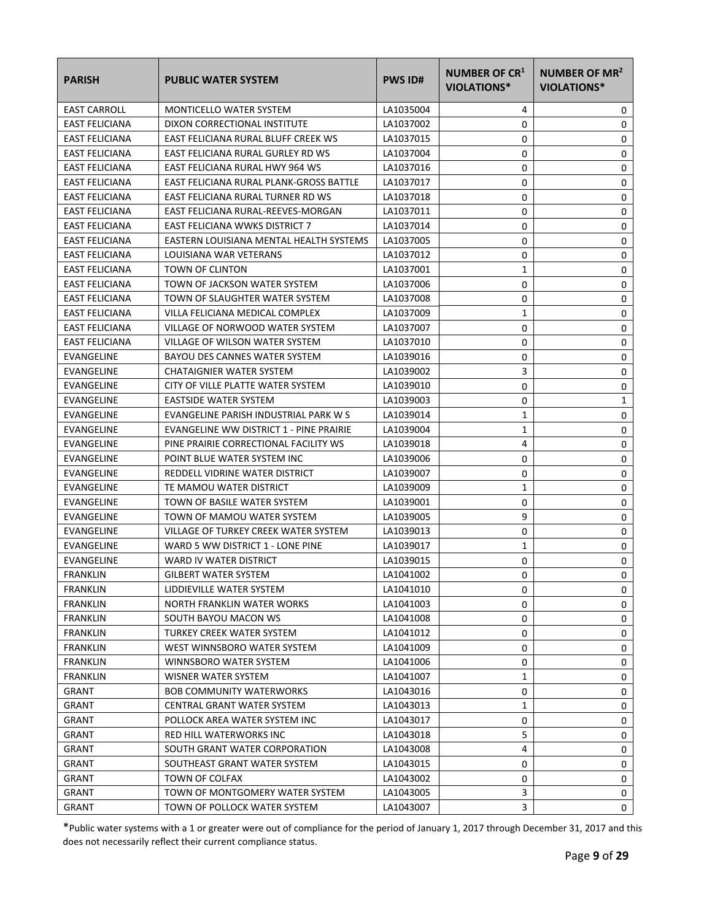| <b>PARISH</b>         | <b>PUBLIC WATER SYSTEM</b>              | <b>PWS ID#</b> | NUMBER OF CR <sup>1</sup><br>VIOLATIONS* | NUMBER OF MR <sup>2</sup><br><b>VIOLATIONS*</b> |
|-----------------------|-----------------------------------------|----------------|------------------------------------------|-------------------------------------------------|
| <b>EAST CARROLL</b>   | <b>MONTICELLO WATER SYSTEM</b>          | LA1035004      | 4                                        | 0                                               |
| <b>EAST FELICIANA</b> | DIXON CORRECTIONAL INSTITUTE            | LA1037002      | 0                                        | 0                                               |
| <b>EAST FELICIANA</b> | EAST FELICIANA RURAL BLUFF CREEK WS     | LA1037015      | 0                                        | 0                                               |
| <b>EAST FELICIANA</b> | EAST FELICIANA RURAL GURLEY RD WS       | LA1037004      | 0                                        | 0                                               |
| <b>EAST FELICIANA</b> | EAST FELICIANA RURAL HWY 964 WS         | LA1037016      | 0                                        | 0                                               |
| <b>EAST FELICIANA</b> | EAST FELICIANA RURAL PLANK-GROSS BATTLE | LA1037017      | 0                                        | 0                                               |
| <b>EAST FELICIANA</b> | EAST FELICIANA RURAL TURNER RD WS       | LA1037018      | 0                                        | 0                                               |
| <b>EAST FELICIANA</b> | EAST FELICIANA RURAL-REEVES-MORGAN      | LA1037011      | 0                                        | 0                                               |
| <b>EAST FELICIANA</b> | <b>EAST FELICIANA WWKS DISTRICT 7</b>   | LA1037014      | 0                                        | 0                                               |
| <b>EAST FELICIANA</b> | EASTERN LOUISIANA MENTAL HEALTH SYSTEMS | LA1037005      | 0                                        | 0                                               |
| <b>EAST FELICIANA</b> | LOUISIANA WAR VETERANS                  | LA1037012      | 0                                        | 0                                               |
| <b>EAST FELICIANA</b> | TOWN OF CLINTON                         | LA1037001      | 1                                        | 0                                               |
| <b>EAST FELICIANA</b> | TOWN OF JACKSON WATER SYSTEM            | LA1037006      | 0                                        | 0                                               |
| <b>EAST FELICIANA</b> | TOWN OF SLAUGHTER WATER SYSTEM          | LA1037008      | 0                                        | 0                                               |
| <b>EAST FELICIANA</b> | VILLA FELICIANA MEDICAL COMPLEX         | LA1037009      | 1                                        | 0                                               |
| <b>EAST FELICIANA</b> | VILLAGE OF NORWOOD WATER SYSTEM         | LA1037007      | 0                                        | 0                                               |
| <b>EAST FELICIANA</b> | VILLAGE OF WILSON WATER SYSTEM          | LA1037010      | 0                                        | 0                                               |
| EVANGELINE            | BAYOU DES CANNES WATER SYSTEM           | LA1039016      | 0                                        | 0                                               |
| EVANGELINE            | CHATAIGNIER WATER SYSTEM                | LA1039002      | 3                                        | 0                                               |
| EVANGELINE            | CITY OF VILLE PLATTE WATER SYSTEM       | LA1039010      | 0                                        | 0                                               |
| EVANGELINE            | EASTSIDE WATER SYSTEM                   | LA1039003      | 0                                        | 1                                               |
| EVANGELINE            | EVANGELINE PARISH INDUSTRIAL PARK W S   | LA1039014      | 1                                        | 0                                               |
| EVANGELINE            | EVANGELINE WW DISTRICT 1 - PINE PRAIRIE | LA1039004      | 1                                        | 0                                               |
| EVANGELINE            | PINE PRAIRIE CORRECTIONAL FACILITY WS   | LA1039018      | 4                                        | 0                                               |
| EVANGELINE            | POINT BLUE WATER SYSTEM INC             | LA1039006      | 0                                        | 0                                               |
| EVANGELINE            | REDDELL VIDRINE WATER DISTRICT          | LA1039007      | 0                                        | 0                                               |
| EVANGELINE            | TE MAMOU WATER DISTRICT                 | LA1039009      | 1                                        | 0                                               |
| EVANGELINE            | TOWN OF BASILE WATER SYSTEM             | LA1039001      | 0                                        | 0                                               |
| EVANGELINE            | TOWN OF MAMOU WATER SYSTEM              | LA1039005      | 9                                        | 0                                               |
| EVANGELINE            | VILLAGE OF TURKEY CREEK WATER SYSTEM    | LA1039013      | 0                                        | 0                                               |
| EVANGELINE            | WARD 5 WW DISTRICT 1 - LONE PINE        | LA1039017      | $\mathbf 1$                              | 0                                               |
| EVANGELINE            | WARD IV WATER DISTRICT                  | LA1039015      | 0                                        | 0                                               |
| <b>FRANKLIN</b>       | <b>GILBERT WATER SYSTEM</b>             | LA1041002      | 0                                        | $\Omega$                                        |
| FRANKLIN              | LIDDIEVILLE WATER SYSTEM                | LA1041010      | 0                                        | 0                                               |
| <b>FRANKLIN</b>       | NORTH FRANKLIN WATER WORKS              | LA1041003      | 0                                        | 0                                               |
| FRANKLIN              | SOUTH BAYOU MACON WS                    | LA1041008      | 0                                        | 0                                               |
| FRANKLIN              | TURKEY CREEK WATER SYSTEM               | LA1041012      | 0                                        | 0                                               |
| <b>FRANKLIN</b>       | WEST WINNSBORO WATER SYSTEM             | LA1041009      | 0                                        | 0                                               |
| <b>FRANKLIN</b>       | WINNSBORO WATER SYSTEM                  | LA1041006      | 0                                        | 0                                               |
| FRANKLIN              | WISNER WATER SYSTEM                     | LA1041007      | 1                                        | 0                                               |
| GRANT                 | <b>BOB COMMUNITY WATERWORKS</b>         | LA1043016      | 0                                        | 0                                               |
| GRANT                 | CENTRAL GRANT WATER SYSTEM              | LA1043013      | 1                                        | 0                                               |
| GRANT                 | POLLOCK AREA WATER SYSTEM INC           | LA1043017      | 0                                        | 0                                               |
| GRANT                 | RED HILL WATERWORKS INC                 | LA1043018      | 5                                        | 0                                               |
| GRANT                 | SOUTH GRANT WATER CORPORATION           | LA1043008      | 4                                        | 0                                               |
| GRANT                 | SOUTHEAST GRANT WATER SYSTEM            | LA1043015      | 0                                        | 0                                               |
| GRANT                 | TOWN OF COLFAX                          | LA1043002      | 0                                        | 0                                               |
| GRANT                 | TOWN OF MONTGOMERY WATER SYSTEM         | LA1043005      | 3                                        | 0                                               |
| <b>GRANT</b>          | TOWN OF POLLOCK WATER SYSTEM            | LA1043007      | 3                                        | 0                                               |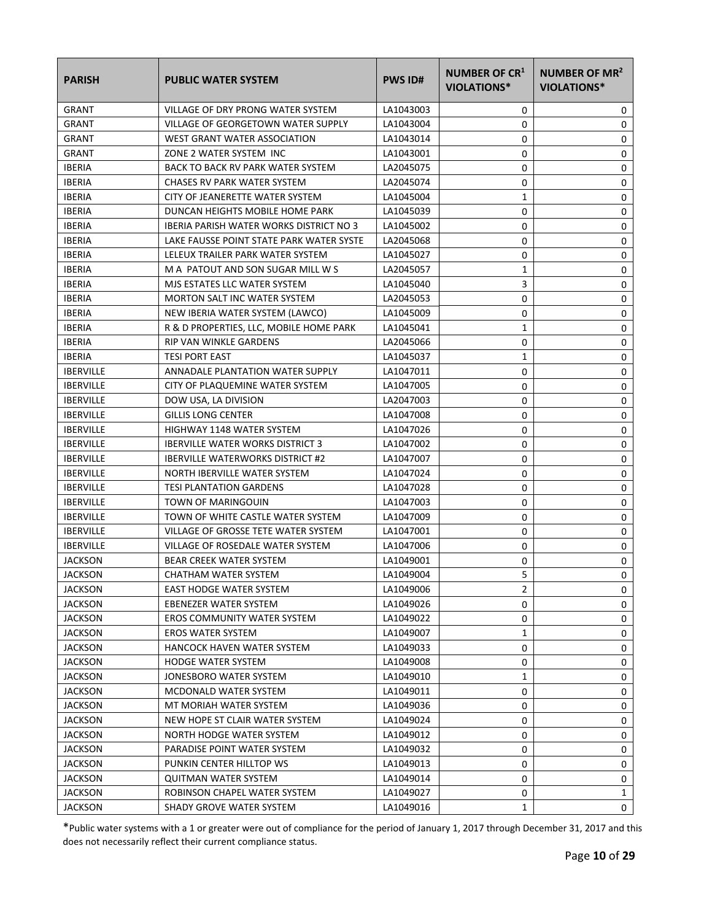| <b>PARISH</b>    | <b>PUBLIC WATER SYSTEM</b>               | <b>PWS ID#</b> | NUMBER OF CR <sup>1</sup><br>VIOLATIONS* | NUMBER OF MR <sup>2</sup><br><b>VIOLATIONS*</b> |
|------------------|------------------------------------------|----------------|------------------------------------------|-------------------------------------------------|
| <b>GRANT</b>     | VILLAGE OF DRY PRONG WATER SYSTEM        | LA1043003      | 0                                        | 0                                               |
| <b>GRANT</b>     | VILLAGE OF GEORGETOWN WATER SUPPLY       | LA1043004      | 0                                        | 0                                               |
| <b>GRANT</b>     | WEST GRANT WATER ASSOCIATION             | LA1043014      | 0                                        | 0                                               |
| <b>GRANT</b>     | ZONE 2 WATER SYSTEM INC                  | LA1043001      | 0                                        | 0                                               |
| <b>IBERIA</b>    | BACK TO BACK RV PARK WATER SYSTEM        | LA2045075      | 0                                        | 0                                               |
| <b>IBERIA</b>    | CHASES RV PARK WATER SYSTEM              | LA2045074      | 0                                        | 0                                               |
| <b>IBERIA</b>    | CITY OF JEANERETTE WATER SYSTEM          | LA1045004      | 1                                        | 0                                               |
| <b>IBERIA</b>    | DUNCAN HEIGHTS MOBILE HOME PARK          | LA1045039      | 0                                        | 0                                               |
| <b>IBERIA</b>    | IBERIA PARISH WATER WORKS DISTRICT NO 3  | LA1045002      | 0                                        | 0                                               |
| <b>IBERIA</b>    | LAKE FAUSSE POINT STATE PARK WATER SYSTE | LA2045068      | 0                                        | 0                                               |
| <b>IBERIA</b>    | LELEUX TRAILER PARK WATER SYSTEM         | LA1045027      | 0                                        | 0                                               |
| <b>IBERIA</b>    | M A PATOUT AND SON SUGAR MILL W S        | LA2045057      | 1                                        | 0                                               |
| <b>IBERIA</b>    | MJS ESTATES LLC WATER SYSTEM             | LA1045040      | 3                                        | 0                                               |
| <b>IBERIA</b>    | <b>MORTON SALT INC WATER SYSTEM</b>      | LA2045053      | 0                                        | 0                                               |
| <b>IBERIA</b>    | NEW IBERIA WATER SYSTEM (LAWCO)          | LA1045009      | 0                                        | 0                                               |
| <b>IBERIA</b>    | R & D PROPERTIES, LLC, MOBILE HOME PARK  | LA1045041      | 1                                        | 0                                               |
| <b>IBERIA</b>    | <b>RIP VAN WINKLE GARDENS</b>            | LA2045066      | 0                                        | 0                                               |
| <b>IBERIA</b>    | <b>TESI PORT EAST</b>                    | LA1045037      | 1                                        | 0                                               |
| <b>IBERVILLE</b> | ANNADALE PLANTATION WATER SUPPLY         | LA1047011      | 0                                        | 0                                               |
| <b>IBERVILLE</b> | CITY OF PLAQUEMINE WATER SYSTEM          | LA1047005      | 0                                        | 0                                               |
| <b>IBERVILLE</b> | DOW USA, LA DIVISION                     | LA2047003      | 0                                        | 0                                               |
| <b>IBERVILLE</b> | <b>GILLIS LONG CENTER</b>                | LA1047008      | 0                                        | 0                                               |
| <b>IBERVILLE</b> | HIGHWAY 1148 WATER SYSTEM                | LA1047026      | 0                                        | 0                                               |
| <b>IBERVILLE</b> | <b>IBERVILLE WATER WORKS DISTRICT 3</b>  | LA1047002      | 0                                        | 0                                               |
| <b>IBERVILLE</b> | <b>IBERVILLE WATERWORKS DISTRICT #2</b>  | LA1047007      | 0                                        | 0                                               |
| <b>IBERVILLE</b> | NORTH IBERVILLE WATER SYSTEM             | LA1047024      | 0                                        | 0                                               |
| <b>IBERVILLE</b> | <b>TESI PLANTATION GARDENS</b>           | LA1047028      | 0                                        | 0                                               |
| <b>IBERVILLE</b> | TOWN OF MARINGOUIN                       | LA1047003      | 0                                        | 0                                               |
| <b>IBERVILLE</b> | TOWN OF WHITE CASTLE WATER SYSTEM        | LA1047009      | 0                                        | 0                                               |
| <b>IBERVILLE</b> | VILLAGE OF GROSSE TETE WATER SYSTEM      | LA1047001      | 0                                        | 0                                               |
| <b>IBERVILLE</b> | VILLAGE OF ROSEDALE WATER SYSTEM         | LA1047006      | 0                                        | 0                                               |
| <b>JACKSON</b>   | <b>BEAR CREEK WATER SYSTEM</b>           | LA1049001      | 0                                        | $\mathbf 0$                                     |
| <b>JACKSON</b>   | CHATHAM WATER SYSTEM                     | LA1049004      | 5                                        | 0                                               |
| <b>JACKSON</b>   | <b>EAST HODGE WATER SYSTEM</b>           | LA1049006      | 2                                        | 0                                               |
| <b>JACKSON</b>   | EBENEZER WATER SYSTEM                    | LA1049026      | 0                                        | 0                                               |
| <b>JACKSON</b>   | EROS COMMUNITY WATER SYSTEM              | LA1049022      | 0                                        | 0                                               |
| <b>JACKSON</b>   | <b>EROS WATER SYSTEM</b>                 | LA1049007      | 1                                        | 0                                               |
| <b>JACKSON</b>   | HANCOCK HAVEN WATER SYSTEM               | LA1049033      | 0                                        | 0                                               |
| <b>JACKSON</b>   | <b>HODGE WATER SYSTEM</b>                | LA1049008      | 0                                        | 0                                               |
| <b>JACKSON</b>   | JONESBORO WATER SYSTEM                   | LA1049010      | 1                                        | 0                                               |
| <b>JACKSON</b>   | MCDONALD WATER SYSTEM                    | LA1049011      | 0                                        | 0                                               |
| <b>JACKSON</b>   | MT MORIAH WATER SYSTEM                   | LA1049036      | 0                                        | 0                                               |
| <b>JACKSON</b>   | NEW HOPE ST CLAIR WATER SYSTEM           | LA1049024      | 0                                        | 0                                               |
| <b>JACKSON</b>   | NORTH HODGE WATER SYSTEM                 | LA1049012      | 0                                        | 0                                               |
| <b>JACKSON</b>   | PARADISE POINT WATER SYSTEM              | LA1049032      | 0                                        | 0                                               |
| <b>JACKSON</b>   | PUNKIN CENTER HILLTOP WS                 | LA1049013      | 0                                        | 0                                               |
| <b>JACKSON</b>   | <b>QUITMAN WATER SYSTEM</b>              | LA1049014      | 0                                        | 0                                               |
| <b>JACKSON</b>   | ROBINSON CHAPEL WATER SYSTEM             | LA1049027      | 0                                        | 1                                               |
| <b>JACKSON</b>   | SHADY GROVE WATER SYSTEM                 | LA1049016      | 1                                        | 0                                               |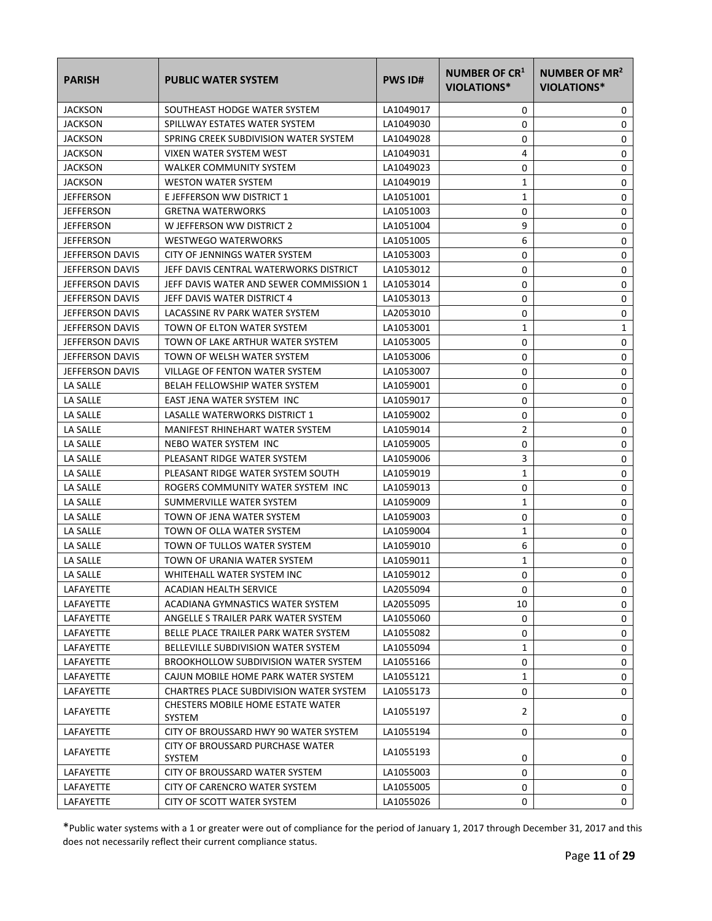| <b>PARISH</b>          | <b>PUBLIC WATER SYSTEM</b>                  | <b>PWS ID#</b> | NUMBER OF CR <sup>1</sup><br>VIOLATIONS* | <b>NUMBER OF MR<sup>2</sup></b><br>VIOLATIONS* |
|------------------------|---------------------------------------------|----------------|------------------------------------------|------------------------------------------------|
| <b>JACKSON</b>         | SOUTHEAST HODGE WATER SYSTEM                | LA1049017      | 0                                        | 0                                              |
| <b>JACKSON</b>         | SPILLWAY ESTATES WATER SYSTEM               | LA1049030      | 0                                        | 0                                              |
| <b>JACKSON</b>         | SPRING CREEK SUBDIVISION WATER SYSTEM       | LA1049028      | 0                                        | 0                                              |
| <b>JACKSON</b>         | VIXEN WATER SYSTEM WEST                     | LA1049031      | 4                                        | 0                                              |
| <b>JACKSON</b>         | WALKER COMMUNITY SYSTEM                     | LA1049023      | 0                                        | 0                                              |
| <b>JACKSON</b>         | <b>WESTON WATER SYSTEM</b>                  | LA1049019      | 1                                        | 0                                              |
| JEFFERSON              | E JEFFERSON WW DISTRICT 1                   | LA1051001      | 1                                        | 0                                              |
| <b>JEFFERSON</b>       | <b>GRETNA WATERWORKS</b>                    | LA1051003      | 0                                        | 0                                              |
| <b>JEFFERSON</b>       | W JEFFERSON WW DISTRICT 2                   | LA1051004      | 9                                        | 0                                              |
| <b>JEFFERSON</b>       | <b>WESTWEGO WATERWORKS</b>                  | LA1051005      | 6                                        | 0                                              |
| <b>JEFFERSON DAVIS</b> | CITY OF JENNINGS WATER SYSTEM               | LA1053003      | 0                                        | 0                                              |
| <b>JEFFERSON DAVIS</b> | JEFF DAVIS CENTRAL WATERWORKS DISTRICT      | LA1053012      | 0                                        | 0                                              |
| <b>JEFFERSON DAVIS</b> | JEFF DAVIS WATER AND SEWER COMMISSION 1     | LA1053014      | 0                                        | 0                                              |
| <b>JEFFERSON DAVIS</b> | JEFF DAVIS WATER DISTRICT 4                 | LA1053013      | 0                                        | 0                                              |
| JEFFERSON DAVIS        | LACASSINE RV PARK WATER SYSTEM              | LA2053010      | 0                                        | 0                                              |
| JEFFERSON DAVIS        | TOWN OF ELTON WATER SYSTEM                  | LA1053001      | 1                                        | 1                                              |
| <b>JEFFERSON DAVIS</b> | TOWN OF LAKE ARTHUR WATER SYSTEM            | LA1053005      | 0                                        | 0                                              |
| <b>JEFFERSON DAVIS</b> | TOWN OF WELSH WATER SYSTEM                  | LA1053006      | 0                                        | 0                                              |
| <b>JEFFERSON DAVIS</b> | VILLAGE OF FENTON WATER SYSTEM              | LA1053007      | 0                                        | 0                                              |
| LA SALLE               | <b>BELAH FELLOWSHIP WATER SYSTEM</b>        | LA1059001      | 0                                        | 0                                              |
| LA SALLE               | EAST JENA WATER SYSTEM INC                  | LA1059017      | 0                                        | 0                                              |
| LA SALLE               | LASALLE WATERWORKS DISTRICT 1               | LA1059002      | 0                                        | 0                                              |
| LA SALLE               | MANIFEST RHINEHART WATER SYSTEM             | LA1059014      | 2                                        | 0                                              |
| LA SALLE               | NEBO WATER SYSTEM INC                       | LA1059005      | 0                                        | 0                                              |
| LA SALLE               | PLEASANT RIDGE WATER SYSTEM                 | LA1059006      | 3                                        | 0                                              |
| LA SALLE               | PLEASANT RIDGE WATER SYSTEM SOUTH           | LA1059019      | 1                                        | 0                                              |
| LA SALLE               | ROGERS COMMUNITY WATER SYSTEM INC           | LA1059013      | 0                                        | 0                                              |
| LA SALLE               | SUMMERVILLE WATER SYSTEM                    | LA1059009      | 1                                        | 0                                              |
| LA SALLE               | TOWN OF JENA WATER SYSTEM                   | LA1059003      | 0                                        | 0                                              |
| LA SALLE               | TOWN OF OLLA WATER SYSTEM                   | LA1059004      | 1                                        | 0                                              |
| <b>LA SALLE</b>        | TOWN OF TULLOS WATER SYSTEM                 | LA1059010      | 6                                        | 0                                              |
| LA SALLE               | TOWN OF URANIA WATER SYSTEM                 | LA1059011      | 1                                        | 0                                              |
| LA SALLE               | WHITEHALL WATER SYSTEM INC                  | LA1059012      | 0                                        | 0                                              |
| LAFAYETTE              | ACADIAN HEALTH SERVICE                      | LA2055094      | 0                                        | 0                                              |
| LAFAYETTE              | ACADIANA GYMNASTICS WATER SYSTEM            | LA2055095      | 10                                       | 0                                              |
| LAFAYETTE              | ANGELLE S TRAILER PARK WATER SYSTEM         | LA1055060      | 0                                        | 0                                              |
| LAFAYETTE              | BELLE PLACE TRAILER PARK WATER SYSTEM       | LA1055082      | 0                                        | 0                                              |
| LAFAYETTE              | BELLEVILLE SUBDIVISION WATER SYSTEM         | LA1055094      | 1                                        | 0                                              |
| LAFAYETTE              | <b>BROOKHOLLOW SUBDIVISION WATER SYSTEM</b> | LA1055166      | 0                                        | 0                                              |
| LAFAYETTE              | CAJUN MOBILE HOME PARK WATER SYSTEM         | LA1055121      | 1                                        | 0                                              |
| <b>LAFAYETTE</b>       | CHARTRES PLACE SUBDIVISION WATER SYSTEM     | LA1055173      | 0                                        | 0                                              |
| LAFAYETTE              | CHESTERS MOBILE HOME ESTATE WATER<br>SYSTEM | LA1055197      | $\overline{2}$                           | 0                                              |
| LAFAYETTE              | CITY OF BROUSSARD HWY 90 WATER SYSTEM       | LA1055194      | 0                                        | 0                                              |
| LAFAYETTE              | CITY OF BROUSSARD PURCHASE WATER<br>SYSTEM  | LA1055193      | 0                                        | 0                                              |
| LAFAYETTE              | CITY OF BROUSSARD WATER SYSTEM              | LA1055003      | 0                                        | 0                                              |
| LAFAYETTE              | CITY OF CARENCRO WATER SYSTEM               | LA1055005      | 0                                        | 0                                              |
| LAFAYETTE              | CITY OF SCOTT WATER SYSTEM                  | LA1055026      | 0                                        | $\mathbf{0}$                                   |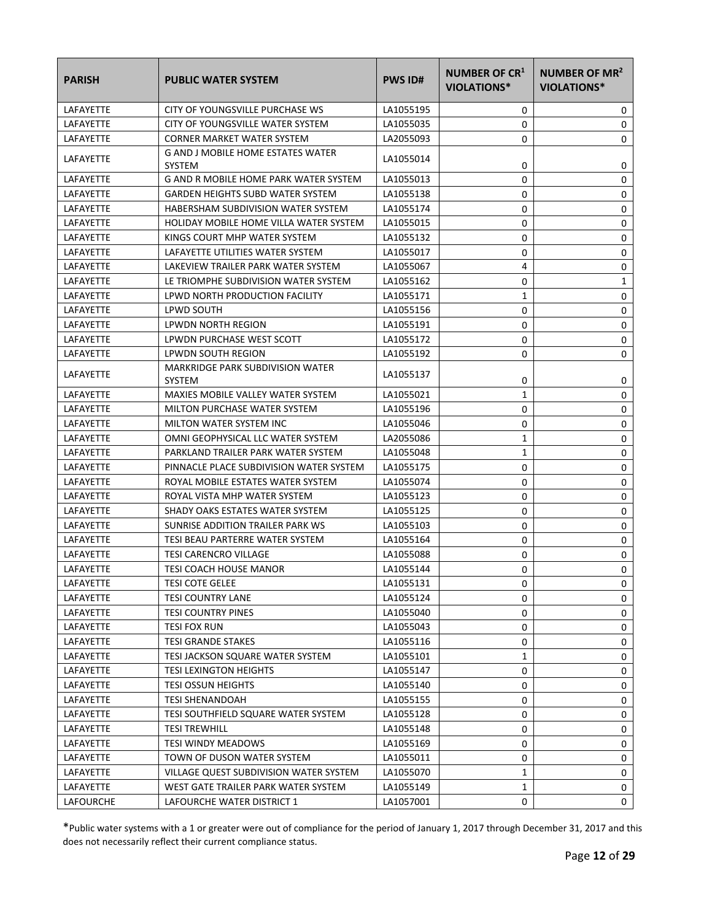| <b>PARISH</b>    | <b>PUBLIC WATER SYSTEM</b>                               | <b>PWS ID#</b> | <b>NUMBER OF CR1</b><br>VIOLATIONS* | NUMBER OF MR <sup>2</sup><br>VIOLATIONS* |
|------------------|----------------------------------------------------------|----------------|-------------------------------------|------------------------------------------|
| LAFAYETTE        | CITY OF YOUNGSVILLE PURCHASE WS                          | LA1055195      | 0                                   | 0                                        |
| LAFAYETTE        | CITY OF YOUNGSVILLE WATER SYSTEM                         | LA1055035      | 0                                   | 0                                        |
| LAFAYETTE        | <b>CORNER MARKET WATER SYSTEM</b>                        | LA2055093      | 0                                   | 0                                        |
| LAFAYETTE        | G AND J MOBILE HOME ESTATES WATER<br><b>SYSTEM</b>       | LA1055014      | 0                                   | 0                                        |
| LAFAYETTE        | G AND R MOBILE HOME PARK WATER SYSTEM                    | LA1055013      | 0                                   | 0                                        |
| LAFAYETTE        | GARDEN HEIGHTS SUBD WATER SYSTEM                         | LA1055138      | 0                                   | 0                                        |
| LAFAYETTE        | HABERSHAM SUBDIVISION WATER SYSTEM                       | LA1055174      | 0                                   | 0                                        |
| LAFAYETTE        | HOLIDAY MOBILE HOME VILLA WATER SYSTEM                   | LA1055015      | 0                                   | 0                                        |
| LAFAYETTE        | KINGS COURT MHP WATER SYSTEM                             | LA1055132      | 0                                   | 0                                        |
| LAFAYETTE        | LAFAYETTE UTILITIES WATER SYSTEM                         | LA1055017      | 0                                   | 0                                        |
| LAFAYETTE        | LAKEVIEW TRAILER PARK WATER SYSTEM                       | LA1055067      | 4                                   | 0                                        |
| LAFAYETTE        | LE TRIOMPHE SUBDIVISION WATER SYSTEM                     | LA1055162      | 0                                   | 1                                        |
| LAFAYETTE        | LPWD NORTH PRODUCTION FACILITY                           | LA1055171      | 1                                   | 0                                        |
| LAFAYETTE        | LPWD SOUTH                                               | LA1055156      | 0                                   | 0                                        |
| <b>LAFAYETTE</b> | LPWDN NORTH REGION                                       | LA1055191      | 0                                   | 0                                        |
| LAFAYETTE        | LPWDN PURCHASE WEST SCOTT                                | LA1055172      | 0                                   | 0                                        |
| LAFAYETTE        | LPWDN SOUTH REGION                                       | LA1055192      | 0                                   | 0                                        |
| LAFAYETTE        | <b>MARKRIDGE PARK SUBDIVISION WATER</b><br><b>SYSTEM</b> | LA1055137      | 0                                   | 0                                        |
| LAFAYETTE        | MAXIES MOBILE VALLEY WATER SYSTEM                        | LA1055021      | 1                                   | 0                                        |
| LAFAYETTE        | MILTON PURCHASE WATER SYSTEM                             | LA1055196      | 0                                   | 0                                        |
| LAFAYETTE        | MILTON WATER SYSTEM INC                                  | LA1055046      | 0                                   | 0                                        |
| LAFAYETTE        | OMNI GEOPHYSICAL LLC WATER SYSTEM                        | LA2055086      | $\mathbf{1}$                        | 0                                        |
| LAFAYETTE        | PARKLAND TRAILER PARK WATER SYSTEM                       | LA1055048      | 1                                   | 0                                        |
| LAFAYETTE        | PINNACLE PLACE SUBDIVISION WATER SYSTEM                  | LA1055175      | 0                                   | 0                                        |
| LAFAYETTE        | ROYAL MOBILE ESTATES WATER SYSTEM                        | LA1055074      | 0                                   | 0                                        |
| LAFAYETTE        | ROYAL VISTA MHP WATER SYSTEM                             | LA1055123      | 0                                   | 0                                        |
| LAFAYETTE        | SHADY OAKS ESTATES WATER SYSTEM                          | LA1055125      | 0                                   | 0                                        |
| LAFAYETTE        | SUNRISE ADDITION TRAILER PARK WS                         | LA1055103      | 0                                   | 0                                        |
| LAFAYETTE        | TESI BEAU PARTERRE WATER SYSTEM                          | LA1055164      | 0                                   | 0                                        |
| LAFAYETTE        | <b>TESI CARENCRO VILLAGE</b>                             | LA1055088      | 0                                   | 0                                        |
| LAFAYETTE        | TESI COACH HOUSE MANOR                                   | LA1055144      | 0                                   | 0                                        |
| LAFAYETTE        | TESI COTE GELEE                                          | LA1055131      | 0                                   | 0                                        |
| LAFAYETTE        | TESI COUNTRY LANE                                        | LA1055124      | 0                                   | 0                                        |
| LAFAYETTE        | <b>TESI COUNTRY PINES</b>                                | LA1055040      | 0                                   | 0                                        |
| LAFAYETTE        | TESI FOX RUN                                             | LA1055043      | 0                                   | 0                                        |
| LAFAYETTE        | <b>TESI GRANDE STAKES</b>                                | LA1055116      | 0                                   | 0                                        |
| LAFAYETTE        | TESI JACKSON SQUARE WATER SYSTEM                         | LA1055101      | 1                                   | 0                                        |
| LAFAYETTE        | <b>TESI LEXINGTON HEIGHTS</b>                            | LA1055147      | 0                                   | 0                                        |
| LAFAYETTE        | <b>TESI OSSUN HEIGHTS</b>                                | LA1055140      | 0                                   | 0                                        |
| LAFAYETTE        | TESI SHENANDOAH                                          | LA1055155      | 0                                   | 0                                        |
| LAFAYETTE        | TESI SOUTHFIELD SQUARE WATER SYSTEM                      | LA1055128      | 0                                   | 0                                        |
| LAFAYETTE        | <b>TESI TREWHILL</b>                                     | LA1055148      | 0                                   | 0                                        |
| LAFAYETTE        | TESI WINDY MEADOWS                                       | LA1055169      | 0                                   | 0                                        |
| LAFAYETTE        | TOWN OF DUSON WATER SYSTEM                               | LA1055011      | 0                                   | 0                                        |
| LAFAYETTE        | VILLAGE QUEST SUBDIVISION WATER SYSTEM                   | LA1055070      | 1                                   | 0                                        |
| LAFAYETTE        | WEST GATE TRAILER PARK WATER SYSTEM                      | LA1055149      | $\mathbf{1}$                        | 0                                        |
| LAFOURCHE        | LAFOURCHE WATER DISTRICT 1                               | LA1057001      | 0                                   | 0                                        |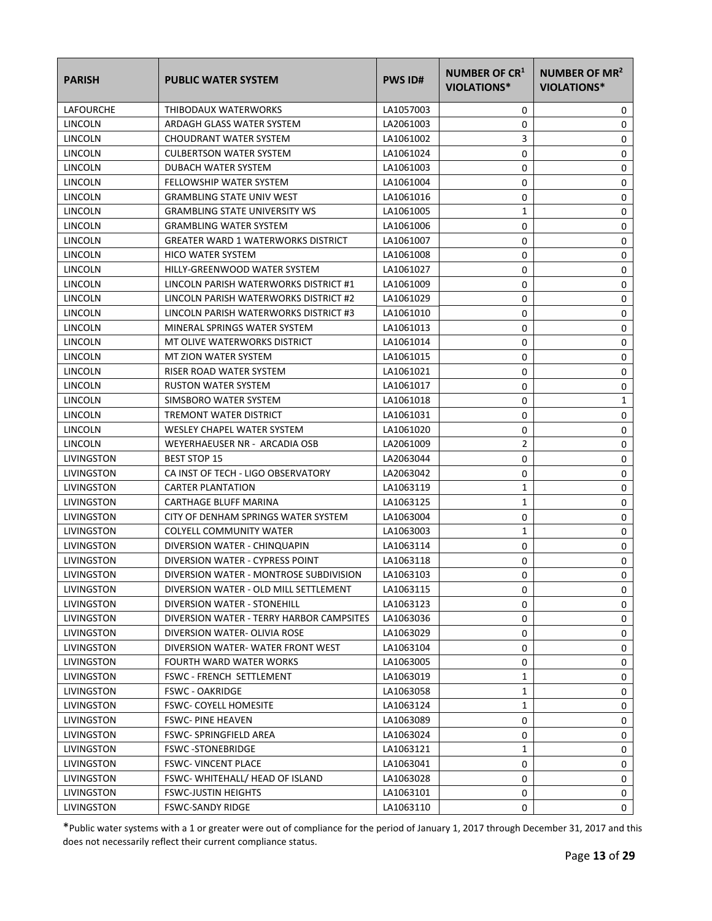| <b>PARISH</b>     | <b>PUBLIC WATER SYSTEM</b>                | <b>PWS ID#</b> | <b>NUMBER OF CR1</b><br>VIOLATIONS* | NUMBER OF MR <sup>2</sup><br>VIOLATIONS* |
|-------------------|-------------------------------------------|----------------|-------------------------------------|------------------------------------------|
| LAFOURCHE         | THIBODAUX WATERWORKS                      | LA1057003      | 0                                   | 0                                        |
| LINCOLN           | ARDAGH GLASS WATER SYSTEM                 | LA2061003      | 0                                   | 0                                        |
| LINCOLN           | CHOUDRANT WATER SYSTEM                    | LA1061002      | 3                                   | 0                                        |
| LINCOLN           | <b>CULBERTSON WATER SYSTEM</b>            | LA1061024      | 0                                   | 0                                        |
| LINCOLN           | DUBACH WATER SYSTEM                       | LA1061003      | 0                                   | 0                                        |
| LINCOLN           | <b>FELLOWSHIP WATER SYSTEM</b>            | LA1061004      | 0                                   | 0                                        |
| LINCOLN           | <b>GRAMBLING STATE UNIV WEST</b>          | LA1061016      | 0                                   | 0                                        |
| LINCOLN           | <b>GRAMBLING STATE UNIVERSITY WS</b>      | LA1061005      | $\mathbf{1}$                        | 0                                        |
| LINCOLN           | <b>GRAMBLING WATER SYSTEM</b>             | LA1061006      | 0                                   | 0                                        |
| LINCOLN           | <b>GREATER WARD 1 WATERWORKS DISTRICT</b> | LA1061007      | 0                                   | 0                                        |
| LINCOLN           | <b>HICO WATER SYSTEM</b>                  | LA1061008      | 0                                   | 0                                        |
| LINCOLN           | HILLY-GREENWOOD WATER SYSTEM              | LA1061027      | 0                                   | 0                                        |
| LINCOLN           | LINCOLN PARISH WATERWORKS DISTRICT #1     | LA1061009      | 0                                   | 0                                        |
| LINCOLN           | LINCOLN PARISH WATERWORKS DISTRICT #2     | LA1061029      | 0                                   | 0                                        |
| LINCOLN           | LINCOLN PARISH WATERWORKS DISTRICT #3     | LA1061010      | 0                                   | 0                                        |
| LINCOLN           | MINERAL SPRINGS WATER SYSTEM              | LA1061013      | 0                                   | 0                                        |
| LINCOLN           | MT OLIVE WATERWORKS DISTRICT              | LA1061014      | 0                                   | 0                                        |
| LINCOLN           | MT ZION WATER SYSTEM                      | LA1061015      | 0                                   | 0                                        |
| LINCOLN           | RISER ROAD WATER SYSTEM                   | LA1061021      | 0                                   | 0                                        |
| LINCOLN           | <b>RUSTON WATER SYSTEM</b>                | LA1061017      | 0                                   | 0                                        |
| LINCOLN           | SIMSBORO WATER SYSTEM                     | LA1061018      | 0                                   | 1                                        |
| LINCOLN           | TREMONT WATER DISTRICT                    | LA1061031      | 0                                   | 0                                        |
| LINCOLN           | WESLEY CHAPEL WATER SYSTEM                | LA1061020      | 0                                   | 0                                        |
| LINCOLN           | WEYERHAEUSER NR - ARCADIA OSB             | LA2061009      | 2                                   | 0                                        |
| LIVINGSTON        | <b>BEST STOP 15</b>                       | LA2063044      | 0                                   | 0                                        |
| LIVINGSTON        | CA INST OF TECH - LIGO OBSERVATORY        | LA2063042      | 0                                   | 0                                        |
| LIVINGSTON        | <b>CARTER PLANTATION</b>                  | LA1063119      | 1                                   | 0                                        |
| LIVINGSTON        | CARTHAGE BLUFF MARINA                     | LA1063125      | 1                                   | 0                                        |
| LIVINGSTON        | CITY OF DENHAM SPRINGS WATER SYSTEM       | LA1063004      | 0                                   | 0                                        |
| LIVINGSTON        | COLYELL COMMUNITY WATER                   | LA1063003      | 1                                   | 0                                        |
| LIVINGSTON        | DIVERSION WATER - CHINQUAPIN              | LA1063114      | 0                                   | 0                                        |
| LIVINGSTON        | DIVERSION WATER - CYPRESS POINT           | LA1063118      | 0                                   | 0                                        |
| LIVINGSTON        | DIVERSION WATER - MONTROSE SUBDIVISION    | LA1063103      | 0                                   | 0                                        |
| LIVINGSTON        | DIVERSION WATER - OLD MILL SETTLEMENT     | LA1063115      | 0                                   | 0                                        |
| LIVINGSTON        | DIVERSION WATER - STONEHILL               | LA1063123      | 0                                   | 0                                        |
| LIVINGSTON        | DIVERSION WATER - TERRY HARBOR CAMPSITES  | LA1063036      | 0                                   | 0                                        |
| LIVINGSTON        | DIVERSION WATER- OLIVIA ROSE              | LA1063029      | 0                                   | 0                                        |
| LIVINGSTON        | DIVERSION WATER-WATER FRONT WEST          | LA1063104      | 0                                   | 0                                        |
| LIVINGSTON        | FOURTH WARD WATER WORKS                   | LA1063005      | 0                                   | 0                                        |
| LIVINGSTON        | FSWC - FRENCH SETTLEMENT                  | LA1063019      | $\mathbf{1}$                        | 0                                        |
| LIVINGSTON        | <b>FSWC - OAKRIDGE</b>                    | LA1063058      | 1                                   | 0                                        |
| LIVINGSTON        | <b>FSWC- COYELL HOMESITE</b>              | LA1063124      | 1                                   | 0                                        |
| LIVINGSTON        | <b>FSWC-PINE HEAVEN</b>                   | LA1063089      | 0                                   | 0                                        |
| LIVINGSTON        | FSWC-SPRINGFIELD AREA                     | LA1063024      | 0                                   | 0                                        |
| LIVINGSTON        | <b>FSWC-STONEBRIDGE</b>                   | LA1063121      | 1                                   | 0                                        |
| LIVINGSTON        | <b>FSWC- VINCENT PLACE</b>                | LA1063041      | 0                                   | 0                                        |
| LIVINGSTON        | FSWC-WHITEHALL/HEAD OF ISLAND             | LA1063028      | 0                                   | 0                                        |
| LIVINGSTON        | <b>FSWC-JUSTIN HEIGHTS</b>                | LA1063101      | 0                                   | 0                                        |
| <b>LIVINGSTON</b> | <b>FSWC-SANDY RIDGE</b>                   | LA1063110      | 0                                   | 0                                        |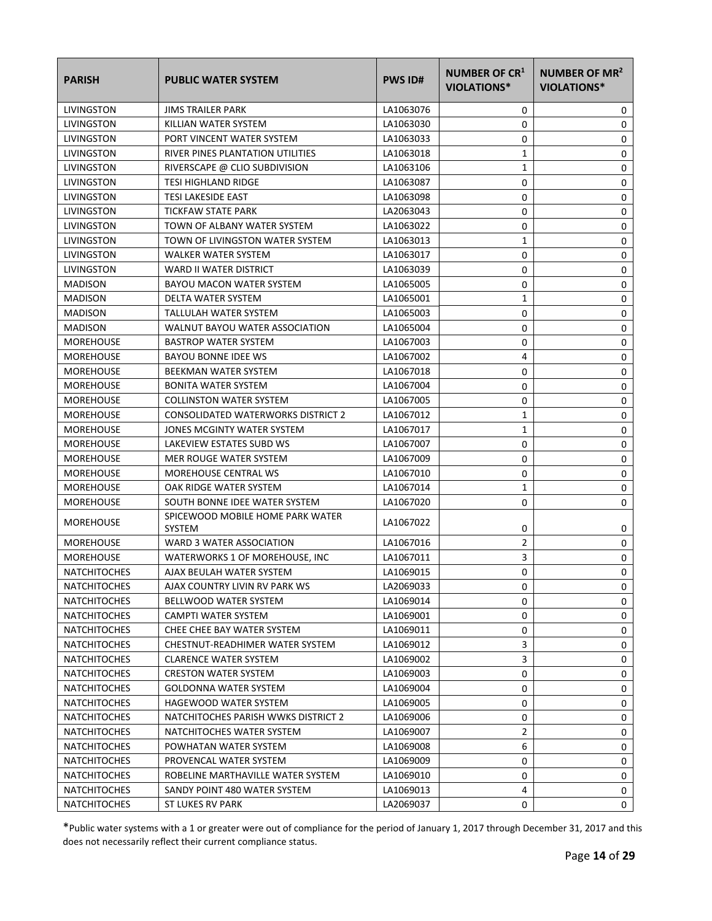| <b>PARISH</b>       | <b>PUBLIC WATER SYSTEM</b>                        | <b>PWS ID#</b> | NUMBER OF CR <sup>1</sup><br>VIOLATIONS* | NUMBER OF MR <sup>2</sup><br>VIOLATIONS* |
|---------------------|---------------------------------------------------|----------------|------------------------------------------|------------------------------------------|
| LIVINGSTON          | <b>JIMS TRAILER PARK</b>                          | LA1063076      | 0                                        | 0                                        |
| LIVINGSTON          | KILLIAN WATER SYSTEM                              | LA1063030      | 0                                        | 0                                        |
| LIVINGSTON          | PORT VINCENT WATER SYSTEM                         | LA1063033      | 0                                        | 0                                        |
| LIVINGSTON          | RIVER PINES PLANTATION UTILITIES                  | LA1063018      | 1                                        | $\mathbf 0$                              |
| LIVINGSTON          | RIVERSCAPE @ CLIO SUBDIVISION                     | LA1063106      | 1                                        | 0                                        |
| LIVINGSTON          | <b>TESI HIGHLAND RIDGE</b>                        | LA1063087      | 0                                        | 0                                        |
| LIVINGSTON          | <b>TESI LAKESIDE EAST</b>                         | LA1063098      | 0                                        | 0                                        |
| LIVINGSTON          | TICKFAW STATE PARK                                | LA2063043      | 0                                        | 0                                        |
| LIVINGSTON          | TOWN OF ALBANY WATER SYSTEM                       | LA1063022      | 0                                        | 0                                        |
| LIVINGSTON          | TOWN OF LIVINGSTON WATER SYSTEM                   | LA1063013      | $\mathbf{1}$                             | 0                                        |
| LIVINGSTON          | <b>WALKER WATER SYSTEM</b>                        | LA1063017      | 0                                        | 0                                        |
| LIVINGSTON          | WARD II WATER DISTRICT                            | LA1063039      | 0                                        | 0                                        |
| <b>MADISON</b>      | BAYOU MACON WATER SYSTEM                          | LA1065005      | 0                                        | 0                                        |
| <b>MADISON</b>      | DELTA WATER SYSTEM                                | LA1065001      | 1                                        | 0                                        |
| <b>MADISON</b>      | TALLULAH WATER SYSTEM                             | LA1065003      | 0                                        | 0                                        |
| <b>MADISON</b>      | WALNUT BAYOU WATER ASSOCIATION                    | LA1065004      | 0                                        | 0                                        |
| <b>MOREHOUSE</b>    | <b>BASTROP WATER SYSTEM</b>                       | LA1067003      | 0                                        | 0                                        |
| <b>MOREHOUSE</b>    | BAYOU BONNE IDEE WS                               | LA1067002      | 4                                        | 0                                        |
| <b>MOREHOUSE</b>    | BEEKMAN WATER SYSTEM                              | LA1067018      | 0                                        | 0                                        |
| <b>MOREHOUSE</b>    | <b>BONITA WATER SYSTEM</b>                        | LA1067004      | 0                                        | $\mathbf 0$                              |
| <b>MOREHOUSE</b>    | <b>COLLINSTON WATER SYSTEM</b>                    | LA1067005      | 0                                        | 0                                        |
| <b>MOREHOUSE</b>    | CONSOLIDATED WATERWORKS DISTRICT 2                | LA1067012      | 1                                        | 0                                        |
| <b>MOREHOUSE</b>    | JONES MCGINTY WATER SYSTEM                        | LA1067017      | 1                                        | 0                                        |
| <b>MOREHOUSE</b>    | LAKEVIEW ESTATES SUBD WS                          | LA1067007      | 0                                        | 0                                        |
| <b>MOREHOUSE</b>    | MER ROUGE WATER SYSTEM                            | LA1067009      | 0                                        | $\mathbf 0$                              |
| <b>MOREHOUSE</b>    | MOREHOUSE CENTRAL WS                              | LA1067010      | 0                                        | 0                                        |
| <b>MOREHOUSE</b>    | OAK RIDGE WATER SYSTEM                            | LA1067014      | 1                                        | 0                                        |
| <b>MOREHOUSE</b>    | SOUTH BONNE IDEE WATER SYSTEM                     | LA1067020      | 0                                        | 0                                        |
| <b>MOREHOUSE</b>    | SPICEWOOD MOBILE HOME PARK WATER<br><b>SYSTEM</b> | LA1067022      | 0                                        | 0                                        |
| <b>MOREHOUSE</b>    | WARD 3 WATER ASSOCIATION                          | LA1067016      | 2                                        | 0                                        |
| <b>MOREHOUSE</b>    | WATERWORKS 1 OF MOREHOUSE, INC                    | LA1067011      | 3                                        | 0                                        |
| <b>NATCHITOCHES</b> | AJAX BEULAH WATER SYSTEM                          | LA1069015      | 0                                        | 0                                        |
| <b>NATCHITOCHES</b> | AJAX COUNTRY LIVIN RV PARK WS                     | LA2069033      | 0                                        | 0                                        |
| <b>NATCHITOCHES</b> | BELLWOOD WATER SYSTEM                             | LA1069014      | 0                                        | 0                                        |
| <b>NATCHITOCHES</b> | CAMPTI WATER SYSTEM                               | LA1069001      | 0                                        | 0                                        |
| <b>NATCHITOCHES</b> | CHEE CHEE BAY WATER SYSTEM                        | LA1069011      | 0                                        | 0                                        |
| <b>NATCHITOCHES</b> | CHESTNUT-READHIMER WATER SYSTEM                   | LA1069012      | 3                                        | 0                                        |
| <b>NATCHITOCHES</b> | <b>CLARENCE WATER SYSTEM</b>                      | LA1069002      | 3                                        | 0                                        |
| NATCHITOCHES        | <b>CRESTON WATER SYSTEM</b>                       | LA1069003      | 0                                        | 0                                        |
| <b>NATCHITOCHES</b> | <b>GOLDONNA WATER SYSTEM</b>                      | LA1069004      | 0                                        | 0                                        |
| <b>NATCHITOCHES</b> | HAGEWOOD WATER SYSTEM                             | LA1069005      | 0                                        | 0                                        |
| <b>NATCHITOCHES</b> | NATCHITOCHES PARISH WWKS DISTRICT 2               | LA1069006      | 0                                        | 0                                        |
| <b>NATCHITOCHES</b> | NATCHITOCHES WATER SYSTEM                         | LA1069007      | $\overline{2}$                           | 0                                        |
| <b>NATCHITOCHES</b> | POWHATAN WATER SYSTEM                             | LA1069008      | 6                                        | 0                                        |
| <b>NATCHITOCHES</b> | PROVENCAL WATER SYSTEM                            | LA1069009      | 0                                        | 0                                        |
| <b>NATCHITOCHES</b> | ROBELINE MARTHAVILLE WATER SYSTEM                 | LA1069010      | 0                                        | 0                                        |
| <b>NATCHITOCHES</b> | SANDY POINT 480 WATER SYSTEM                      | LA1069013      | 4                                        | 0                                        |
| <b>NATCHITOCHES</b> | <b>ST LUKES RV PARK</b>                           | LA2069037      | 0                                        | 0                                        |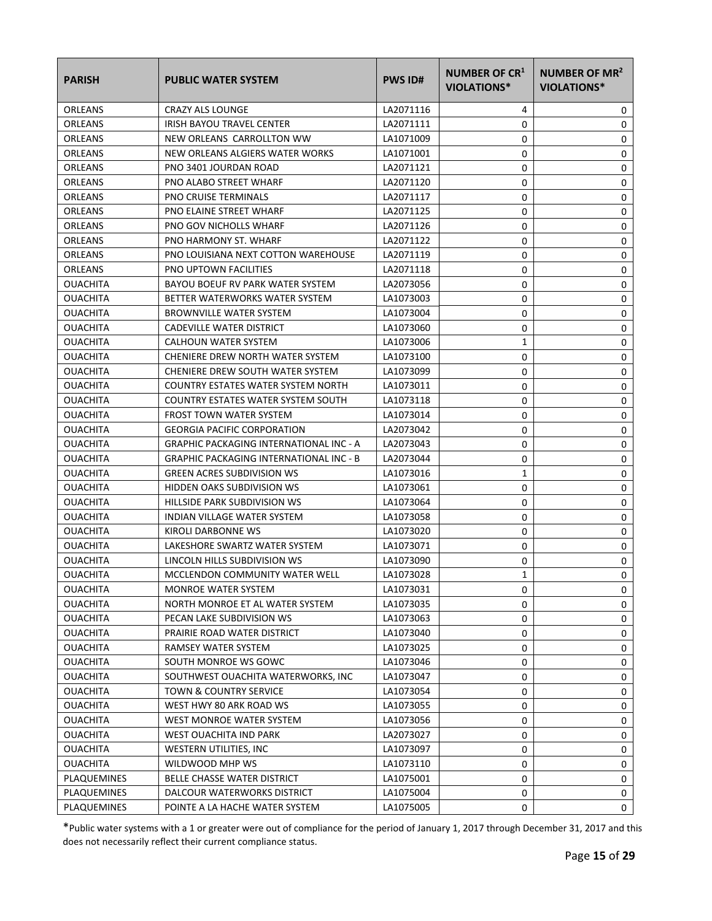| <b>PARISH</b>   | <b>PUBLIC WATER SYSTEM</b>                     | <b>PWS ID#</b> | <b>NUMBER OF CR1</b><br>VIOLATIONS* | NUMBER OF MR <sup>2</sup><br><b>VIOLATIONS*</b> |
|-----------------|------------------------------------------------|----------------|-------------------------------------|-------------------------------------------------|
| ORLEANS         | <b>CRAZY ALS LOUNGE</b>                        | LA2071116      | 4                                   | 0                                               |
| ORLEANS         | IRISH BAYOU TRAVEL CENTER                      | LA2071111      | 0                                   | 0                                               |
| ORLEANS         | NEW ORLEANS CARROLLTON WW                      | LA1071009      | 0                                   | 0                                               |
| <b>ORLEANS</b>  | NEW ORLEANS ALGIERS WATER WORKS                | LA1071001      | 0                                   | 0                                               |
| ORLEANS         | PNO 3401 JOURDAN ROAD                          | LA2071121      | 0                                   | 0                                               |
| ORLEANS         | PNO ALABO STREET WHARF                         | LA2071120      | 0                                   | 0                                               |
| ORLEANS         | <b>PNO CRUISE TERMINALS</b>                    | LA2071117      | 0                                   | 0                                               |
| ORLEANS         | PNO ELAINE STREET WHARF                        | LA2071125      | 0                                   | 0                                               |
| ORLEANS         | <b>PNO GOV NICHOLLS WHARF</b>                  | LA2071126      | 0                                   | 0                                               |
| ORLEANS         | PNO HARMONY ST. WHARF                          | LA2071122      | 0                                   | 0                                               |
| ORLEANS         | PNO LOUISIANA NEXT COTTON WAREHOUSE            | LA2071119      | 0                                   | 0                                               |
| ORLEANS         | <b>PNO UPTOWN FACILITIES</b>                   | LA2071118      | 0                                   | 0                                               |
| <b>OUACHITA</b> | BAYOU BOEUF RV PARK WATER SYSTEM               | LA2073056      | 0                                   | 0                                               |
| <b>OUACHITA</b> | BETTER WATERWORKS WATER SYSTEM                 | LA1073003      | 0                                   | 0                                               |
| <b>OUACHITA</b> | <b>BROWNVILLE WATER SYSTEM</b>                 | LA1073004      | 0                                   | 0                                               |
| <b>OUACHITA</b> | CADEVILLE WATER DISTRICT                       | LA1073060      | 0                                   | 0                                               |
| <b>OUACHITA</b> | CALHOUN WATER SYSTEM                           | LA1073006      | 1                                   | 0                                               |
| <b>OUACHITA</b> | CHENIERE DREW NORTH WATER SYSTEM               | LA1073100      | 0                                   | 0                                               |
| <b>OUACHITA</b> | CHENIERE DREW SOUTH WATER SYSTEM               | LA1073099      | 0                                   | 0                                               |
| <b>OUACHITA</b> | COUNTRY ESTATES WATER SYSTEM NORTH             | LA1073011      | 0                                   | 0                                               |
| OUACHITA        | COUNTRY ESTATES WATER SYSTEM SOUTH             | LA1073118      | 0                                   | 0                                               |
| <b>OUACHITA</b> | <b>FROST TOWN WATER SYSTEM</b>                 | LA1073014      | 0                                   | 0                                               |
| <b>OUACHITA</b> | <b>GEORGIA PACIFIC CORPORATION</b>             | LA2073042      | 0                                   | 0                                               |
| <b>OUACHITA</b> | <b>GRAPHIC PACKAGING INTERNATIONAL INC - A</b> | LA2073043      | 0                                   | 0                                               |
| <b>OUACHITA</b> | <b>GRAPHIC PACKAGING INTERNATIONAL INC - B</b> | LA2073044      | 0                                   | 0                                               |
| <b>OUACHITA</b> | <b>GREEN ACRES SUBDIVISION WS</b>              | LA1073016      | 1                                   | 0                                               |
| <b>OUACHITA</b> | HIDDEN OAKS SUBDIVISION WS                     | LA1073061      | 0                                   | 0                                               |
| <b>OUACHITA</b> | HILLSIDE PARK SUBDIVISION WS                   | LA1073064      | 0                                   | 0                                               |
| <b>OUACHITA</b> | <b>INDIAN VILLAGE WATER SYSTEM</b>             | LA1073058      | 0                                   | 0                                               |
| <b>OUACHITA</b> | KIROLI DARBONNE WS                             | LA1073020      | 0                                   | 0                                               |
| <b>OUACHITA</b> | LAKESHORE SWARTZ WATER SYSTEM                  | LA1073071      | 0                                   | 0                                               |
| <b>OUACHITA</b> | LINCOLN HILLS SUBDIVISION WS                   | LA1073090      | 0                                   | 0                                               |
| <b>OUACHITA</b> | MCCLENDON COMMUNITY WATER WELL                 | LA1073028      | 1                                   | 0                                               |
| <b>OUACHITA</b> | MONROE WATER SYSTEM                            | LA1073031      | 0                                   | 0                                               |
| <b>OUACHITA</b> | NORTH MONROE ET AL WATER SYSTEM                | LA1073035      | 0                                   | 0                                               |
| <b>OUACHITA</b> | PECAN LAKE SUBDIVISION WS                      | LA1073063      | 0                                   | 0                                               |
| <b>OUACHITA</b> | PRAIRIE ROAD WATER DISTRICT                    | LA1073040      | 0                                   | 0                                               |
| <b>OUACHITA</b> | RAMSEY WATER SYSTEM                            | LA1073025      | 0                                   | 0                                               |
| <b>OUACHITA</b> | SOUTH MONROE WS GOWC                           | LA1073046      | 0                                   | 0                                               |
| <b>OUACHITA</b> | SOUTHWEST OUACHITA WATERWORKS, INC             | LA1073047      | 0                                   | 0                                               |
| <b>OUACHITA</b> | TOWN & COUNTRY SERVICE                         | LA1073054      | 0                                   | 0                                               |
| <b>OUACHITA</b> | WEST HWY 80 ARK ROAD WS                        | LA1073055      | 0                                   | 0                                               |
| <b>OUACHITA</b> | WEST MONROE WATER SYSTEM                       | LA1073056      | 0                                   | 0                                               |
| <b>OUACHITA</b> | WEST OUACHITA IND PARK                         | LA2073027      | 0                                   | 0                                               |
| <b>OUACHITA</b> | WESTERN UTILITIES, INC                         | LA1073097      | 0                                   | 0                                               |
| <b>OUACHITA</b> | WILDWOOD MHP WS                                | LA1073110      | 0                                   | 0                                               |
| PLAQUEMINES     | BELLE CHASSE WATER DISTRICT                    | LA1075001      | 0                                   | 0                                               |
| PLAQUEMINES     | DALCOUR WATERWORKS DISTRICT                    | LA1075004      | 0                                   | 0                                               |
| PLAQUEMINES     | POINTE A LA HACHE WATER SYSTEM                 | LA1075005      | 0                                   | 0                                               |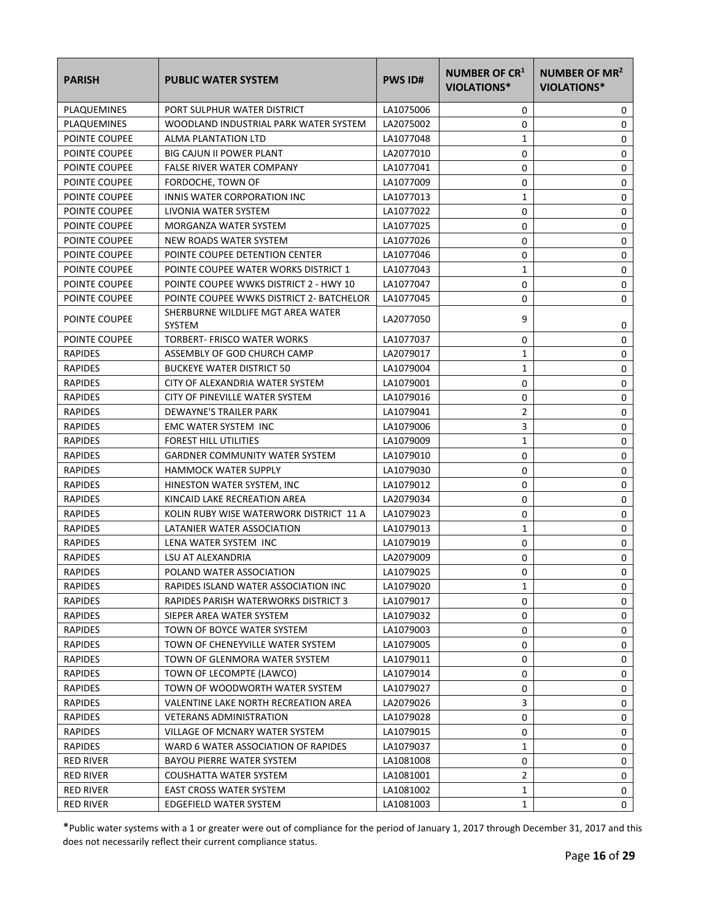| <b>PARISH</b>        | <b>PUBLIC WATER SYSTEM</b>                         | <b>PWS ID#</b> | NUMBER OF CR <sup>1</sup><br><b>VIOLATIONS*</b> | NUMBER OF MR <sup>2</sup><br><b>VIOLATIONS*</b> |
|----------------------|----------------------------------------------------|----------------|-------------------------------------------------|-------------------------------------------------|
| PLAQUEMINES          | PORT SULPHUR WATER DISTRICT                        | LA1075006      | 0                                               | 0                                               |
| PLAQUEMINES          | WOODLAND INDUSTRIAL PARK WATER SYSTEM              | LA2075002      | 0                                               | 0                                               |
| POINTE COUPEE        | ALMA PLANTATION LTD                                | LA1077048      | 1                                               | 0                                               |
| <b>POINTE COUPEE</b> | <b>BIG CAJUN II POWER PLANT</b>                    | LA2077010      | 0                                               | 0                                               |
| POINTE COUPEE        | <b>FALSE RIVER WATER COMPANY</b>                   | LA1077041      | 0                                               | 0                                               |
| POINTE COUPEE        | FORDOCHE, TOWN OF                                  | LA1077009      | 0                                               | 0                                               |
| POINTE COUPEE        | INNIS WATER CORPORATION INC                        | LA1077013      | $\mathbf{1}$                                    | 0                                               |
| POINTE COUPEE        | LIVONIA WATER SYSTEM                               | LA1077022      | 0                                               | 0                                               |
| POINTE COUPEE        | MORGANZA WATER SYSTEM                              | LA1077025      | 0                                               | $\mathbf 0$                                     |
| POINTE COUPEE        | NEW ROADS WATER SYSTEM                             | LA1077026      | 0                                               | $\mathbf 0$                                     |
| <b>POINTE COUPEE</b> | POINTE COUPEE DETENTION CENTER                     | LA1077046      | 0                                               | 0                                               |
| POINTE COUPEE        | POINTE COUPEE WATER WORKS DISTRICT 1               | LA1077043      | 1                                               | 0                                               |
| POINTE COUPEE        | POINTE COUPEE WWKS DISTRICT 2 - HWY 10             | LA1077047      | 0                                               | 0                                               |
| POINTE COUPEE        | POINTE COUPEE WWKS DISTRICT 2- BATCHELOR           | LA1077045      | 0                                               | 0                                               |
| POINTE COUPEE        | SHERBURNE WILDLIFE MGT AREA WATER<br><b>SYSTEM</b> | LA2077050      | 9                                               | 0                                               |
| POINTE COUPEE        | TORBERT- FRISCO WATER WORKS                        | LA1077037      | 0                                               | 0                                               |
| <b>RAPIDES</b>       | ASSEMBLY OF GOD CHURCH CAMP                        | LA2079017      | 1                                               | 0                                               |
| <b>RAPIDES</b>       | <b>BUCKEYE WATER DISTRICT 50</b>                   | LA1079004      | 1                                               | 0                                               |
| <b>RAPIDES</b>       | CITY OF ALEXANDRIA WATER SYSTEM                    | LA1079001      | 0                                               | $\mathbf 0$                                     |
| <b>RAPIDES</b>       | CITY OF PINEVILLE WATER SYSTEM                     | LA1079016      | 0                                               | 0                                               |
| <b>RAPIDES</b>       | DEWAYNE'S TRAILER PARK                             | LA1079041      | 2                                               | 0                                               |
| <b>RAPIDES</b>       | EMC WATER SYSTEM INC                               | LA1079006      | 3                                               | 0                                               |
| <b>RAPIDES</b>       | <b>FOREST HILL UTILITIES</b>                       | LA1079009      | $\mathbf{1}$                                    | $\mathbf 0$                                     |
| <b>RAPIDES</b>       | <b>GARDNER COMMUNITY WATER SYSTEM</b>              | LA1079010      | 0                                               | 0                                               |
| <b>RAPIDES</b>       | <b>HAMMOCK WATER SUPPLY</b>                        | LA1079030      | 0                                               | $\mathbf 0$                                     |
| <b>RAPIDES</b>       | HINESTON WATER SYSTEM, INC                         | LA1079012      | 0                                               | 0                                               |
| <b>RAPIDES</b>       | KINCAID LAKE RECREATION AREA                       | LA2079034      | 0                                               | 0                                               |
| <b>RAPIDES</b>       | KOLIN RUBY WISE WATERWORK DISTRICT 11 A            | LA1079023      | 0                                               | 0                                               |
| <b>RAPIDES</b>       | LATANIER WATER ASSOCIATION                         | LA1079013      | 1                                               | $\mathbf 0$                                     |
| <b>RAPIDES</b>       | LENA WATER SYSTEM INC                              | LA1079019      | 0                                               | 0                                               |
| <b>RAPIDES</b>       | LSU AT ALEXANDRIA                                  | LA2079009      | 0                                               | $\mathbf 0$                                     |
| <b>RAPIDES</b>       | POLAND WATER ASSOCIATION                           | LA1079025      | 0                                               | 0                                               |
| <b>RAPIDES</b>       | RAPIDES ISLAND WATER ASSOCIATION INC               | LA1079020      | 1                                               | 0                                               |
| <b>RAPIDES</b>       | RAPIDES PARISH WATERWORKS DISTRICT 3               | LA1079017      | 0                                               | 0                                               |
| <b>RAPIDES</b>       | SIEPER AREA WATER SYSTEM                           | LA1079032      | 0                                               | 0                                               |
| <b>RAPIDES</b>       | TOWN OF BOYCE WATER SYSTEM                         | LA1079003      | 0                                               | 0                                               |
| <b>RAPIDES</b>       | TOWN OF CHENEYVILLE WATER SYSTEM                   | LA1079005      | 0                                               | 0                                               |
| <b>RAPIDES</b>       | TOWN OF GLENMORA WATER SYSTEM                      | LA1079011      | 0                                               | 0                                               |
| <b>RAPIDES</b>       | TOWN OF LECOMPTE (LAWCO)                           | LA1079014      | 0                                               | 0                                               |
| <b>RAPIDES</b>       | TOWN OF WOODWORTH WATER SYSTEM                     | LA1079027      | 0                                               | 0                                               |
| <b>RAPIDES</b>       | VALENTINE LAKE NORTH RECREATION AREA               | LA2079026      | 3                                               | 0                                               |
| <b>RAPIDES</b>       | <b>VETERANS ADMINISTRATION</b>                     | LA1079028      | 0                                               | 0                                               |
| <b>RAPIDES</b>       | VILLAGE OF MCNARY WATER SYSTEM                     | LA1079015      | 0                                               | 0                                               |
| <b>RAPIDES</b>       | WARD 6 WATER ASSOCIATION OF RAPIDES                | LA1079037      | 1                                               | 0                                               |
| RED RIVER            | BAYOU PIERRE WATER SYSTEM                          | LA1081008      | 0                                               | 0                                               |
| <b>RED RIVER</b>     | COUSHATTA WATER SYSTEM                             | LA1081001      | 2                                               | 0                                               |
| <b>RED RIVER</b>     | <b>EAST CROSS WATER SYSTEM</b>                     | LA1081002      | 1                                               | 0                                               |
| RED RIVER            | EDGEFIELD WATER SYSTEM                             | LA1081003      | 1                                               | 0                                               |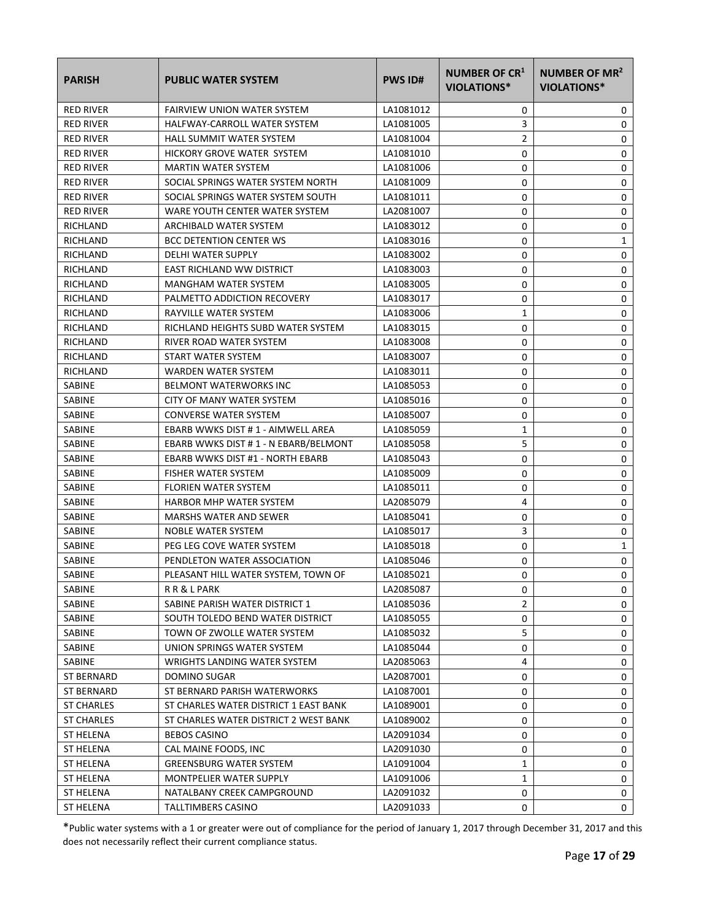| <b>PARISH</b>     | <b>PUBLIC WATER SYSTEM</b>            | <b>PWS ID#</b> | NUMBER OF CR <sup>1</sup><br>VIOLATIONS* | NUMBER OF MR <sup>2</sup><br><b>VIOLATIONS*</b> |
|-------------------|---------------------------------------|----------------|------------------------------------------|-------------------------------------------------|
| <b>RED RIVER</b>  | <b>FAIRVIEW UNION WATER SYSTEM</b>    | LA1081012      | 0                                        | 0                                               |
| <b>RED RIVER</b>  | HALFWAY-CARROLL WATER SYSTEM          | LA1081005      | 3                                        | 0                                               |
| <b>RED RIVER</b>  | <b>HALL SUMMIT WATER SYSTEM</b>       | LA1081004      | 2                                        | 0                                               |
| <b>RED RIVER</b>  | HICKORY GROVE WATER SYSTEM            | LA1081010      | 0                                        | 0                                               |
| <b>RED RIVER</b>  | <b>MARTIN WATER SYSTEM</b>            | LA1081006      | 0                                        | 0                                               |
| <b>RED RIVER</b>  | SOCIAL SPRINGS WATER SYSTEM NORTH     | LA1081009      | 0                                        | 0                                               |
| <b>RED RIVER</b>  | SOCIAL SPRINGS WATER SYSTEM SOUTH     | LA1081011      | 0                                        | 0                                               |
| <b>RED RIVER</b>  | WARE YOUTH CENTER WATER SYSTEM        | LA2081007      | 0                                        | 0                                               |
| RICHLAND          | ARCHIBALD WATER SYSTEM                | LA1083012      | 0                                        | 0                                               |
| RICHLAND          | <b>BCC DETENTION CENTER WS</b>        | LA1083016      | 0                                        | 1                                               |
| RICHLAND          | DELHI WATER SUPPLY                    | LA1083002      | 0                                        | 0                                               |
| RICHLAND          | EAST RICHLAND WW DISTRICT             | LA1083003      | 0                                        | 0                                               |
| RICHLAND          | <b>MANGHAM WATER SYSTEM</b>           | LA1083005      | 0                                        | 0                                               |
| RICHLAND          | PALMETTO ADDICTION RECOVERY           | LA1083017      | 0                                        | 0                                               |
| RICHLAND          | RAYVILLE WATER SYSTEM                 | LA1083006      | 1                                        | 0                                               |
| RICHLAND          | RICHLAND HEIGHTS SUBD WATER SYSTEM    | LA1083015      | 0                                        | 0                                               |
| RICHLAND          | RIVER ROAD WATER SYSTEM               | LA1083008      | 0                                        | 0                                               |
| RICHLAND          | START WATER SYSTEM                    | LA1083007      | 0                                        | 0                                               |
| RICHLAND          | <b>WARDEN WATER SYSTEM</b>            | LA1083011      | 0                                        | 0                                               |
| SABINE            | <b>BELMONT WATERWORKS INC</b>         | LA1085053      | 0                                        | 0                                               |
| SABINE            | CITY OF MANY WATER SYSTEM             | LA1085016      | 0                                        | 0                                               |
| SABINE            | <b>CONVERSE WATER SYSTEM</b>          | LA1085007      | 0                                        | 0                                               |
| SABINE            | EBARB WWKS DIST # 1 - AIMWELL AREA    | LA1085059      | 1                                        | 0                                               |
| SABINE            | EBARB WWKS DIST # 1 - N EBARB/BELMONT | LA1085058      | 5                                        | 0                                               |
| SABINE            | EBARB WWKS DIST #1 - NORTH EBARB      | LA1085043      | 0                                        | 0                                               |
| <b>SABINE</b>     | <b>FISHER WATER SYSTEM</b>            | LA1085009      | 0                                        | 0                                               |
| SABINE            | FLORIEN WATER SYSTEM                  | LA1085011      | 0                                        | 0                                               |
| <b>SABINE</b>     | <b>HARBOR MHP WATER SYSTEM</b>        | LA2085079      | 4                                        | 0                                               |
| SABINE            | <b>MARSHS WATER AND SEWER</b>         | LA1085041      | 0                                        | 0                                               |
| SABINE            | NOBLE WATER SYSTEM                    | LA1085017      | 3                                        | 0                                               |
| SABINE            | PEG LEG COVE WATER SYSTEM             | LA1085018      | 0                                        | 1                                               |
| SABINE            | PENDLETON WATER ASSOCIATION           | LA1085046      | 0                                        | 0                                               |
| SABINE            | PLEASANT HILL WATER SYSTEM, TOWN OF   | LA1085021      | 0                                        | 0                                               |
| SABINE            | R R & L PARK                          | LA2085087      | 0                                        | 0                                               |
| SABINE            | SABINE PARISH WATER DISTRICT 1        | LA1085036      | 2                                        | 0                                               |
| SABINE            | SOUTH TOLEDO BEND WATER DISTRICT      | LA1085055      | 0                                        | 0                                               |
| SABINE            | TOWN OF ZWOLLE WATER SYSTEM           | LA1085032      | 5                                        | 0                                               |
| SABINE            | UNION SPRINGS WATER SYSTEM            | LA1085044      | 0                                        | 0                                               |
| SABINE            | WRIGHTS LANDING WATER SYSTEM          | LA2085063      | 4                                        | 0                                               |
| ST BERNARD        | DOMINO SUGAR                          | LA2087001      | 0                                        | 0                                               |
| <b>ST BERNARD</b> | ST BERNARD PARISH WATERWORKS          | LA1087001      | 0                                        | 0                                               |
| ST CHARLES        | ST CHARLES WATER DISTRICT 1 EAST BANK | LA1089001      | 0                                        | 0                                               |
| ST CHARLES        | ST CHARLES WATER DISTRICT 2 WEST BANK | LA1089002      | 0                                        | 0                                               |
| ST HELENA         | <b>BEBOS CASINO</b>                   | LA2091034      | 0                                        | 0                                               |
| ST HELENA         | CAL MAINE FOODS, INC                  | LA2091030      | 0                                        | 0                                               |
| ST HELENA         | <b>GREENSBURG WATER SYSTEM</b>        | LA1091004      | 1                                        | 0                                               |
| ST HELENA         | MONTPELIER WATER SUPPLY               | LA1091006      | 1                                        | 0                                               |
| ST HELENA         | NATALBANY CREEK CAMPGROUND            | LA2091032      | 0                                        | 0                                               |
| ST HELENA         | TALLTIMBERS CASINO                    | LA2091033      | 0                                        | 0                                               |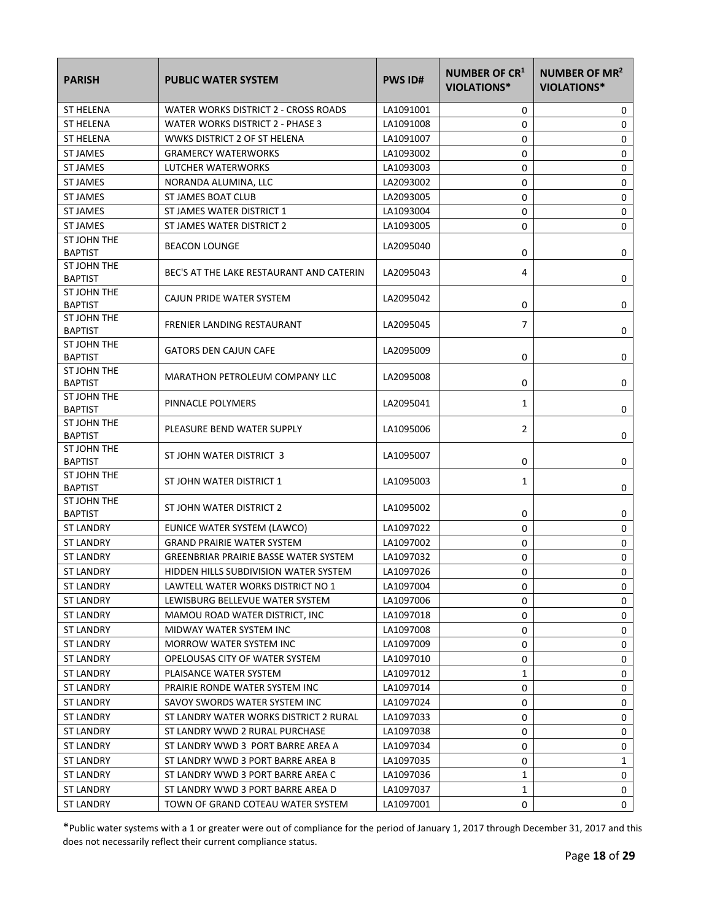| <b>PARISH</b>                 | <b>PUBLIC WATER SYSTEM</b>               | <b>PWS ID#</b> | NUMBER OF CR <sup>1</sup><br><b>VIOLATIONS*</b> | NUMBER OF MR <sup>2</sup><br><b>VIOLATIONS*</b> |
|-------------------------------|------------------------------------------|----------------|-------------------------------------------------|-------------------------------------------------|
| <b>ST HELENA</b>              | WATER WORKS DISTRICT 2 - CROSS ROADS     | LA1091001      | 0                                               | 0                                               |
| <b>ST HELENA</b>              | WATER WORKS DISTRICT 2 - PHASE 3         | LA1091008      | 0                                               | 0                                               |
| <b>ST HELENA</b>              | WWKS DISTRICT 2 OF ST HELENA             | LA1091007      | 0                                               | 0                                               |
| <b>ST JAMES</b>               | <b>GRAMERCY WATERWORKS</b>               | LA1093002      | 0                                               | 0                                               |
| <b>ST JAMES</b>               | LUTCHER WATERWORKS                       | LA1093003      | 0                                               | 0                                               |
| <b>ST JAMES</b>               | NORANDA ALUMINA, LLC                     | LA2093002      | 0                                               | 0                                               |
| <b>ST JAMES</b>               | ST JAMES BOAT CLUB                       | LA2093005      | 0                                               | $\pmb{0}$                                       |
| <b>ST JAMES</b>               | ST JAMES WATER DISTRICT 1                | LA1093004      | 0                                               | $\mathbf 0$                                     |
| <b>ST JAMES</b>               | ST JAMES WATER DISTRICT 2                | LA1093005      | 0                                               | 0                                               |
| ST JOHN THE<br><b>BAPTIST</b> | <b>BEACON LOUNGE</b>                     | LA2095040      | 0                                               | 0                                               |
| ST JOHN THE<br><b>BAPTIST</b> | BEC'S AT THE LAKE RESTAURANT AND CATERIN | LA2095043      | 4                                               | 0                                               |
| ST JOHN THE<br><b>BAPTIST</b> | CAJUN PRIDE WATER SYSTEM                 | LA2095042      | 0                                               | 0                                               |
| ST JOHN THE<br><b>BAPTIST</b> | <b>FRENIER LANDING RESTAURANT</b>        | LA2095045      | $\overline{7}$                                  | 0                                               |
| ST JOHN THE<br><b>BAPTIST</b> | <b>GATORS DEN CAJUN CAFE</b>             | LA2095009      | 0                                               | 0                                               |
| ST JOHN THE<br><b>BAPTIST</b> | <b>MARATHON PETROLEUM COMPANY LLC</b>    | LA2095008      | 0                                               | 0                                               |
| ST JOHN THE<br><b>BAPTIST</b> | PINNACLE POLYMERS                        | LA2095041      | 1                                               | 0                                               |
| ST JOHN THE<br><b>BAPTIST</b> | PLEASURE BEND WATER SUPPLY               | LA1095006      | 2                                               | 0                                               |
| ST JOHN THE<br><b>BAPTIST</b> | ST JOHN WATER DISTRICT 3                 | LA1095007      | 0                                               | 0                                               |
| ST JOHN THE<br><b>BAPTIST</b> | ST JOHN WATER DISTRICT 1                 | LA1095003      | 1                                               | 0                                               |
| ST JOHN THE<br><b>BAPTIST</b> | ST JOHN WATER DISTRICT 2                 | LA1095002      | 0                                               | 0                                               |
| <b>ST LANDRY</b>              | EUNICE WATER SYSTEM (LAWCO)              | LA1097022      | 0                                               | $\mathbf 0$                                     |
| <b>ST LANDRY</b>              | <b>GRAND PRAIRIE WATER SYSTEM</b>        | LA1097002      | 0                                               | $\mathsf 0$                                     |
| <b>ST LANDRY</b>              | GREENBRIAR PRAIRIE BASSE WATER SYSTEM    | LA1097032      | 0                                               | 0                                               |
| <b>ST LANDRY</b>              | HIDDEN HILLS SUBDIVISION WATER SYSTEM    | LA1097026      | 0                                               | 0                                               |
| ST LANDRY                     | LAWTELL WATER WORKS DISTRICT NO 1        | LA1097004      | 0                                               | 0                                               |
| ST LANDRY                     | LEWISBURG BELLEVUE WATER SYSTEM          | LA1097006      | 0                                               | 0                                               |
| ST LANDRY                     | MAMOU ROAD WATER DISTRICT, INC.          | LA1097018      | 0                                               | 0                                               |
| <b>ST LANDRY</b>              | MIDWAY WATER SYSTEM INC                  | LA1097008      | 0                                               | 0                                               |
| ST LANDRY                     | MORROW WATER SYSTEM INC                  | LA1097009      | 0                                               | 0                                               |
| <b>ST LANDRY</b>              | OPELOUSAS CITY OF WATER SYSTEM           | LA1097010      | 0                                               | 0                                               |
| <b>ST LANDRY</b>              | PLAISANCE WATER SYSTEM                   | LA1097012      | 1                                               | 0                                               |
| ST LANDRY                     | PRAIRIE RONDE WATER SYSTEM INC           | LA1097014      | 0                                               | 0                                               |
| ST LANDRY                     | SAVOY SWORDS WATER SYSTEM INC            | LA1097024      | 0                                               | 0                                               |
| <b>ST LANDRY</b>              | ST LANDRY WATER WORKS DISTRICT 2 RURAL   | LA1097033      | 0                                               | 0                                               |
| ST LANDRY                     | ST LANDRY WWD 2 RURAL PURCHASE           | LA1097038      | 0                                               | 0                                               |
| <b>ST LANDRY</b>              | ST LANDRY WWD 3 PORT BARRE AREA A        | LA1097034      | 0                                               | 0                                               |
| <b>ST LANDRY</b>              | ST LANDRY WWD 3 PORT BARRE AREA B        | LA1097035      | 0                                               | 1                                               |
| ST LANDRY                     | ST LANDRY WWD 3 PORT BARRE AREA C        | LA1097036      | 1                                               | 0                                               |
| ST LANDRY                     | ST LANDRY WWD 3 PORT BARRE AREA D        | LA1097037      | 1                                               | 0                                               |
| <b>ST LANDRY</b>              | TOWN OF GRAND COTEAU WATER SYSTEM        | LA1097001      | 0                                               | 0                                               |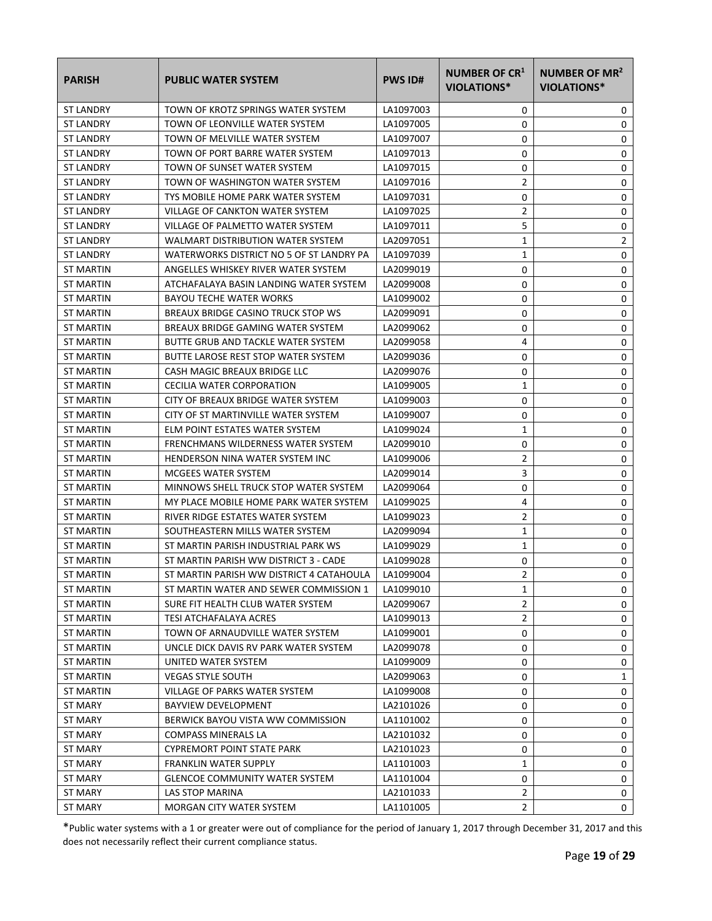| <b>PARISH</b>    | <b>PUBLIC WATER SYSTEM</b>               | <b>PWS ID#</b> | <b>NUMBER OF CR1</b><br><b>VIOLATIONS*</b> | NUMBER OF MR <sup>2</sup><br><b>VIOLATIONS*</b> |
|------------------|------------------------------------------|----------------|--------------------------------------------|-------------------------------------------------|
| <b>ST LANDRY</b> | TOWN OF KROTZ SPRINGS WATER SYSTEM       | LA1097003      | 0                                          | 0                                               |
| <b>ST LANDRY</b> | TOWN OF LEONVILLE WATER SYSTEM           | LA1097005      | 0                                          | 0                                               |
| <b>ST LANDRY</b> | TOWN OF MELVILLE WATER SYSTEM            | LA1097007      | 0                                          | 0                                               |
| <b>ST LANDRY</b> | TOWN OF PORT BARRE WATER SYSTEM          | LA1097013      | 0                                          | 0                                               |
| <b>ST LANDRY</b> | TOWN OF SUNSET WATER SYSTEM              | LA1097015      | 0                                          | 0                                               |
| <b>ST LANDRY</b> | TOWN OF WASHINGTON WATER SYSTEM          | LA1097016      | 2                                          | 0                                               |
| <b>ST LANDRY</b> | TYS MOBILE HOME PARK WATER SYSTEM        | LA1097031      | 0                                          | 0                                               |
| <b>ST LANDRY</b> | VILLAGE OF CANKTON WATER SYSTEM          | LA1097025      | 2                                          | 0                                               |
| <b>ST LANDRY</b> | VILLAGE OF PALMETTO WATER SYSTEM         | LA1097011      | 5                                          | 0                                               |
| <b>ST LANDRY</b> | WALMART DISTRIBUTION WATER SYSTEM        | LA2097051      | $\mathbf{1}$                               | 2                                               |
| <b>ST LANDRY</b> | WATERWORKS DISTRICT NO 5 OF ST LANDRY PA | LA1097039      | 1                                          | 0                                               |
| ST MARTIN        | ANGELLES WHISKEY RIVER WATER SYSTEM      | LA2099019      | 0                                          | 0                                               |
| ST MARTIN        | ATCHAFALAYA BASIN LANDING WATER SYSTEM   | LA2099008      | 0                                          | 0                                               |
| ST MARTIN        | <b>BAYOU TECHE WATER WORKS</b>           | LA1099002      | 0                                          | 0                                               |
| ST MARTIN        | BREAUX BRIDGE CASINO TRUCK STOP WS       | LA2099091      | 0                                          | 0                                               |
| ST MARTIN        | BREAUX BRIDGE GAMING WATER SYSTEM        | LA2099062      | 0                                          | 0                                               |
| ST MARTIN        | BUTTE GRUB AND TACKLE WATER SYSTEM       | LA2099058      | 4                                          | 0                                               |
| ST MARTIN        | BUTTE LAROSE REST STOP WATER SYSTEM      | LA2099036      | 0                                          | 0                                               |
| <b>ST MARTIN</b> | CASH MAGIC BREAUX BRIDGE LLC             | LA2099076      | 0                                          | 0                                               |
| ST MARTIN        | <b>CECILIA WATER CORPORATION</b>         | LA1099005      | 1                                          | 0                                               |
| ST MARTIN        | CITY OF BREAUX BRIDGE WATER SYSTEM       | LA1099003      | 0                                          | 0                                               |
| ST MARTIN        | CITY OF ST MARTINVILLE WATER SYSTEM      | LA1099007      | 0                                          | 0                                               |
| ST MARTIN        | ELM POINT ESTATES WATER SYSTEM           | LA1099024      | 1                                          | 0                                               |
| ST MARTIN        | FRENCHMANS WILDERNESS WATER SYSTEM       | LA2099010      | 0                                          | 0                                               |
| ST MARTIN        | HENDERSON NINA WATER SYSTEM INC          | LA1099006      | 2                                          | 0                                               |
| ST MARTIN        | MCGEES WATER SYSTEM                      | LA2099014      | 3                                          | 0                                               |
| ST MARTIN        | MINNOWS SHELL TRUCK STOP WATER SYSTEM    | LA2099064      | 0                                          | 0                                               |
| ST MARTIN        | MY PLACE MOBILE HOME PARK WATER SYSTEM   | LA1099025      | 4                                          | 0                                               |
| ST MARTIN        | RIVER RIDGE ESTATES WATER SYSTEM         | LA1099023      | 2                                          | 0                                               |
| <b>ST MARTIN</b> | SOUTHEASTERN MILLS WATER SYSTEM          | LA2099094      | 1                                          | 0                                               |
| <b>ST MARTIN</b> | ST MARTIN PARISH INDUSTRIAL PARK WS      | LA1099029      | $\mathbf{1}$                               | 0                                               |
| ST MARTIN        | ST MARTIN PARISH WW DISTRICT 3 - CADE    | LA1099028      | 0                                          | 0                                               |
| ST MARTIN        | ST MARTIN PARISH WW DISTRICT 4 CATAHOULA | LA1099004      | $\overline{2}$                             | $\Omega$                                        |
| <b>ST MARTIN</b> | ST MARTIN WATER AND SEWER COMMISSION 1   | LA1099010      | 1                                          | 0                                               |
| ST MARTIN        | SURE FIT HEALTH CLUB WATER SYSTEM        | LA2099067      | 2                                          | 0                                               |
| ST MARTIN        | <b>TESI ATCHAFALAYA ACRES</b>            | LA1099013      | 2                                          | 0                                               |
| <b>ST MARTIN</b> | TOWN OF ARNAUDVILLE WATER SYSTEM         | LA1099001      | 0                                          | 0                                               |
| ST MARTIN        | UNCLE DICK DAVIS RV PARK WATER SYSTEM    | LA2099078      | 0                                          | 0                                               |
| <b>ST MARTIN</b> | UNITED WATER SYSTEM                      | LA1099009      | 0                                          | 0                                               |
| ST MARTIN        | <b>VEGAS STYLE SOUTH</b>                 | LA2099063      | 0                                          | 1                                               |
| ST MARTIN        | VILLAGE OF PARKS WATER SYSTEM            | LA1099008      | 0                                          | 0                                               |
| ST MARY          | <b>BAYVIEW DEVELOPMENT</b>               | LA2101026      | 0                                          | 0                                               |
| ST MARY          | BERWICK BAYOU VISTA WW COMMISSION        | LA1101002      | 0                                          | 0                                               |
| ST MARY          | COMPASS MINERALS LA                      | LA2101032      | 0                                          | 0                                               |
| ST MARY          | <b>CYPREMORT POINT STATE PARK</b>        | LA2101023      | 0                                          | 0                                               |
| ST MARY          | <b>FRANKLIN WATER SUPPLY</b>             | LA1101003      | 1                                          | 0                                               |
| ST MARY          | <b>GLENCOE COMMUNITY WATER SYSTEM</b>    | LA1101004      | 0                                          | 0                                               |
| ST MARY          | LAS STOP MARINA                          | LA2101033      | 2                                          | 0                                               |
| <b>ST MARY</b>   | MORGAN CITY WATER SYSTEM                 | LA1101005      | $\overline{2}$                             | 0                                               |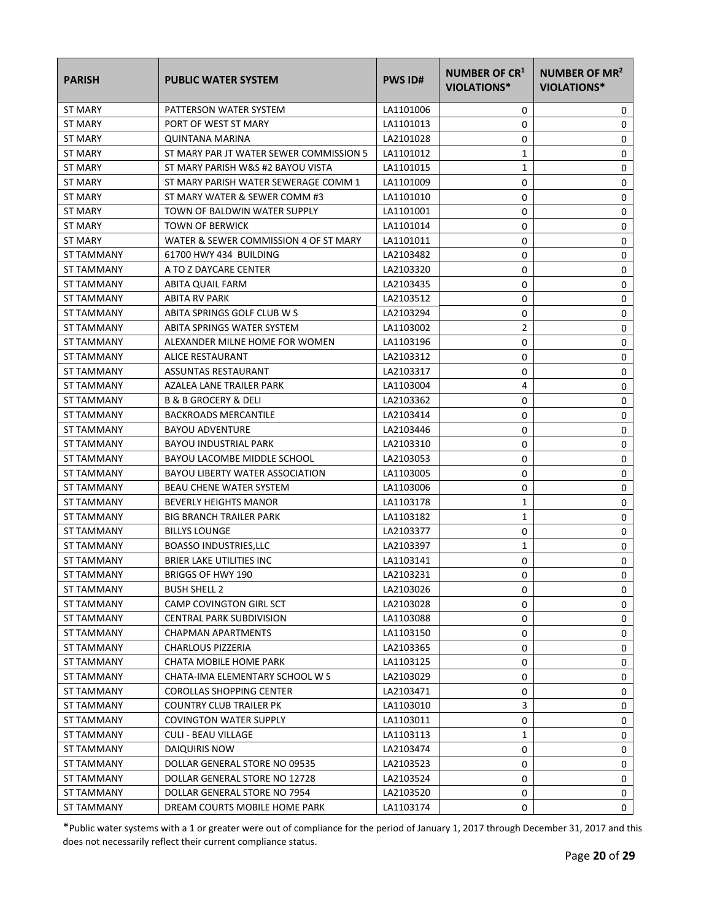| <b>PARISH</b>     | <b>PUBLIC WATER SYSTEM</b>              | <b>PWS ID#</b> | NUMBER OF CR <sup>1</sup><br>VIOLATIONS* | NUMBER OF MR <sup>2</sup><br><b>VIOLATIONS*</b> |
|-------------------|-----------------------------------------|----------------|------------------------------------------|-------------------------------------------------|
| ST MARY           | PATTERSON WATER SYSTEM                  | LA1101006      | 0                                        | 0                                               |
| <b>ST MARY</b>    | PORT OF WEST ST MARY                    | LA1101013      | 0                                        | 0                                               |
| ST MARY           | <b>QUINTANA MARINA</b>                  | LA2101028      | 0                                        | 0                                               |
| ST MARY           | ST MARY PAR JT WATER SEWER COMMISSION 5 | LA1101012      | 1                                        | 0                                               |
| ST MARY           | ST MARY PARISH W&S #2 BAYOU VISTA       | LA1101015      | 1                                        | 0                                               |
| ST MARY           | ST MARY PARISH WATER SEWERAGE COMM 1    | LA1101009      | 0                                        | 0                                               |
| <b>ST MARY</b>    | ST MARY WATER & SEWER COMM #3           | LA1101010      | 0                                        | 0                                               |
| ST MARY           | TOWN OF BALDWIN WATER SUPPLY            | LA1101001      | 0                                        | $\mathbf 0$                                     |
| ST MARY           | <b>TOWN OF BERWICK</b>                  | LA1101014      | 0                                        | 0                                               |
| ST MARY           | WATER & SEWER COMMISSION 4 OF ST MARY   | LA1101011      | 0                                        | 0                                               |
| ST TAMMANY        | 61700 HWY 434 BUILDING                  | LA2103482      | 0                                        | 0                                               |
| ST TAMMANY        | A TO Z DAYCARE CENTER                   | LA2103320      | 0                                        | 0                                               |
| ST TAMMANY        | ABITA QUAIL FARM                        | LA2103435      | 0                                        | 0                                               |
| ST TAMMANY        | ABITA RV PARK                           | LA2103512      | 0                                        | 0                                               |
| <b>ST TAMMANY</b> | ABITA SPRINGS GOLF CLUB W S             | LA2103294      | 0                                        | 0                                               |
| ST TAMMANY        | ABITA SPRINGS WATER SYSTEM              | LA1103002      | 2                                        | 0                                               |
| <b>ST TAMMANY</b> | ALEXANDER MILNE HOME FOR WOMEN          | LA1103196      | 0                                        | 0                                               |
| ST TAMMANY        | ALICE RESTAURANT                        | LA2103312      | 0                                        | 0                                               |
| ST TAMMANY        | ASSUNTAS RESTAURANT                     | LA2103317      | 0                                        | 0                                               |
| ST TAMMANY        | AZALEA LANE TRAILER PARK                | LA1103004      | 4                                        | 0                                               |
| ST TAMMANY        | <b>B &amp; B GROCERY &amp; DELI</b>     | LA2103362      | 0                                        | 0                                               |
| ST TAMMANY        | <b>BACKROADS MERCANTILE</b>             | LA2103414      | 0                                        | 0                                               |
| ST TAMMANY        | <b>BAYOU ADVENTURE</b>                  | LA2103446      | 0                                        | 0                                               |
| ST TAMMANY        | <b>BAYOU INDUSTRIAL PARK</b>            | LA2103310      | 0                                        | 0                                               |
| ST TAMMANY        | BAYOU LACOMBE MIDDLE SCHOOL             | LA2103053      | 0                                        | 0                                               |
| ST TAMMANY        | BAYOU LIBERTY WATER ASSOCIATION         | LA1103005      | 0                                        | 0                                               |
| ST TAMMANY        | <b>BEAU CHENE WATER SYSTEM</b>          | LA1103006      | 0                                        | 0                                               |
| ST TAMMANY        | <b>BEVERLY HEIGHTS MANOR</b>            | LA1103178      | 1                                        | 0                                               |
| ST TAMMANY        | <b>BIG BRANCH TRAILER PARK</b>          | LA1103182      | 1                                        | 0                                               |
| ST TAMMANY        | <b>BILLYS LOUNGE</b>                    | LA2103377      | 0                                        | 0                                               |
| ST TAMMANY        | <b>BOASSO INDUSTRIES, LLC</b>           | LA2103397      | 1                                        | 0                                               |
| ST TAMMANY        | BRIER LAKE UTILITIES INC                | LA1103141      | 0                                        | 0                                               |
| <b>ST TAMMANY</b> | BRIGGS OF HWY 190                       | LA2103231      | 0                                        | 0                                               |
| ST TAMMANY        | <b>BUSH SHELL 2</b>                     | LA2103026      | 0                                        | 0                                               |
| ST TAMMANY        | CAMP COVINGTON GIRL SCT                 | LA2103028      | 0                                        | 0                                               |
| ST TAMMANY        | CENTRAL PARK SUBDIVISION                | LA1103088      | 0                                        | 0                                               |
| ST TAMMANY        | CHAPMAN APARTMENTS                      | LA1103150      | 0                                        | 0                                               |
| ST TAMMANY        | <b>CHARLOUS PIZZERIA</b>                | LA2103365      | 0                                        | 0                                               |
| ST TAMMANY        | CHATA MOBILE HOME PARK                  | LA1103125      | 0                                        | 0                                               |
| ST TAMMANY        | CHATA-IMA ELEMENTARY SCHOOL W S         | LA2103029      | 0                                        | 0                                               |
| ST TAMMANY        | <b>COROLLAS SHOPPING CENTER</b>         | LA2103471      | 0                                        | 0                                               |
| ST TAMMANY        | <b>COUNTRY CLUB TRAILER PK</b>          | LA1103010      | 3                                        | 0                                               |
| ST TAMMANY        | <b>COVINGTON WATER SUPPLY</b>           | LA1103011      | 0                                        | 0                                               |
| ST TAMMANY        | <b>CULI - BEAU VILLAGE</b>              | LA1103113      | 1                                        | 0                                               |
| ST TAMMANY        | DAIQUIRIS NOW                           | LA2103474      | 0                                        | 0                                               |
| ST TAMMANY        | DOLLAR GENERAL STORE NO 09535           | LA2103523      | 0                                        | 0                                               |
| ST TAMMANY        | DOLLAR GENERAL STORE NO 12728           | LA2103524      | 0                                        | 0                                               |
| ST TAMMANY        | DOLLAR GENERAL STORE NO 7954            | LA2103520      | 0                                        | 0                                               |
| ST TAMMANY        | DREAM COURTS MOBILE HOME PARK           | LA1103174      | 0                                        | 0                                               |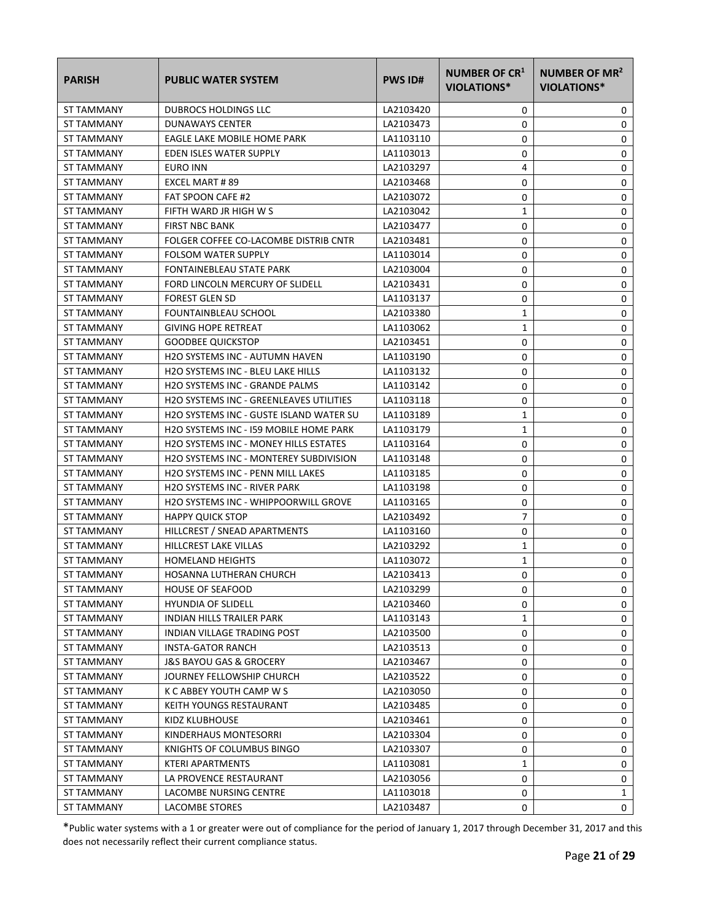| <b>PARISH</b>     | <b>PUBLIC WATER SYSTEM</b>                     | <b>PWS ID#</b> | NUMBER OF CR <sup>1</sup><br>VIOLATIONS* | NUMBER OF MR <sup>2</sup><br><b>VIOLATIONS*</b> |
|-------------------|------------------------------------------------|----------------|------------------------------------------|-------------------------------------------------|
| ST TAMMANY        | <b>DUBROCS HOLDINGS LLC</b>                    | LA2103420      | 0                                        | 0                                               |
| <b>ST TAMMANY</b> | DUNAWAYS CENTER                                | LA2103473      | 0                                        | 0                                               |
| ST TAMMANY        | EAGLE LAKE MOBILE HOME PARK                    | LA1103110      | 0                                        | 0                                               |
| ST TAMMANY        | EDEN ISLES WATER SUPPLY                        | LA1103013      | 0                                        | 0                                               |
| ST TAMMANY        | <b>EURO INN</b>                                | LA2103297      | 4                                        | 0                                               |
| ST TAMMANY        | EXCEL MART # 89                                | LA2103468      | 0                                        | 0                                               |
| ST TAMMANY        | <b>FAT SPOON CAFE #2</b>                       | LA2103072      | 0                                        | 0                                               |
| ST TAMMANY        | FIFTH WARD JR HIGH W S                         | LA2103042      | $\mathbf{1}$                             | 0                                               |
| ST TAMMANY        | <b>FIRST NBC BANK</b>                          | LA2103477      | 0                                        | 0                                               |
| ST TAMMANY        | FOLGER COFFEE CO-LACOMBE DISTRIB CNTR          | LA2103481      | 0                                        | 0                                               |
| ST TAMMANY        | <b>FOLSOM WATER SUPPLY</b>                     | LA1103014      | 0                                        | 0                                               |
| ST TAMMANY        | FONTAINEBLEAU STATE PARK                       | LA2103004      | 0                                        | 0                                               |
| ST TAMMANY        | FORD LINCOLN MERCURY OF SLIDELL                | LA2103431      | 0                                        | 0                                               |
| ST TAMMANY        | <b>FOREST GLEN SD</b>                          | LA1103137      | 0                                        | 0                                               |
| ST TAMMANY        | FOUNTAINBLEAU SCHOOL                           | LA2103380      | 1                                        | 0                                               |
| ST TAMMANY        | <b>GIVING HOPE RETREAT</b>                     | LA1103062      | 1                                        | 0                                               |
| ST TAMMANY        | <b>GOODBEE QUICKSTOP</b>                       | LA2103451      | 0                                        | 0                                               |
| ST TAMMANY        | <b>H2O SYSTEMS INC - AUTUMN HAVEN</b>          | LA1103190      | 0                                        | 0                                               |
| ST TAMMANY        | <b>H2O SYSTEMS INC - BLEU LAKE HILLS</b>       | LA1103132      | 0                                        | 0                                               |
| ST TAMMANY        | H2O SYSTEMS INC - GRANDE PALMS                 | LA1103142      | 0                                        | 0                                               |
| ST TAMMANY        | <b>H2O SYSTEMS INC - GREENLEAVES UTILITIES</b> | LA1103118      | 0                                        | 0                                               |
| ST TAMMANY        | H2O SYSTEMS INC - GUSTE ISLAND WATER SU        | LA1103189      | 1                                        | 0                                               |
| ST TAMMANY        | H2O SYSTEMS INC - 159 MOBILE HOME PARK         | LA1103179      | 1                                        | 0                                               |
| ST TAMMANY        | H2O SYSTEMS INC - MONEY HILLS ESTATES          | LA1103164      | 0                                        | 0                                               |
| ST TAMMANY        | <b>H2O SYSTEMS INC - MONTEREY SUBDIVISION</b>  | LA1103148      | 0                                        | 0                                               |
| ST TAMMANY        | H2O SYSTEMS INC - PENN MILL LAKES              | LA1103185      | 0                                        | 0                                               |
| ST TAMMANY        | <b>H2O SYSTEMS INC - RIVER PARK</b>            | LA1103198      | 0                                        | 0                                               |
| ST TAMMANY        | <b>H2O SYSTEMS INC - WHIPPOORWILL GROVE</b>    | LA1103165      | 0                                        | 0                                               |
| ST TAMMANY        | <b>HAPPY QUICK STOP</b>                        | LA2103492      | $\overline{7}$                           | 0                                               |
| ST TAMMANY        | HILLCREST / SNEAD APARTMENTS                   | LA1103160      | 0                                        | 0                                               |
| ST TAMMANY        | HILLCREST LAKE VILLAS                          | LA2103292      | 1                                        | 0                                               |
| ST TAMMANY        | <b>HOMELAND HEIGHTS</b>                        | LA1103072      | 1                                        | 0                                               |
| ST TAMMANY        | HOSANNA LUTHERAN CHURCH                        | LA2103413      | 0                                        | 0                                               |
| ST TAMMANY        | <b>HOUSE OF SEAFOOD</b>                        | LA2103299      | 0                                        | 0                                               |
| ST TAMMANY        | <b>HYUNDIA OF SLIDELL</b>                      | LA2103460      | 0                                        | 0                                               |
| ST TAMMANY        | INDIAN HILLS TRAILER PARK                      | LA1103143      | 1                                        | 0                                               |
| ST TAMMANY        | INDIAN VILLAGE TRADING POST                    | LA2103500      | 0                                        | 0                                               |
| ST TAMMANY        | <b>INSTA-GATOR RANCH</b>                       | LA2103513      | 0                                        | 0                                               |
| ST TAMMANY        | J&S BAYOU GAS & GROCERY                        | LA2103467      | 0                                        | 0                                               |
| ST TAMMANY        | JOURNEY FELLOWSHIP CHURCH                      | LA2103522      | 0                                        | 0                                               |
| ST TAMMANY        | K C ABBEY YOUTH CAMP W S                       | LA2103050      | 0                                        | 0                                               |
| ST TAMMANY        | KEITH YOUNGS RESTAURANT                        | LA2103485      | 0                                        | 0                                               |
| ST TAMMANY        | KIDZ KLUBHOUSE                                 | LA2103461      | 0                                        | 0                                               |
| ST TAMMANY        | KINDERHAUS MONTESORRI                          | LA2103304      | 0                                        | 0                                               |
| ST TAMMANY        | KNIGHTS OF COLUMBUS BINGO                      | LA2103307      | 0                                        | 0                                               |
| ST TAMMANY        | KTERI APARTMENTS                               | LA1103081      | 1                                        | 0                                               |
| ST TAMMANY        | LA PROVENCE RESTAURANT                         | LA2103056      | 0                                        | 0                                               |
| ST TAMMANY        | LACOMBE NURSING CENTRE                         | LA1103018      | 0                                        | 1                                               |
| ST TAMMANY        | LACOMBE STORES                                 | LA2103487      | 0                                        | $\mathbf 0$                                     |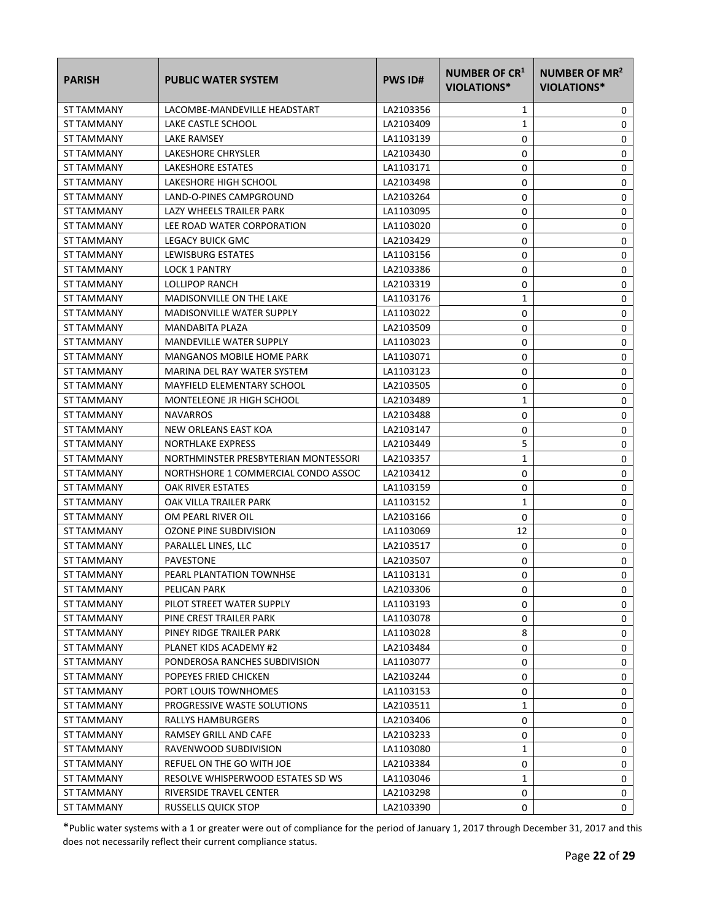| <b>PARISH</b>     | <b>PUBLIC WATER SYSTEM</b>           | <b>PWS ID#</b> | NUMBER OF CR <sup>1</sup><br>VIOLATIONS* | NUMBER OF MR <sup>2</sup><br><b>VIOLATIONS*</b> |
|-------------------|--------------------------------------|----------------|------------------------------------------|-------------------------------------------------|
| ST TAMMANY        | LACOMBE-MANDEVILLE HEADSTART         | LA2103356      | 1                                        | 0                                               |
| <b>ST TAMMANY</b> | LAKE CASTLE SCHOOL                   | LA2103409      | 1                                        | 0                                               |
| ST TAMMANY        | <b>LAKE RAMSEY</b>                   | LA1103139      | 0                                        | 0                                               |
| ST TAMMANY        | LAKESHORE CHRYSLER                   | LA2103430      | 0                                        | 0                                               |
| ST TAMMANY        | LAKESHORE ESTATES                    | LA1103171      | 0                                        | 0                                               |
| ST TAMMANY        | LAKESHORE HIGH SCHOOL                | LA2103498      | 0                                        | 0                                               |
| ST TAMMANY        | LAND-O-PINES CAMPGROUND              | LA2103264      | 0                                        | 0                                               |
| ST TAMMANY        | LAZY WHEELS TRAILER PARK             | LA1103095      | 0                                        | 0                                               |
| ST TAMMANY        | LEE ROAD WATER CORPORATION           | LA1103020      | 0                                        | 0                                               |
| ST TAMMANY        | LEGACY BUICK GMC                     | LA2103429      | 0                                        | 0                                               |
| ST TAMMANY        | LEWISBURG ESTATES                    | LA1103156      | 0                                        | 0                                               |
| ST TAMMANY        | <b>LOCK 1 PANTRY</b>                 | LA2103386      | 0                                        | 0                                               |
| ST TAMMANY        | LOLLIPOP RANCH                       | LA2103319      | 0                                        | 0                                               |
| <b>ST TAMMANY</b> | MADISONVILLE ON THE LAKE             | LA1103176      | 1                                        | 0                                               |
| ST TAMMANY        | <b>MADISONVILLE WATER SUPPLY</b>     | LA1103022      | 0                                        | 0                                               |
| <b>ST TAMMANY</b> | MANDABITA PLAZA                      | LA2103509      | 0                                        | 0                                               |
| ST TAMMANY        | <b>MANDEVILLE WATER SUPPLY</b>       | LA1103023      | 0                                        | 0                                               |
| ST TAMMANY        | MANGANOS MOBILE HOME PARK            | LA1103071      | 0                                        | 0                                               |
| <b>ST TAMMANY</b> | MARINA DEL RAY WATER SYSTEM          | LA1103123      | 0                                        | 0                                               |
| ST TAMMANY        | MAYFIELD ELEMENTARY SCHOOL           | LA2103505      | 0                                        | 0                                               |
| ST TAMMANY        | MONTELEONE JR HIGH SCHOOL            | LA2103489      | 1                                        | 0                                               |
| ST TAMMANY        | <b>NAVARROS</b>                      | LA2103488      | 0                                        | 0                                               |
| ST TAMMANY        | NEW ORLEANS EAST KOA                 | LA2103147      | 0                                        | 0                                               |
| ST TAMMANY        | <b>NORTHLAKE EXPRESS</b>             | LA2103449      | 5                                        | 0                                               |
| ST TAMMANY        | NORTHMINSTER PRESBYTERIAN MONTESSORI | LA2103357      | 1                                        | 0                                               |
| ST TAMMANY        | NORTHSHORE 1 COMMERCIAL CONDO ASSOC  | LA2103412      | 0                                        | 0                                               |
| ST TAMMANY        | OAK RIVER ESTATES                    | LA1103159      | 0                                        | 0                                               |
| ST TAMMANY        | OAK VILLA TRAILER PARK               | LA1103152      | 1                                        | 0                                               |
| ST TAMMANY        | OM PEARL RIVER OIL                   | LA2103166      | 0                                        | 0                                               |
| ST TAMMANY        | OZONE PINE SUBDIVISION               | LA1103069      | 12                                       | 0                                               |
| ST TAMMANY        | PARALLEL LINES, LLC                  | LA2103517      | 0                                        | 0                                               |
| ST TAMMANY        | PAVESTONE                            | LA2103507      | 0                                        | 0                                               |
| ST TAMMANY        | PEARL PLANTATION TOWNHSE             | LA1103131      | 0                                        | 0                                               |
| ST TAMMANY        | PELICAN PARK                         | LA2103306      | 0                                        | 0                                               |
| ST TAMMANY        | PILOT STREET WATER SUPPLY            | LA1103193      | 0                                        | 0                                               |
| ST TAMMANY        | PINE CREST TRAILER PARK              | LA1103078      | 0                                        | 0                                               |
| ST TAMMANY        | PINEY RIDGE TRAILER PARK             | LA1103028      | 8                                        | 0                                               |
| ST TAMMANY        | PLANET KIDS ACADEMY #2               | LA2103484      | 0                                        | 0                                               |
| ST TAMMANY        | PONDEROSA RANCHES SUBDIVISION        | LA1103077      | 0                                        | 0                                               |
| ST TAMMANY        | POPEYES FRIED CHICKEN                | LA2103244      | 0                                        | 0                                               |
| ST TAMMANY        | PORT LOUIS TOWNHOMES                 | LA1103153      | 0                                        | 0                                               |
| ST TAMMANY        | PROGRESSIVE WASTE SOLUTIONS          | LA2103511      | 1                                        | 0                                               |
| ST TAMMANY        | RALLYS HAMBURGERS                    | LA2103406      | 0                                        | 0                                               |
| ST TAMMANY        | RAMSEY GRILL AND CAFE                | LA2103233      | 0                                        | 0                                               |
| ST TAMMANY        | RAVENWOOD SUBDIVISION                | LA1103080      | 1                                        | 0                                               |
| ST TAMMANY        | REFUEL ON THE GO WITH JOE            | LA2103384      | 0                                        | 0                                               |
| ST TAMMANY        | RESOLVE WHISPERWOOD ESTATES SD WS    | LA1103046      | 1                                        | 0                                               |
| ST TAMMANY        | RIVERSIDE TRAVEL CENTER              | LA2103298      | 0                                        | 0                                               |
| ST TAMMANY        | RUSSELLS QUICK STOP                  | LA2103390      | 0                                        | 0                                               |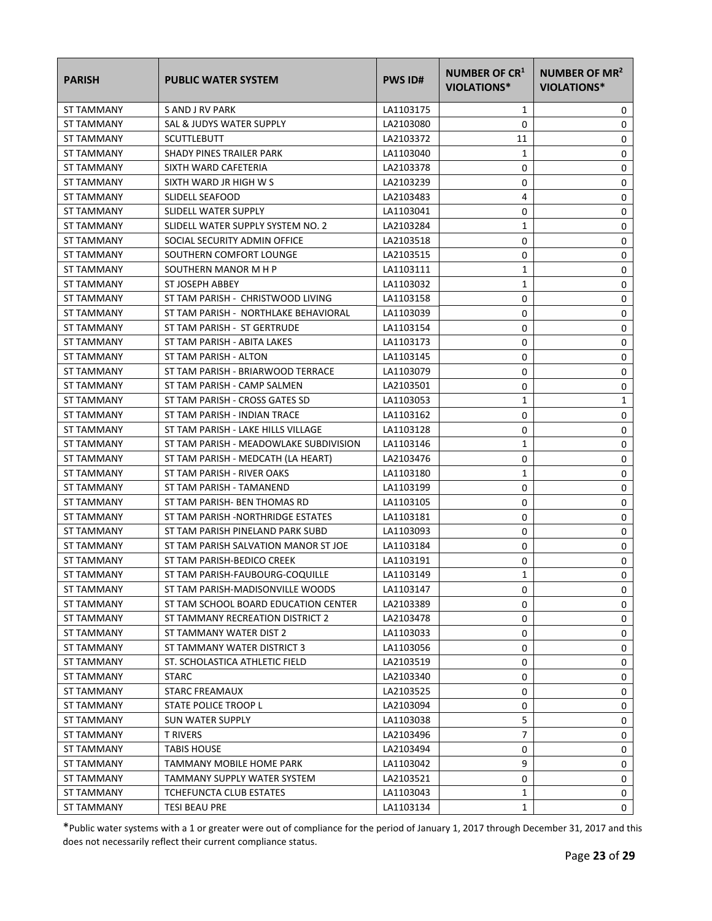| <b>PARISH</b>     | <b>PUBLIC WATER SYSTEM</b>             | <b>PWS ID#</b> | <b>NUMBER OF CR1</b><br>VIOLATIONS* | NUMBER OF MR <sup>2</sup><br><b>VIOLATIONS*</b> |
|-------------------|----------------------------------------|----------------|-------------------------------------|-------------------------------------------------|
| ST TAMMANY        | S AND J RV PARK                        | LA1103175      | 1                                   | 0                                               |
| ST TAMMANY        | SAL & JUDYS WATER SUPPLY               | LA2103080      | 0                                   | 0                                               |
| <b>ST TAMMANY</b> | <b>SCUTTLEBUTT</b>                     | LA2103372      | 11                                  | 0                                               |
| ST TAMMANY        | SHADY PINES TRAILER PARK               | LA1103040      | 1                                   | 0                                               |
| ST TAMMANY        | SIXTH WARD CAFETERIA                   | LA2103378      | 0                                   | 0                                               |
| ST TAMMANY        | SIXTH WARD JR HIGH W S                 | LA2103239      | 0                                   | 0                                               |
| ST TAMMANY        | SLIDELL SEAFOOD                        | LA2103483      | 4                                   | 0                                               |
| ST TAMMANY        | SLIDELL WATER SUPPLY                   | LA1103041      | 0                                   | 0                                               |
| ST TAMMANY        | SLIDELL WATER SUPPLY SYSTEM NO. 2      | LA2103284      | $\mathbf{1}$                        | 0                                               |
| ST TAMMANY        | SOCIAL SECURITY ADMIN OFFICE           | LA2103518      | 0                                   | 0                                               |
| ST TAMMANY        | SOUTHERN COMFORT LOUNGE                | LA2103515      | 0                                   | 0                                               |
| ST TAMMANY        | SOUTHERN MANOR M H P                   | LA1103111      | 1                                   | 0                                               |
| ST TAMMANY        | ST JOSEPH ABBEY                        | LA1103032      | 1                                   | 0                                               |
| ST TAMMANY        | ST TAM PARISH - CHRISTWOOD LIVING      | LA1103158      | 0                                   | 0                                               |
| ST TAMMANY        | ST TAM PARISH - NORTHLAKE BEHAVIORAL   | LA1103039      | 0                                   | 0                                               |
| ST TAMMANY        | ST TAM PARISH - ST GERTRUDE            | LA1103154      | 0                                   | 0                                               |
| <b>ST TAMMANY</b> | ST TAM PARISH - ABITA LAKES            | LA1103173      | 0                                   | 0                                               |
| ST TAMMANY        | ST TAM PARISH - ALTON                  | LA1103145      | 0                                   | 0                                               |
| ST TAMMANY        | ST TAM PARISH - BRIARWOOD TERRACE      | LA1103079      | 0                                   | 0                                               |
| ST TAMMANY        | ST TAM PARISH - CAMP SALMEN            | LA2103501      | 0                                   | 0                                               |
| ST TAMMANY        | ST TAM PARISH - CROSS GATES SD         | LA1103053      | $\mathbf{1}$                        | 1                                               |
| ST TAMMANY        | ST TAM PARISH - INDIAN TRACE           | LA1103162      | 0                                   | 0                                               |
| ST TAMMANY        | ST TAM PARISH - LAKE HILLS VILLAGE     | LA1103128      | 0                                   | 0                                               |
| ST TAMMANY        | ST TAM PARISH - MEADOWLAKE SUBDIVISION | LA1103146      | 1                                   | 0                                               |
| ST TAMMANY        | ST TAM PARISH - MEDCATH (LA HEART)     | LA2103476      | 0                                   | 0                                               |
| ST TAMMANY        | ST TAM PARISH - RIVER OAKS             | LA1103180      | 1                                   | 0                                               |
| ST TAMMANY        | ST TAM PARISH - TAMANEND               | LA1103199      | 0                                   | 0                                               |
| ST TAMMANY        | ST TAM PARISH- BEN THOMAS RD           | LA1103105      | 0                                   | 0                                               |
| ST TAMMANY        | ST TAM PARISH -NORTHRIDGE ESTATES      | LA1103181      | 0                                   | 0                                               |
| ST TAMMANY        | ST TAM PARISH PINELAND PARK SUBD       | LA1103093      | 0                                   | 0                                               |
| ST TAMMANY        | ST TAM PARISH SALVATION MANOR ST JOE   | LA1103184      | 0                                   | 0                                               |
| ST TAMMANY        | ST TAM PARISH-BEDICO CREEK             | LA1103191      | 0                                   | 0                                               |
| ST TAMMANY        | ST TAM PARISH-FAUBOURG-COQUILLE        | LA1103149      | 1                                   | 0                                               |
| <b>ST TAMMANY</b> | ST TAM PARISH-MADISONVILLE WOODS       | LA1103147      | 0                                   | 0                                               |
| ST TAMMANY        | ST TAM SCHOOL BOARD EDUCATION CENTER   | LA2103389      | 0                                   | 0                                               |
| ST TAMMANY        | ST TAMMANY RECREATION DISTRICT 2       | LA2103478      | 0                                   | 0                                               |
| ST TAMMANY        | ST TAMMANY WATER DIST 2                | LA1103033      | 0                                   | 0                                               |
| ST TAMMANY        | ST TAMMANY WATER DISTRICT 3            | LA1103056      | 0                                   | 0                                               |
| ST TAMMANY        | ST. SCHOLASTICA ATHLETIC FIELD         | LA2103519      | 0                                   | 0                                               |
| ST TAMMANY        | STARC                                  | LA2103340      | 0                                   | 0                                               |
| ST TAMMANY        | STARC FREAMAUX                         | LA2103525      | 0                                   | 0                                               |
| ST TAMMANY        | STATE POLICE TROOP L                   | LA2103094      | 0                                   | 0                                               |
| ST TAMMANY        | <b>SUN WATER SUPPLY</b>                | LA1103038      | 5                                   | 0                                               |
| ST TAMMANY        | T RIVERS                               | LA2103496      | 7                                   | 0                                               |
| <b>ST TAMMANY</b> | <b>TABIS HOUSE</b>                     | LA2103494      | 0                                   | 0                                               |
| ST TAMMANY        | TAMMANY MOBILE HOME PARK               | LA1103042      | 9                                   | 0                                               |
| ST TAMMANY        | TAMMANY SUPPLY WATER SYSTEM            | LA2103521      | 0                                   | 0                                               |
| ST TAMMANY        | TCHEFUNCTA CLUB ESTATES                | LA1103043      | 1                                   | 0                                               |
| ST TAMMANY        | TESI BEAU PRE                          | LA1103134      | 1                                   | 0                                               |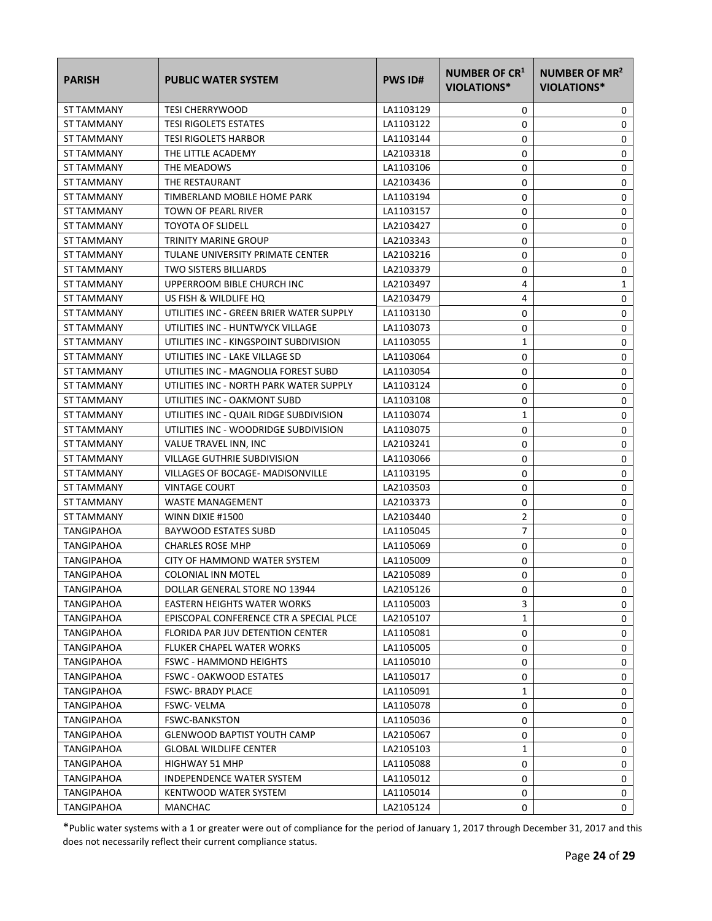| <b>PARISH</b>     | <b>PUBLIC WATER SYSTEM</b>               | <b>PWS ID#</b> | NUMBER OF CR <sup>1</sup><br>VIOLATIONS* | NUMBER OF MR <sup>2</sup><br><b>VIOLATIONS*</b> |
|-------------------|------------------------------------------|----------------|------------------------------------------|-------------------------------------------------|
| ST TAMMANY        | <b>TESI CHERRYWOOD</b>                   | LA1103129      | 0                                        | 0                                               |
| ST TAMMANY        | <b>TESI RIGOLETS ESTATES</b>             | LA1103122      | 0                                        | 0                                               |
| <b>ST TAMMANY</b> | <b>TESI RIGOLETS HARBOR</b>              | LA1103144      | 0                                        | 0                                               |
| ST TAMMANY        | THE LITTLE ACADEMY                       | LA2103318      | 0                                        | 0                                               |
| ST TAMMANY        | THE MEADOWS                              | LA1103106      | 0                                        | 0                                               |
| ST TAMMANY        | THE RESTAURANT                           | LA2103436      | 0                                        | 0                                               |
| ST TAMMANY        | TIMBERLAND MOBILE HOME PARK              | LA1103194      | 0                                        | 0                                               |
| ST TAMMANY        | TOWN OF PEARL RIVER                      | LA1103157      | 0                                        | $\mathbf 0$                                     |
| ST TAMMANY        | <b>TOYOTA OF SLIDELL</b>                 | LA2103427      | 0                                        | 0                                               |
| ST TAMMANY        | TRINITY MARINE GROUP                     | LA2103343      | 0                                        | 0                                               |
| ST TAMMANY        | TULANE UNIVERSITY PRIMATE CENTER         | LA2103216      | 0                                        | 0                                               |
| ST TAMMANY        | <b>TWO SISTERS BILLIARDS</b>             | LA2103379      | 0                                        | 0                                               |
| ST TAMMANY        | UPPERROOM BIBLE CHURCH INC               | LA2103497      | 4                                        | 1                                               |
| ST TAMMANY        | US FISH & WILDLIFE HQ                    | LA2103479      | 4                                        | 0                                               |
| ST TAMMANY        | UTILITIES INC - GREEN BRIER WATER SUPPLY | LA1103130      | 0                                        | 0                                               |
| ST TAMMANY        | UTILITIES INC - HUNTWYCK VILLAGE         | LA1103073      | 0                                        | 0                                               |
| ST TAMMANY        | UTILITIES INC - KINGSPOINT SUBDIVISION   | LA1103055      | 1                                        | 0                                               |
| ST TAMMANY        | UTILITIES INC - LAKE VILLAGE SD          | LA1103064      | 0                                        | 0                                               |
| ST TAMMANY        | UTILITIES INC - MAGNOLIA FOREST SUBD     | LA1103054      | 0                                        | 0                                               |
| ST TAMMANY        | UTILITIES INC - NORTH PARK WATER SUPPLY  | LA1103124      | 0                                        | $\mathbf 0$                                     |
| ST TAMMANY        | UTILITIES INC - OAKMONT SUBD             | LA1103108      | 0                                        | 0                                               |
| ST TAMMANY        | UTILITIES INC - QUAIL RIDGE SUBDIVISION  | LA1103074      | 1                                        | 0                                               |
| ST TAMMANY        | UTILITIES INC - WOODRIDGE SUBDIVISION    | LA1103075      | 0                                        | 0                                               |
| ST TAMMANY        | VALUE TRAVEL INN, INC                    | LA2103241      | 0                                        | 0                                               |
| ST TAMMANY        | VILLAGE GUTHRIE SUBDIVISION              | LA1103066      | 0                                        | 0                                               |
| ST TAMMANY        | VILLAGES OF BOCAGE- MADISONVILLE         | LA1103195      | 0                                        | 0                                               |
| ST TAMMANY        | <b>VINTAGE COURT</b>                     | LA2103503      | 0                                        | 0                                               |
| ST TAMMANY        | <b>WASTE MANAGEMENT</b>                  | LA2103373      | 0                                        | 0                                               |
| ST TAMMANY        | WINN DIXIE #1500                         | LA2103440      | 2                                        | 0                                               |
| TANGIPAHOA        | BAYWOOD ESTATES SUBD                     | LA1105045      | $\overline{7}$                           | 0                                               |
| <b>TANGIPAHOA</b> | <b>CHARLES ROSE MHP</b>                  | LA1105069      | 0                                        | 0                                               |
| TANGIPAHOA        | CITY OF HAMMOND WATER SYSTEM             | LA1105009      | 0                                        | 0                                               |
| TANGIPAHOA        | <b>COLONIAL INN MOTEL</b>                | LA2105089      | 0                                        | 0                                               |
| <b>TANGIPAHOA</b> | DOLLAR GENERAL STORE NO 13944            | LA2105126      | 0                                        | 0                                               |
| <b>TANGIPAHOA</b> | EASTERN HEIGHTS WATER WORKS              | LA1105003      | 3                                        | 0                                               |
| TANGIPAHOA        | EPISCOPAL CONFERENCE CTR A SPECIAL PLCE  | LA2105107      | 1                                        | 0                                               |
| TANGIPAHOA        | FLORIDA PAR JUV DETENTION CENTER         | LA1105081      | 0                                        | 0                                               |
| <b>TANGIPAHOA</b> | FLUKER CHAPEL WATER WORKS                | LA1105005      | 0                                        | 0                                               |
| <b>TANGIPAHOA</b> | <b>FSWC - HAMMOND HEIGHTS</b>            | LA1105010      | 0                                        | 0                                               |
| TANGIPAHOA        | <b>FSWC - OAKWOOD ESTATES</b>            | LA1105017      | 0                                        | 0                                               |
| <b>TANGIPAHOA</b> | <b>FSWC- BRADY PLACE</b>                 | LA1105091      | 1                                        | 0                                               |
| <b>TANGIPAHOA</b> | <b>FSWC- VELMA</b>                       | LA1105078      | 0                                        | 0                                               |
| TANGIPAHOA        | <b>FSWC-BANKSTON</b>                     | LA1105036      | 0                                        | 0                                               |
| TANGIPAHOA        | <b>GLENWOOD BAPTIST YOUTH CAMP</b>       | LA2105067      | 0                                        | 0                                               |
| TANGIPAHOA        | <b>GLOBAL WILDLIFE CENTER</b>            | LA2105103      | 1                                        | 0                                               |
| TANGIPAHOA        | HIGHWAY 51 MHP                           | LA1105088      | 0                                        | 0                                               |
| TANGIPAHOA        | INDEPENDENCE WATER SYSTEM                | LA1105012      | 0                                        | 0                                               |
| TANGIPAHOA        | KENTWOOD WATER SYSTEM                    | LA1105014      | 0                                        | 0                                               |
| TANGIPAHOA        | MANCHAC                                  | LA2105124      | 0                                        | 0                                               |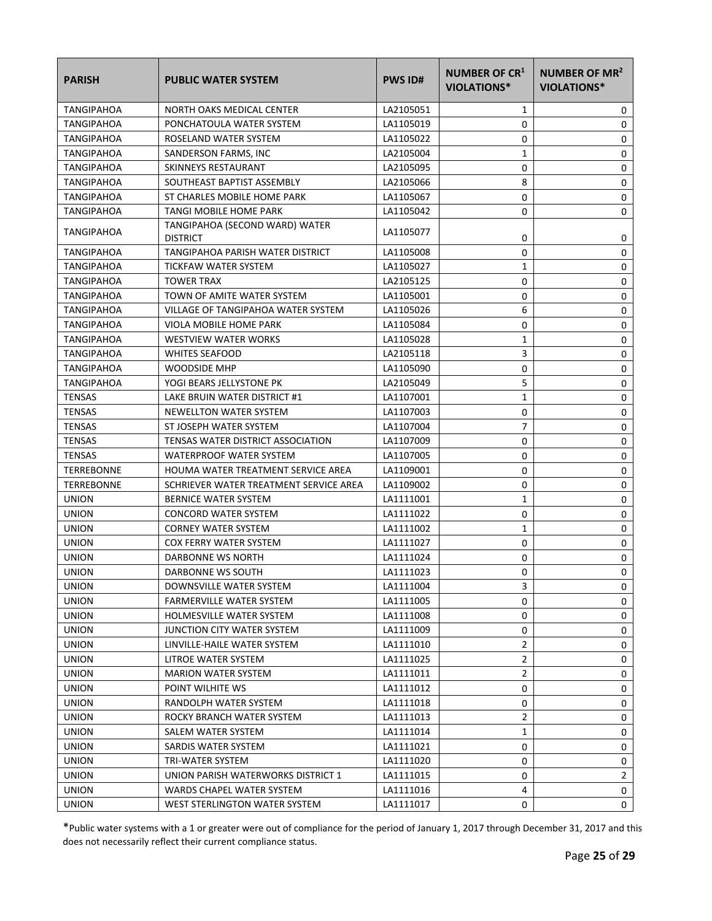| <b>PARISH</b>     | <b>PUBLIC WATER SYSTEM</b>                        | <b>PWS ID#</b> | NUMBER OF CR <sup>1</sup><br>VIOLATIONS* | NUMBER OF MR <sup>2</sup><br><b>VIOLATIONS*</b> |
|-------------------|---------------------------------------------------|----------------|------------------------------------------|-------------------------------------------------|
| TANGIPAHOA        | NORTH OAKS MEDICAL CENTER                         | LA2105051      | 1                                        | 0                                               |
| <b>TANGIPAHOA</b> | PONCHATOULA WATER SYSTEM                          | LA1105019      | 0                                        | 0                                               |
| TANGIPAHOA        | ROSELAND WATER SYSTEM                             | LA1105022      | 0                                        | 0                                               |
| <b>TANGIPAHOA</b> | SANDERSON FARMS, INC                              | LA2105004      | 1                                        | 0                                               |
| TANGIPAHOA        | SKINNEYS RESTAURANT                               | LA2105095      | 0                                        | 0                                               |
| <b>TANGIPAHOA</b> | SOUTHEAST BAPTIST ASSEMBLY                        | LA2105066      | 8                                        | 0                                               |
| TANGIPAHOA        | ST CHARLES MOBILE HOME PARK                       | LA1105067      | 0                                        | 0                                               |
| TANGIPAHOA        | TANGI MOBILE HOME PARK                            | LA1105042      | 0                                        | 0                                               |
| TANGIPAHOA        | TANGIPAHOA (SECOND WARD) WATER<br><b>DISTRICT</b> | LA1105077      | 0                                        | 0                                               |
| TANGIPAHOA        | TANGIPAHOA PARISH WATER DISTRICT                  | LA1105008      | 0                                        | 0                                               |
| TANGIPAHOA        | TICKFAW WATER SYSTEM                              | LA1105027      | 1                                        | 0                                               |
| TANGIPAHOA        | <b>TOWER TRAX</b>                                 | LA2105125      | 0                                        | 0                                               |
| TANGIPAHOA        | TOWN OF AMITE WATER SYSTEM                        | LA1105001      | 0                                        | 0                                               |
| TANGIPAHOA        | VILLAGE OF TANGIPAHOA WATER SYSTEM                | LA1105026      | 6                                        | 0                                               |
| TANGIPAHOA        | VIOLA MOBILE HOME PARK                            | LA1105084      | 0                                        | 0                                               |
| TANGIPAHOA        | <b>WESTVIEW WATER WORKS</b>                       | LA1105028      | 1                                        | 0                                               |
| TANGIPAHOA        | <b>WHITES SEAFOOD</b>                             | LA2105118      | 3                                        | 0                                               |
| <b>TANGIPAHOA</b> | <b>WOODSIDE MHP</b>                               | LA1105090      | 0                                        | 0                                               |
| <b>TANGIPAHOA</b> | YOGI BEARS JELLYSTONE PK                          | LA2105049      | 5                                        | 0                                               |
| <b>TENSAS</b>     | LAKE BRUIN WATER DISTRICT #1                      | LA1107001      | 1                                        | 0                                               |
| <b>TENSAS</b>     | NEWELLTON WATER SYSTEM                            | LA1107003      | 0                                        | 0                                               |
| <b>TENSAS</b>     | ST JOSEPH WATER SYSTEM                            | LA1107004      | $\overline{7}$                           | 0                                               |
| <b>TENSAS</b>     | TENSAS WATER DISTRICT ASSOCIATION                 | LA1107009      | 0                                        | 0                                               |
| <b>TENSAS</b>     | WATERPROOF WATER SYSTEM                           | LA1107005      | 0                                        | 0                                               |
| TERREBONNE        | HOUMA WATER TREATMENT SERVICE AREA                | LA1109001      | 0                                        | 0                                               |
| TERREBONNE        | SCHRIEVER WATER TREATMENT SERVICE AREA            | LA1109002      | 0                                        | 0                                               |
| <b>UNION</b>      | BERNICE WATER SYSTEM                              | LA1111001      | $\mathbf{1}$                             | 0                                               |
| <b>UNION</b>      | <b>CONCORD WATER SYSTEM</b>                       | LA1111022      | 0                                        | 0                                               |
| <b>UNION</b>      | <b>CORNEY WATER SYSTEM</b>                        | LA1111002      | 1                                        | 0                                               |
| <b>UNION</b>      | COX FERRY WATER SYSTEM                            | LA1111027      | 0                                        | 0                                               |
| <b>UNION</b>      | DARBONNE WS NORTH                                 | LA1111024      | 0                                        | 0                                               |
| <b>UNION</b>      | DARBONNE WS SOUTH                                 | LA1111023      | 0                                        | 0                                               |
| <b>UNION</b>      | DOWNSVILLE WATER SYSTEM                           | LA1111004      | 3                                        | 0                                               |
| <b>UNION</b>      | FARMERVILLE WATER SYSTEM                          | LA1111005      | 0                                        | 0                                               |
| <b>UNION</b>      | <b>HOLMESVILLE WATER SYSTEM</b>                   | LA1111008      | 0                                        | 0                                               |
| <b>UNION</b>      | JUNCTION CITY WATER SYSTEM                        | LA1111009      | 0                                        | 0                                               |
| <b>UNION</b>      | LINVILLE-HAILE WATER SYSTEM                       | LA1111010      | $\overline{2}$                           | 0                                               |
| <b>UNION</b>      | LITROE WATER SYSTEM                               | LA1111025      | $\overline{2}$                           | 0                                               |
| <b>UNION</b>      | <b>MARION WATER SYSTEM</b>                        | LA1111011      | $\overline{2}$                           | 0                                               |
| <b>UNION</b>      | POINT WILHITE WS                                  | LA1111012      | 0                                        | 0                                               |
| <b>UNION</b>      | RANDOLPH WATER SYSTEM                             | LA1111018      | 0                                        | 0                                               |
| <b>UNION</b>      | ROCKY BRANCH WATER SYSTEM                         | LA1111013      | 2                                        | 0                                               |
| <b>UNION</b>      | SALEM WATER SYSTEM                                | LA1111014      | 1                                        | 0                                               |
| <b>UNION</b>      | SARDIS WATER SYSTEM                               | LA1111021      | 0                                        | 0                                               |
| <b>UNION</b>      | TRI-WATER SYSTEM                                  | LA1111020      | 0                                        | 0                                               |
| <b>UNION</b>      | UNION PARISH WATERWORKS DISTRICT 1                | LA1111015      | 0                                        | $\overline{2}$                                  |
| <b>UNION</b>      | WARDS CHAPEL WATER SYSTEM                         | LA1111016      | 4                                        | 0                                               |
| <b>UNION</b>      | WEST STERLINGTON WATER SYSTEM                     | LA1111017      | 0                                        | 0                                               |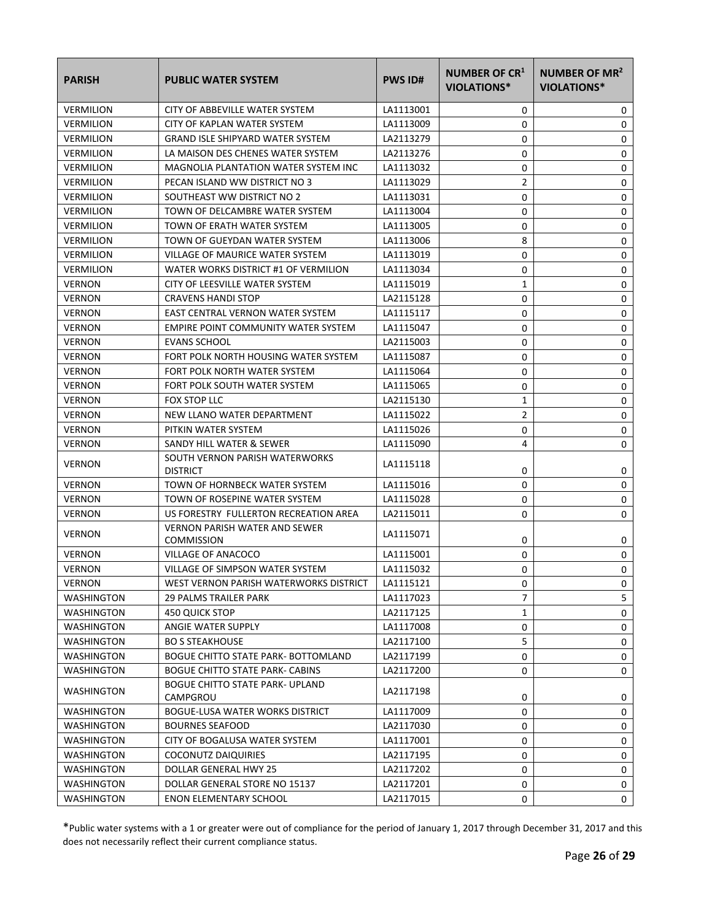| <b>PARISH</b>     | <b>PUBLIC WATER SYSTEM</b>                         | <b>PWS ID#</b> | NUMBER OF CR <sup>1</sup><br>VIOLATIONS* | <b>NUMBER OF MR<sup>2</sup></b><br>VIOLATIONS* |
|-------------------|----------------------------------------------------|----------------|------------------------------------------|------------------------------------------------|
| <b>VERMILION</b>  | CITY OF ABBEVILLE WATER SYSTEM                     | LA1113001      | 0                                        | 0                                              |
| <b>VERMILION</b>  | CITY OF KAPLAN WATER SYSTEM                        | LA1113009      | 0                                        | 0                                              |
| <b>VERMILION</b>  | <b>GRAND ISLE SHIPYARD WATER SYSTEM</b>            | LA2113279      | 0                                        | 0                                              |
| <b>VERMILION</b>  | LA MAISON DES CHENES WATER SYSTEM                  | LA2113276      | 0                                        | 0                                              |
| <b>VERMILION</b>  | MAGNOLIA PLANTATION WATER SYSTEM INC               | LA1113032      | 0                                        | 0                                              |
| <b>VERMILION</b>  | PECAN ISLAND WW DISTRICT NO 3                      | LA1113029      | 2                                        | 0                                              |
| <b>VERMILION</b>  | SOUTHEAST WW DISTRICT NO 2                         | LA1113031      | 0                                        | 0                                              |
| <b>VERMILION</b>  | TOWN OF DELCAMBRE WATER SYSTEM                     | LA1113004      | 0                                        | 0                                              |
| <b>VERMILION</b>  | TOWN OF ERATH WATER SYSTEM                         | LA1113005      | 0                                        | 0                                              |
| <b>VERMILION</b>  | TOWN OF GUEYDAN WATER SYSTEM                       | LA1113006      | 8                                        | 0                                              |
| <b>VERMILION</b>  | VILLAGE OF MAURICE WATER SYSTEM                    | LA1113019      | 0                                        | 0                                              |
| <b>VERMILION</b>  | WATER WORKS DISTRICT #1 OF VERMILION               | LA1113034      | 0                                        | 0                                              |
| <b>VERNON</b>     | CITY OF LEESVILLE WATER SYSTEM                     | LA1115019      | 1                                        | 0                                              |
| <b>VERNON</b>     | <b>CRAVENS HANDI STOP</b>                          | LA2115128      | 0                                        | 0                                              |
| <b>VERNON</b>     | EAST CENTRAL VERNON WATER SYSTEM                   | LA1115117      | 0                                        | 0                                              |
| <b>VERNON</b>     | EMPIRE POINT COMMUNITY WATER SYSTEM                | LA1115047      | 0                                        | 0                                              |
| <b>VERNON</b>     | <b>EVANS SCHOOL</b>                                | LA2115003      | 0                                        | 0                                              |
| <b>VERNON</b>     | FORT POLK NORTH HOUSING WATER SYSTEM               | LA1115087      | 0                                        | 0                                              |
| <b>VERNON</b>     | FORT POLK NORTH WATER SYSTEM                       | LA1115064      | 0                                        | 0                                              |
| <b>VERNON</b>     | FORT POLK SOUTH WATER SYSTEM                       | LA1115065      | 0                                        | 0                                              |
| <b>VERNON</b>     | <b>FOX STOP LLC</b>                                | LA2115130      | 1                                        | 0                                              |
| <b>VERNON</b>     | NEW LLANO WATER DEPARTMENT                         | LA1115022      | $\overline{2}$                           | 0                                              |
| <b>VERNON</b>     | PITKIN WATER SYSTEM                                | LA1115026      | 0                                        | 0                                              |
| <b>VERNON</b>     | SANDY HILL WATER & SEWER                           | LA1115090      | 4                                        | 0                                              |
| <b>VERNON</b>     | SOUTH VERNON PARISH WATERWORKS<br><b>DISTRICT</b>  | LA1115118      | 0                                        | 0                                              |
| <b>VERNON</b>     | TOWN OF HORNBECK WATER SYSTEM                      | LA1115016      | 0                                        | 0                                              |
| <b>VERNON</b>     | TOWN OF ROSEPINE WATER SYSTEM                      | LA1115028      | 0                                        | 0                                              |
| <b>VERNON</b>     | US FORESTRY FULLERTON RECREATION AREA              | LA2115011      | 0                                        | 0                                              |
| <b>VERNON</b>     | VERNON PARISH WATER AND SEWER<br><b>COMMISSION</b> | LA1115071      | 0                                        | 0                                              |
| <b>VERNON</b>     | VILLAGE OF ANACOCO                                 | LA1115001      | 0                                        | 0                                              |
| <b>VERNON</b>     | VILLAGE OF SIMPSON WATER SYSTEM                    | LA1115032      | 0                                        | 0                                              |
| VERNON            | WEST VERNON PARISH WATERWORKS DISTRICT             | LA1115121      | 0                                        | 0                                              |
| WASHINGTON        | 29 PALMS TRAILER PARK                              | LA1117023      | 7                                        | 5                                              |
| <b>WASHINGTON</b> | <b>450 QUICK STOP</b>                              | LA2117125      | 1                                        | 0                                              |
| <b>WASHINGTON</b> | ANGIE WATER SUPPLY                                 | LA1117008      | 0                                        | 0                                              |
| <b>WASHINGTON</b> | <b>BO S STEAKHOUSE</b>                             | LA2117100      | 5                                        | 0                                              |
| <b>WASHINGTON</b> | <b>BOGUE CHITTO STATE PARK- BOTTOMLAND</b>         | LA2117199      | 0                                        | 0                                              |
| <b>WASHINGTON</b> | <b>BOGUE CHITTO STATE PARK- CABINS</b>             | LA2117200      | 0                                        | 0                                              |
| WASHINGTON        | <b>BOGUE CHITTO STATE PARK- UPLAND</b><br>CAMPGROU | LA2117198      | 0                                        | 0                                              |
| <b>WASHINGTON</b> | <b>BOGUE-LUSA WATER WORKS DISTRICT</b>             | LA1117009      | 0                                        | 0                                              |
| <b>WASHINGTON</b> | <b>BOURNES SEAFOOD</b>                             | LA2117030      | 0                                        | 0                                              |
| <b>WASHINGTON</b> | CITY OF BOGALUSA WATER SYSTEM                      | LA1117001      | 0                                        | 0                                              |
| <b>WASHINGTON</b> | COCONUTZ DAIQUIRIES                                | LA2117195      | 0                                        | 0                                              |
| <b>WASHINGTON</b> | DOLLAR GENERAL HWY 25                              | LA2117202      | 0                                        | 0                                              |
| WASHINGTON        | DOLLAR GENERAL STORE NO 15137                      | LA2117201      | 0                                        | 0                                              |
| WASHINGTON        | <b>ENON ELEMENTARY SCHOOL</b>                      | LA2117015      | 0                                        | 0                                              |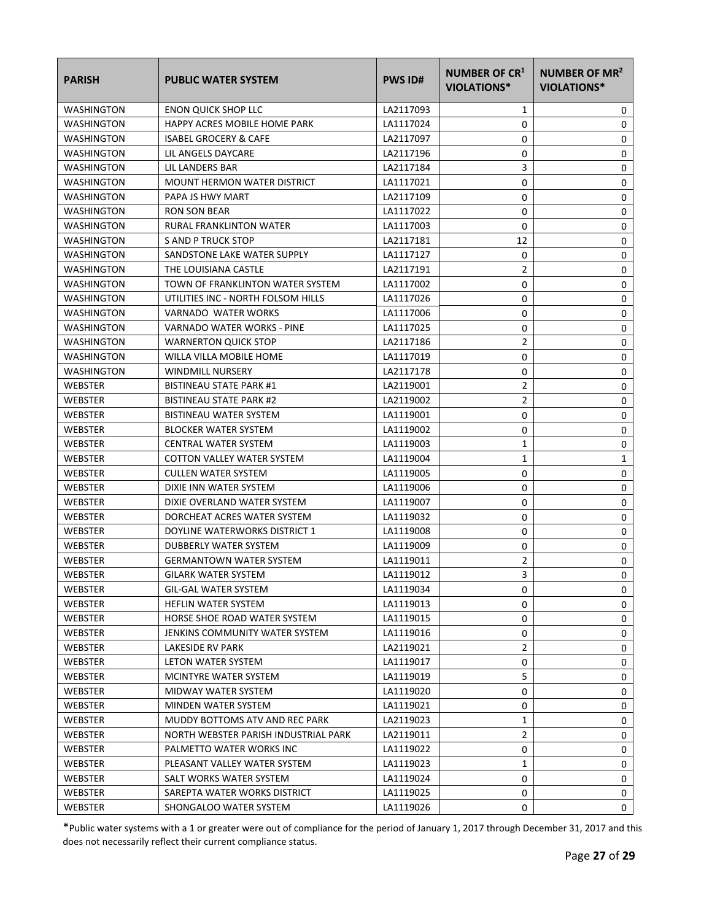| <b>PARISH</b>     | <b>PUBLIC WATER SYSTEM</b>           | <b>PWS ID#</b> | NUMBER OF CR <sup>1</sup><br>VIOLATIONS* | NUMBER OF MR <sup>2</sup><br><b>VIOLATIONS*</b> |
|-------------------|--------------------------------------|----------------|------------------------------------------|-------------------------------------------------|
| <b>WASHINGTON</b> | <b>ENON QUICK SHOP LLC</b>           | LA2117093      | 1                                        | 0                                               |
| WASHINGTON        | HAPPY ACRES MOBILE HOME PARK         | LA1117024      | 0                                        | 0                                               |
| <b>WASHINGTON</b> | <b>ISABEL GROCERY &amp; CAFE</b>     | LA2117097      | 0                                        | 0                                               |
| WASHINGTON        | LIL ANGELS DAYCARE                   | LA2117196      | 0                                        | 0                                               |
| <b>WASHINGTON</b> | LIL LANDERS BAR                      | LA2117184      | 3                                        | 0                                               |
| <b>WASHINGTON</b> | <b>MOUNT HERMON WATER DISTRICT</b>   | LA1117021      | 0                                        | 0                                               |
| <b>WASHINGTON</b> | PAPA JS HWY MART                     | LA2117109      | 0                                        | 0                                               |
| <b>WASHINGTON</b> | <b>RON SON BEAR</b>                  | LA1117022      | 0                                        | 0                                               |
| <b>WASHINGTON</b> | <b>RURAL FRANKLINTON WATER</b>       | LA1117003      | 0                                        | 0                                               |
| <b>WASHINGTON</b> | S AND P TRUCK STOP                   | LA2117181      | 12                                       | 0                                               |
| <b>WASHINGTON</b> | SANDSTONE LAKE WATER SUPPLY          | LA1117127      | 0                                        | 0                                               |
| <b>WASHINGTON</b> | THE LOUISIANA CASTLE                 | LA2117191      | 2                                        | 0                                               |
| WASHINGTON        | TOWN OF FRANKLINTON WATER SYSTEM     | LA1117002      | 0                                        | 0                                               |
| WASHINGTON        | UTILITIES INC - NORTH FOLSOM HILLS   | LA1117026      | 0                                        | 0                                               |
| <b>WASHINGTON</b> | VARNADO WATER WORKS                  | LA1117006      | 0                                        | 0                                               |
| WASHINGTON        | VARNADO WATER WORKS - PINE           | LA1117025      | 0                                        | 0                                               |
| <b>WASHINGTON</b> | <b>WARNERTON QUICK STOP</b>          | LA2117186      | 2                                        | 0                                               |
| <b>WASHINGTON</b> | WILLA VILLA MOBILE HOME              | LA1117019      | 0                                        | 0                                               |
| <b>WASHINGTON</b> | <b>WINDMILL NURSERY</b>              | LA2117178      | 0                                        | 0                                               |
| <b>WEBSTER</b>    | <b>BISTINEAU STATE PARK #1</b>       | LA2119001      | 2                                        | 0                                               |
| WEBSTER           | <b>BISTINEAU STATE PARK #2</b>       | LA2119002      | 2                                        | 0                                               |
| <b>WEBSTER</b>    | <b>BISTINEAU WATER SYSTEM</b>        | LA1119001      | 0                                        | 0                                               |
| WEBSTER           | <b>BLOCKER WATER SYSTEM</b>          | LA1119002      | 0                                        | 0                                               |
| <b>WEBSTER</b>    | <b>CENTRAL WATER SYSTEM</b>          | LA1119003      | 1                                        | 0                                               |
| WEBSTER           | COTTON VALLEY WATER SYSTEM           | LA1119004      | 1                                        | 1                                               |
| <b>WEBSTER</b>    | <b>CULLEN WATER SYSTEM</b>           | LA1119005      | 0                                        | 0                                               |
| <b>WEBSTER</b>    | DIXIE INN WATER SYSTEM               | LA1119006      | 0                                        | 0                                               |
| <b>WEBSTER</b>    | DIXIE OVERLAND WATER SYSTEM          | LA1119007      | 0                                        | 0                                               |
| <b>WEBSTER</b>    | DORCHEAT ACRES WATER SYSTEM          | LA1119032      | 0                                        | 0                                               |
| <b>WEBSTER</b>    | DOYLINE WATERWORKS DISTRICT 1        | LA1119008      | 0                                        | 0                                               |
| <b>WEBSTER</b>    | DUBBERLY WATER SYSTEM                | LA1119009      | 0                                        | 0                                               |
| WEBSTER           | <b>GERMANTOWN WATER SYSTEM</b>       | LA1119011      | 2                                        | 0                                               |
| <b>WEBSTER</b>    | <b>GILARK WATER SYSTEM</b>           | LA1119012      | 3                                        | 0                                               |
| WEBSTER           | GIL-GAL WATER SYSTEM                 | LA1119034      | 0                                        | 0                                               |
| WEBSTER           | <b>HEFLIN WATER SYSTEM</b>           | LA1119013      | 0                                        | 0                                               |
| WEBSTER           | HORSE SHOE ROAD WATER SYSTEM         | LA1119015      | 0                                        | 0                                               |
| WEBSTER           | JENKINS COMMUNITY WATER SYSTEM       | LA1119016      | 0                                        | 0                                               |
| WEBSTER           | LAKESIDE RV PARK                     | LA2119021      | $\overline{2}$                           | 0                                               |
| WEBSTER           | LETON WATER SYSTEM                   | LA1119017      | 0                                        | 0                                               |
| WEBSTER           | MCINTYRE WATER SYSTEM                | LA1119019      | 5                                        | 0                                               |
| WEBSTER           | MIDWAY WATER SYSTEM                  | LA1119020      | 0                                        | 0                                               |
| WEBSTER           | MINDEN WATER SYSTEM                  | LA1119021      | 0                                        | 0                                               |
| WEBSTER           | MUDDY BOTTOMS ATV AND REC PARK       | LA2119023      | 1                                        | 0                                               |
| WEBSTER           | NORTH WEBSTER PARISH INDUSTRIAL PARK | LA2119011      | 2                                        | 0                                               |
| WEBSTER           | PALMETTO WATER WORKS INC             | LA1119022      | 0                                        | 0                                               |
| WEBSTER           | PLEASANT VALLEY WATER SYSTEM         | LA1119023      | 1                                        | 0                                               |
| WEBSTER           | SALT WORKS WATER SYSTEM              | LA1119024      | 0                                        | 0                                               |
| WEBSTER           | SAREPTA WATER WORKS DISTRICT         | LA1119025      | 0                                        | 0                                               |
| WEBSTER           | SHONGALOO WATER SYSTEM               | LA1119026      | 0                                        | $\mathbf 0$                                     |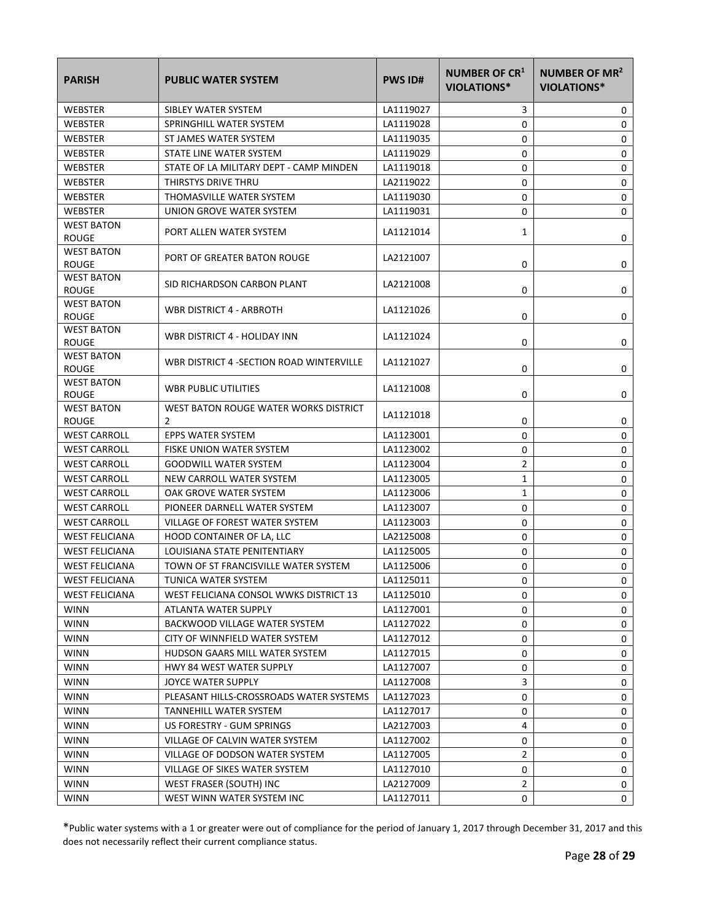| <b>PARISH</b>                     | <b>PUBLIC WATER SYSTEM</b>                 | <b>PWS ID#</b> | <b>NUMBER OF CR1</b><br>VIOLATIONS* | NUMBER OF MR <sup>2</sup><br><b>VIOLATIONS*</b> |
|-----------------------------------|--------------------------------------------|----------------|-------------------------------------|-------------------------------------------------|
| WEBSTER                           | SIBLEY WATER SYSTEM                        | LA1119027      | 3                                   | 0                                               |
| <b>WEBSTER</b>                    | SPRINGHILL WATER SYSTEM                    | LA1119028      | 0                                   | 0                                               |
| <b>WEBSTER</b>                    | ST JAMES WATER SYSTEM                      | LA1119035      | 0                                   | 0                                               |
| WEBSTER                           | STATE LINE WATER SYSTEM                    | LA1119029      | 0                                   | 0                                               |
| <b>WEBSTER</b>                    | STATE OF LA MILITARY DEPT - CAMP MINDEN    | LA1119018      | 0                                   | 0                                               |
| WEBSTER                           | THIRSTYS DRIVE THRU                        | LA2119022      | 0                                   | 0                                               |
| WEBSTER                           | THOMASVILLE WATER SYSTEM                   | LA1119030      | 0                                   | 0                                               |
| WEBSTER                           | UNION GROVE WATER SYSTEM                   | LA1119031      | 0                                   | 0                                               |
| <b>WEST BATON</b><br><b>ROUGE</b> | PORT ALLEN WATER SYSTEM                    | LA1121014      | 1                                   | 0                                               |
| <b>WEST BATON</b><br><b>ROUGE</b> | PORT OF GREATER BATON ROUGE                | LA2121007      | 0                                   | 0                                               |
| <b>WEST BATON</b><br><b>ROUGE</b> | SID RICHARDSON CARBON PLANT                | LA2121008      | 0                                   | 0                                               |
| <b>WEST BATON</b><br><b>ROUGE</b> | WBR DISTRICT 4 - ARBROTH                   | LA1121026      | 0                                   | 0                                               |
| <b>WEST BATON</b><br><b>ROUGE</b> | WBR DISTRICT 4 - HOLIDAY INN               | LA1121024      | 0                                   | 0                                               |
| <b>WEST BATON</b><br><b>ROUGE</b> | WBR DISTRICT 4 -SECTION ROAD WINTERVILLE   | LA1121027      | 0                                   | 0                                               |
| <b>WEST BATON</b><br><b>ROUGE</b> | WBR PUBLIC UTILITIES                       | LA1121008      | 0                                   | 0                                               |
| <b>WEST BATON</b><br>ROUGE        | WEST BATON ROUGE WATER WORKS DISTRICT<br>2 | LA1121018      | 0                                   | 0                                               |
| <b>WEST CARROLL</b>               | EPPS WATER SYSTEM                          | LA1123001      | 0                                   | 0                                               |
| <b>WEST CARROLL</b>               | FISKE UNION WATER SYSTEM                   | LA1123002      | 0                                   | 0                                               |
| <b>WEST CARROLL</b>               | <b>GOODWILL WATER SYSTEM</b>               | LA1123004      | 2                                   | 0                                               |
| <b>WEST CARROLL</b>               | NEW CARROLL WATER SYSTEM                   | LA1123005      | 1                                   | 0                                               |
| <b>WEST CARROLL</b>               | OAK GROVE WATER SYSTEM                     | LA1123006      | 1                                   | 0                                               |
| <b>WEST CARROLL</b>               | PIONEER DARNELL WATER SYSTEM               | LA1123007      | 0                                   | 0                                               |
| <b>WEST CARROLL</b>               | VILLAGE OF FOREST WATER SYSTEM             | LA1123003      | 0                                   | 0                                               |
| <b>WEST FELICIANA</b>             | HOOD CONTAINER OF LA, LLC                  | LA2125008      | 0                                   | 0                                               |
| <b>WEST FELICIANA</b>             | LOUISIANA STATE PENITENTIARY               | LA1125005      | 0                                   | 0                                               |
| <b>WEST FELICIANA</b>             | TOWN OF ST FRANCISVILLE WATER SYSTEM       | LA1125006      | 0                                   | 0                                               |
| <b>WEST FELICIANA</b>             | TUNICA WATER SYSTEM                        | LA1125011      | 0                                   | 0                                               |
| <b>WEST FELICIANA</b>             | WEST FELICIANA CONSOL WWKS DISTRICT 13     | LA1125010      | 0                                   | 0                                               |
| <b>WINN</b>                       | ATLANTA WATER SUPPLY                       | LA1127001      | 0                                   | 0                                               |
| <b>WINN</b>                       | BACKWOOD VILLAGE WATER SYSTEM              | LA1127022      | 0                                   | 0                                               |
| <b>WINN</b>                       | CITY OF WINNFIELD WATER SYSTEM             | LA1127012      | 0                                   | 0                                               |
| <b>WINN</b>                       | HUDSON GAARS MILL WATER SYSTEM             | LA1127015      | 0                                   | 0                                               |
| <b>WINN</b>                       | HWY 84 WEST WATER SUPPLY                   | LA1127007      | 0                                   | 0                                               |
| <b>WINN</b>                       | JOYCE WATER SUPPLY                         | LA1127008      | 3                                   | 0                                               |
| <b>WINN</b>                       | PLEASANT HILLS-CROSSROADS WATER SYSTEMS    | LA1127023      | 0                                   | 0                                               |
| <b>WINN</b>                       | TANNEHILL WATER SYSTEM                     | LA1127017      | 0                                   | 0                                               |
| <b>WINN</b>                       | US FORESTRY - GUM SPRINGS                  | LA2127003      | 4                                   | 0                                               |
| <b>WINN</b>                       | VILLAGE OF CALVIN WATER SYSTEM             | LA1127002      | 0                                   | 0                                               |
| <b>WINN</b>                       | VILLAGE OF DODSON WATER SYSTEM             | LA1127005      | 2                                   | 0                                               |
| <b>WINN</b>                       | VILLAGE OF SIKES WATER SYSTEM              | LA1127010      | 0                                   | 0                                               |
| <b>WINN</b>                       | WEST FRASER (SOUTH) INC                    | LA2127009      | $\overline{2}$                      | 0                                               |
| <b>WINN</b>                       | WEST WINN WATER SYSTEM INC                 | LA1127011      | 0                                   | 0                                               |